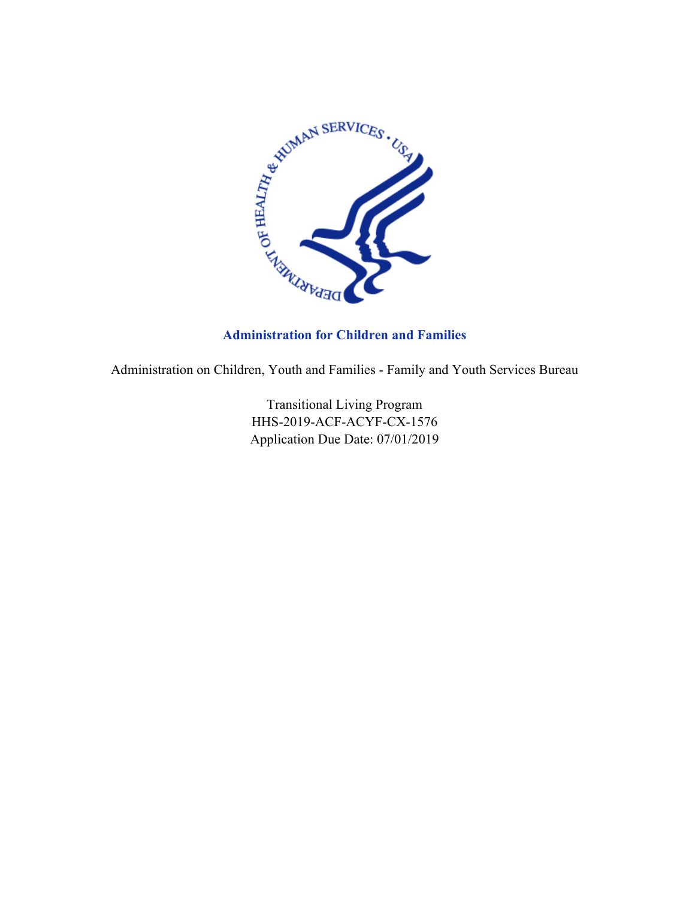

## **Administration for Children and Families**

Administration on Children, Youth and Families - Family and Youth Services Bureau

Transitional Living Program HHS-2019-ACF-ACYF-CX-1576 Application Due Date: 07/01/2019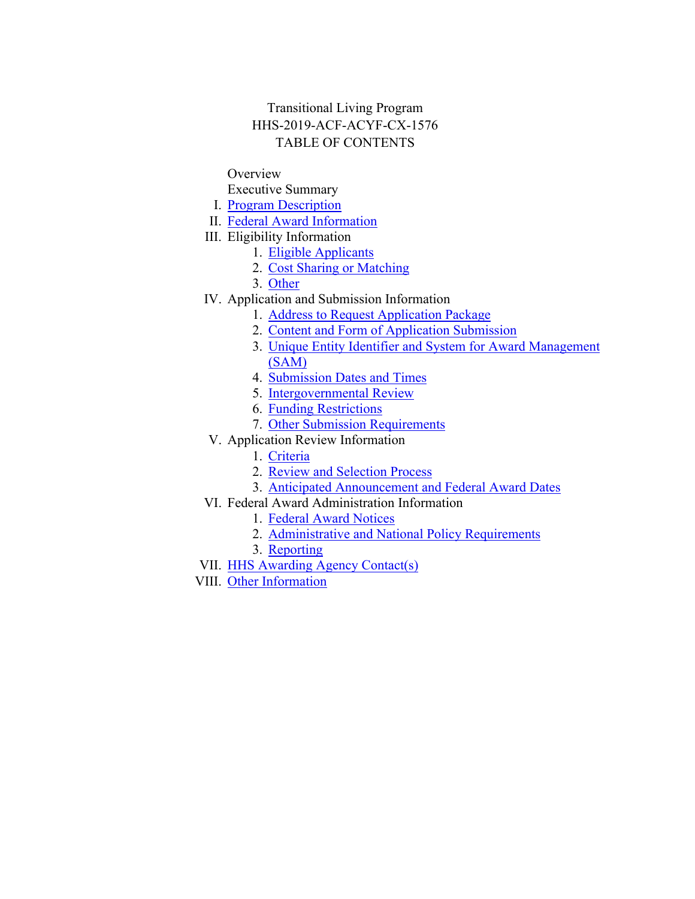## Transitional Living Program HHS-2019-ACF-ACYF-CX-1576 TABLE OF CONTENTS

#### **Overview**

- Executive Summary
- I. Program [Description](#page-2-0)
- II. Federal Award [Information](#page-8-0)
- III. Eligibility Information
	- 1. Eligible [Applicants](#page-9-0)
	- 2. Cost Sharing or [Matching](#page-10-0)
	- 3. [Other](#page-11-0)
- IV. Application and Submission Information
	- 1. Address to Request [Application](#page-12-0) Package
	- 2. Content and Form of [Application](#page-13-0) Submission
	- 3. Unique Entity Identifier and System for Award [Management](#page-36-0) [\(SAM\)](#page-36-0)
	- 4. [Submission](#page-37-0) Dates and Times
	- 5. [Intergovernmental](#page-39-0) Review
	- 6. Funding [Restrictions](#page-39-1)
	- 7. Other Submission [Requirements](#page-40-0)
- V. Application Review Information
	- 1. [Criteria](#page-40-1)
	- 2. Review and [Selection](#page-43-0) Process
	- 3. Anticipated [Announcement](#page-44-0) and Federal Award Dates
- VI. Federal Award Administration Information
	- 1. Federal Award [Notices](#page-45-0)
		- 2. [Administrative](#page-45-1) and National Policy Requirements
		- 3. [Reporting](#page-49-0)
- VII. HHS Awarding Agency [Contact\(s\)](#page-51-0)
- VIII. Other [Information](#page-52-0)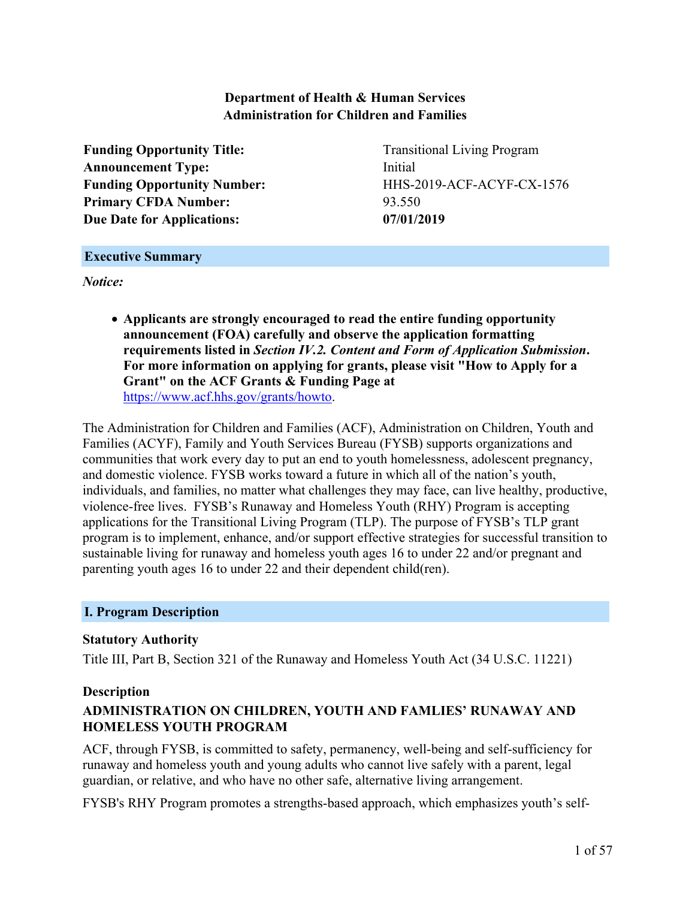## **Department of Health & Human Services Administration for Children and Families**

**Funding Opportunity Title:** Transitional Living Program **Announcement Type:** Initial **Primary CFDA Number:** 93.550 **Due Date for Applications: 07/01/2019**

**Funding Opportunity Number:** HHS-2019-ACF-ACYF-CX-1576

#### **Executive Summary**

*Notice:*

 **Applicants are strongly encouraged to read the entire funding opportunity announcement (FOA) carefully and observe the application formatting requirements listed in** *Section IV.2. Content and Form of Application Submission***. For more information on applying for grants, please visit "How to Apply for a Grant" on the ACF Grants & Funding Page at** [https://www.acf.hhs.gov/grants/howto](http://www.acf.hhs.gov/grants/howto).

The Administration for Children and Families (ACF), Administration on Children, Youth and Families (ACYF), Family and Youth Services Bureau (FYSB) supports organizations and communities that work every day to put an end to youth homelessness, adolescent pregnancy, and domestic violence. FYSB works toward a future in which all of the nation's youth, individuals, and families, no matter what challenges they may face, can live healthy, productive, violence-free lives. FYSB's Runaway and Homeless Youth (RHY) Program is accepting applications for the Transitional Living Program (TLP). The purpose of FYSB's TLP grant program is to implement, enhance, and/or support effective strategies for successful transition to sustainable living for runaway and homeless youth ages 16 to under 22 and/or pregnant and parenting youth ages 16 to under 22 and their dependent child(ren).

## <span id="page-2-0"></span>**I. Program Description**

#### **Statutory Authority**

Title III, Part B, Section 321 of the Runaway and Homeless Youth Act (34 U.S.C. 11221)

#### **Description**

## **ADMINISTRATION ON CHILDREN, YOUTH AND FAMLIES' RUNAWAY AND HOMELESS YOUTH PROGRAM**

ACF, through FYSB, is committed to safety, permanency, well-being and self-sufficiency for runaway and homeless youth and young adults who cannot live safely with a parent, legal guardian, or relative, and who have no other safe, alternative living arrangement.

FYSB's RHY Program promotes a strengths-based approach, which emphasizes youth's self-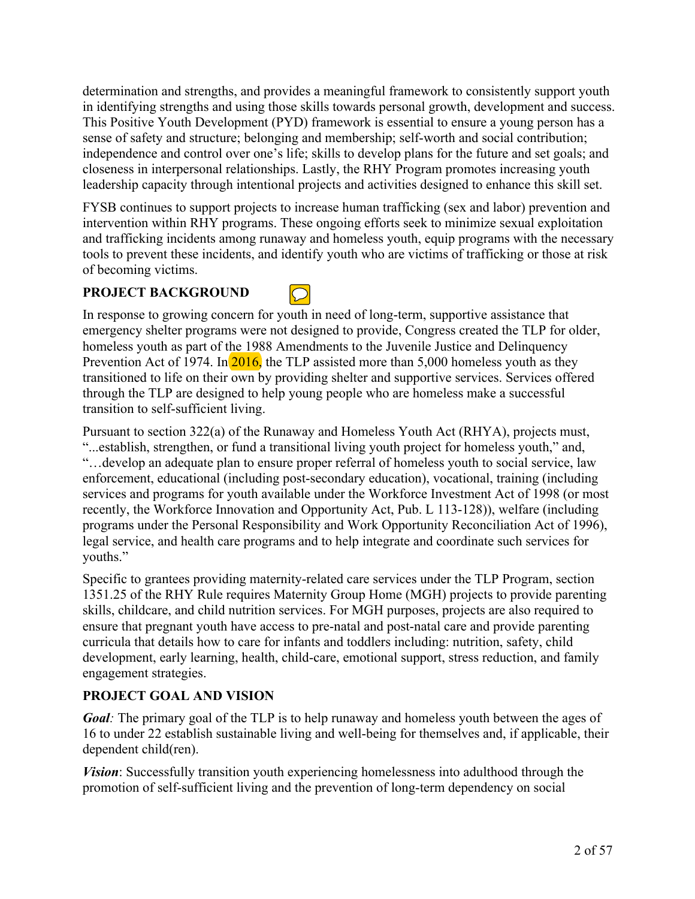determination and strengths, and provides a meaningful framework to consistently support youth in identifying strengths and using those skills towards personal growth, development and success. This Positive Youth Development (PYD) framework is essential to ensure a young person has a sense of safety and structure; belonging and membership; self-worth and social contribution; independence and control over one's life; skills to develop plans for the future and set goals; and closeness in interpersonal relationships. Lastly, the RHY Program promotes increasing youth leadership capacity through intentional projects and activities designed to enhance this skill set.

FYSB continues to support projects to increase human trafficking (sex and labor) prevention and intervention within RHY programs. These ongoing efforts seek to minimize sexual exploitation and trafficking incidents among runaway and homeless youth, equip programs with the necessary tools to prevent these incidents, and identify youth who are victims of trafficking or those at risk of becoming victims.

## **PROJECT BACKGROUND**



In response to growing concern for youth in need of long-term, supportive assistance that emergency shelter programs were not designed to provide, Congress created the TLP for older, homeless youth as part of the 1988 Amendments to the Juvenile Justice and Delinquency Prevention Act of 1974. In  $\frac{2016}{3}$  the TLP assisted more than 5,000 homeless youth as they transitioned to life on their own by providing shelter and supportive services. Services offered through the TLP are designed to help young people who are homeless make a successful transition to self-sufficient living.

Pursuant to section 322(a) of the Runaway and Homeless Youth Act (RHYA), projects must, "...establish, strengthen, or fund a transitional living youth project for homeless youth," and, "…develop an adequate plan to ensure proper referral of homeless youth to social service, law enforcement, educational (including post-secondary education), vocational, training (including services and programs for youth available under the Workforce Investment Act of 1998 (or most recently, the Workforce Innovation and Opportunity Act, Pub. L 113-128)), welfare (including programs under the Personal Responsibility and Work Opportunity Reconciliation Act of 1996), legal service, and health care programs and to help integrate and coordinate such services for youths."

Specific to grantees providing maternity-related care services under the TLP Program, section 1351.25 of the RHY Rule requires Maternity Group Home (MGH) projects to provide parenting skills, childcare, and child nutrition services. For MGH purposes, projects are also required to ensure that pregnant youth have access to pre-natal and post-natal care and provide parenting curricula that details how to care for infants and toddlers including: nutrition, safety, child development, early learning, health, child-care, emotional support, stress reduction, and family engagement strategies.

## **PROJECT GOAL AND VISION**

*Goal*: The primary goal of the TLP is to help runaway and homeless youth between the ages of 16 to under 22 establish sustainable living and well-being for themselves and, if applicable, their dependent child(ren).

*Vision*: Successfully transition youth experiencing homelessness into adulthood through the promotion of self-sufficient living and the prevention of long-term dependency on social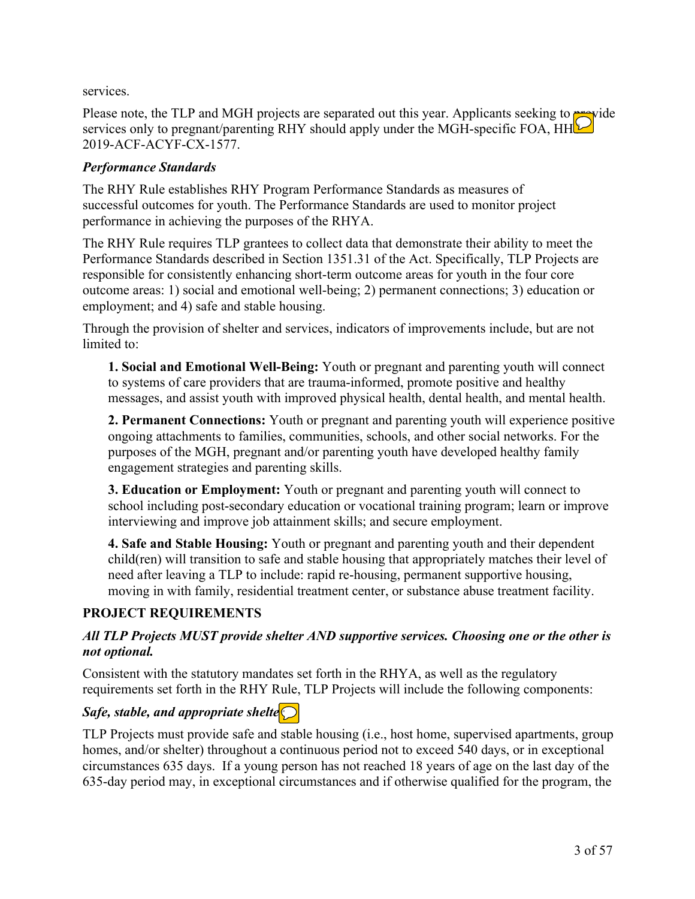services.

Please note, the TLP and MGH projects are separated out this year. Applicants seeking to provide services only to pregnant/parenting RHY should apply under the MGH-specific FOA, HH 2019-ACF-ACYF-CX-1577.

## *Performance Standards*

The RHY Rule establishes RHY Program Performance Standards as measures of successful outcomes for youth. The Performance Standards are used to monitor project performance in achieving the purposes of the RHYA.

The RHY Rule requires TLP grantees to collect data that demonstrate their ability to meet the Performance Standards described in Section 1351.31 of the Act. Specifically, TLP Projects are responsible for consistently enhancing short-term outcome areas for youth in the four core outcome areas: 1) social and emotional well-being; 2) permanent connections; 3) education or employment; and 4) safe and stable housing.

Through the provision of shelter and services, indicators of improvements include, but are not limited to:

**1. Social and Emotional Well-Being:** Youth or pregnant and parenting youth will connect to systems of care providers that are trauma-informed, promote positive and healthy messages, and assist youth with improved physical health, dental health, and mental health.

**2. Permanent Connections:** Youth or pregnant and parenting youth will experience positive ongoing attachments to families, communities, schools, and other social networks. For the purposes of the MGH, pregnant and/or parenting youth have developed healthy family engagement strategies and parenting skills.

**3. Education or Employment:** Youth or pregnant and parenting youth will connect to school including post-secondary education or vocational training program; learn or improve interviewing and improve job attainment skills; and secure employment.

**4. Safe and Stable Housing:** Youth or pregnant and parenting youth and their dependent child(ren) will transition to safe and stable housing that appropriately matches their level of need after leaving a TLP to include: rapid re-housing, permanent supportive housing, moving in with family, residential treatment center, or substance abuse treatment facility.

## **PROJECT REQUIREMENTS**

## *All TLP Projects MUST provide shelter AND supportive services. Choosing one or the other is not optional.*

Consistent with the statutory mandates set forth in the RHYA, as well as the regulatory requirements set forth in the RHY Rule, TLP Projects will include the following components:

## *Safe, stable, and appropriate shelte* $\bigcirc$

TLP Projects must provide safe and stable housing (i.e., host home, supervised apartments, group homes, and/or shelter) throughout a continuous period not to exceed 540 days, or in exceptional circumstances 635 days. If a young person has not reached 18 years of age on the last day of the 635-day period may, in exceptional circumstances and if otherwise qualified for the program, the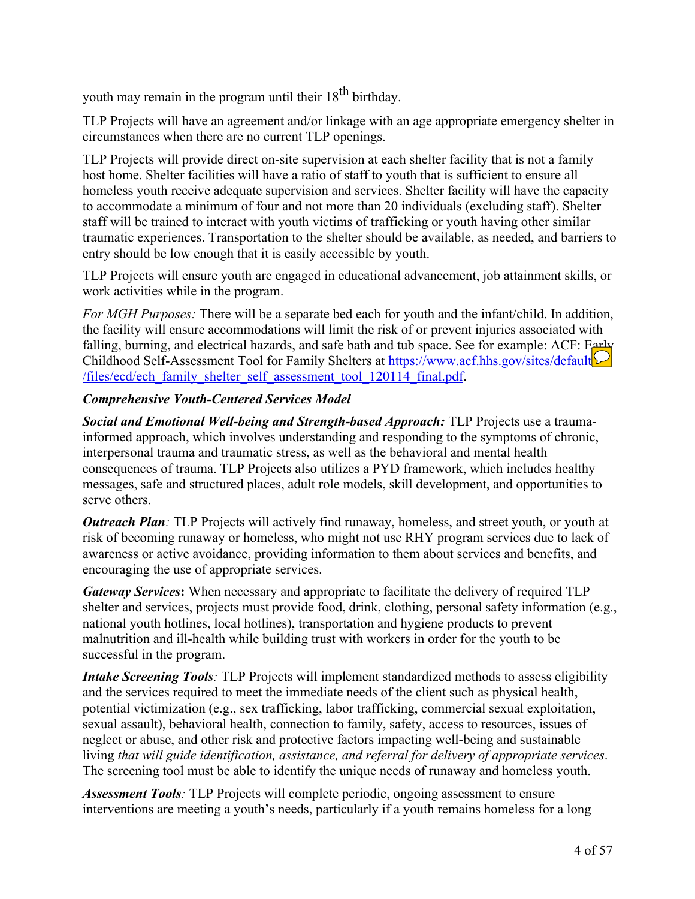youth may remain in the program until their  $18^{th}$  birthday.

TLP Projects will have an agreement and/or linkage with an age appropriate emergency shelter in circumstances when there are no current TLP openings.

TLP Projects will provide direct on-site supervision at each shelter facility that is not a family host home. Shelter facilities will have a ratio of staff to youth that is sufficient to ensure all homeless youth receive adequate supervision and services. Shelter facility will have the capacity to accommodate a minimum of four and not more than 20 individuals (excluding staff). Shelter staff will be trained to interact with youth victims of trafficking or youth having other similar traumatic experiences. Transportation to the shelter should be available, as needed, and barriers to entry should be low enough that it is easily accessible by youth.

TLP Projects will ensure youth are engaged in educational advancement, job attainment skills, or work activities while in the program.

*For MGH Purposes:* There will be a separate bed each for youth and the infant/child. In addition, the facility will ensure accommodations will limit the risk of or prevent injuries associated with falling, burning, and electrical hazards, and safe bath and tub space. See for example: ACF: Early Childhood Self-Assessment Tool for Family Shelters at [https://www.acf.hhs.gov/sites/default](https://www.acf.hhs.gov/sites/default/files/ecd/ech_family_shelter_self_assessment_tool_120114_final.pdf) [/files/ecd/ech\\_family\\_shelter\\_self\\_assessment\\_tool\\_120114\\_final.pdf](https://www.acf.hhs.gov/sites/default/files/ecd/ech_family_shelter_self_assessment_tool_120114_final.pdf).

## *Comprehensive Youth-Centered Services Model*

*Social and Emotional Well-being and Strength-based Approach:* TLP Projects use a traumainformed approach, which involves understanding and responding to the symptoms of chronic, interpersonal trauma and traumatic stress, as well as the behavioral and mental health consequences of trauma. TLP Projects also utilizes a PYD framework, which includes healthy messages, safe and structured places, adult role models, skill development, and opportunities to serve others.

*Outreach Plan:* TLP Projects will actively find runaway, homeless, and street youth, or youth at risk of becoming runaway or homeless, who might not use RHY program services due to lack of awareness or active avoidance, providing information to them about services and benefits, and encouraging the use of appropriate services.

*Gateway Services***:** When necessary and appropriate to facilitate the delivery of required TLP shelter and services, projects must provide food, drink, clothing, personal safety information (e.g., national youth hotlines, local hotlines), transportation and hygiene products to prevent malnutrition and ill-health while building trust with workers in order for the youth to be successful in the program.

*Intake Screening Tools:* TLP Projects will implement standardized methods to assess eligibility and the services required to meet the immediate needs of the client such as physical health, potential victimization (e.g., sex trafficking, labor trafficking, commercial sexual exploitation, sexual assault), behavioral health, connection to family, safety, access to resources, issues of neglect or abuse, and other risk and protective factors impacting well-being and sustainable living *that will guide identification, assistance, and referral for delivery of appropriate services*. The screening tool must be able to identify the unique needs of runaway and homeless youth.

*Assessment Tools:* TLP Projects will complete periodic, ongoing assessment to ensure interventions are meeting a youth's needs, particularly if a youth remains homeless for a long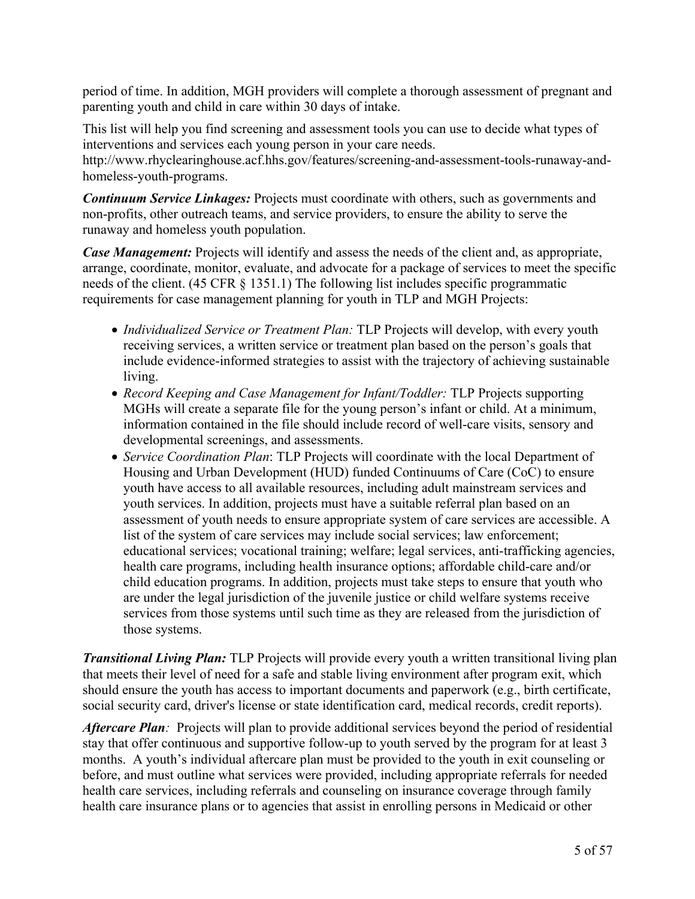period of time. In addition, MGH providers will complete a thorough assessment of pregnant and parenting youth and child in care within 30 days of intake.

This list will help you find screening and assessment tools you can use to decide what types of interventions and services each young person in your care needs. http://www.rhyclearinghouse.acf.hhs.gov/features/screening-and-assessment-tools-runaway-andhomeless-youth-programs.

*Continuum Service Linkages:* Projects must coordinate with others, such as governments and non-profits, other outreach teams, and service providers, to ensure the ability to serve the runaway and homeless youth population.

*Case Management:* Projects will identify and assess the needs of the client and, as appropriate, arrange, coordinate, monitor, evaluate, and advocate for a package of services to meet the specific needs of the client. (45 CFR § 1351.1) The following list includes specific programmatic requirements for case management planning for youth in TLP and MGH Projects:

- *Individualized Service or Treatment Plan:* TLP Projects will develop, with every youth receiving services, a written service or treatment plan based on the person's goals that include evidence-informed strategies to assist with the trajectory of achieving sustainable living.
- *Record Keeping and Case Management for Infant/Toddler:* TLP Projects supporting MGHs will create a separate file for the young person's infant or child. At a minimum, information contained in the file should include record of well-care visits, sensory and developmental screenings, and assessments.
- *Service Coordination Plan*: TLP Projects will coordinate with the local Department of Housing and Urban Development (HUD) funded Continuums of Care (CoC) to ensure youth have access to all available resources, including adult mainstream services and youth services. In addition, projects must have a suitable referral plan based on an assessment of youth needs to ensure appropriate system of care services are accessible. A list of the system of care services may include social services; law enforcement; educational services; vocational training; welfare; legal services, anti-trafficking agencies, health care programs, including health insurance options; affordable child-care and/or child education programs. In addition, projects must take steps to ensure that youth who are under the legal jurisdiction of the juvenile justice or child welfare systems receive services from those systems until such time as they are released from the jurisdiction of those systems.

*Transitional Living Plan:* TLP Projects will provide every youth a written transitional living plan that meets their level of need for a safe and stable living environment after program exit, which should ensure the youth has access to important documents and paperwork (e.g., birth certificate, social security card, driver's license or state identification card, medical records, credit reports).

*Aftercare Plan:* Projects will plan to provide additional services beyond the period of residential stay that offer continuous and supportive follow-up to youth served by the program for at least 3 months. A youth's individual aftercare plan must be provided to the youth in exit counseling or before, and must outline what services were provided, including appropriate referrals for needed health care services, including referrals and counseling on insurance coverage through family health care insurance plans or to agencies that assist in enrolling persons in Medicaid or other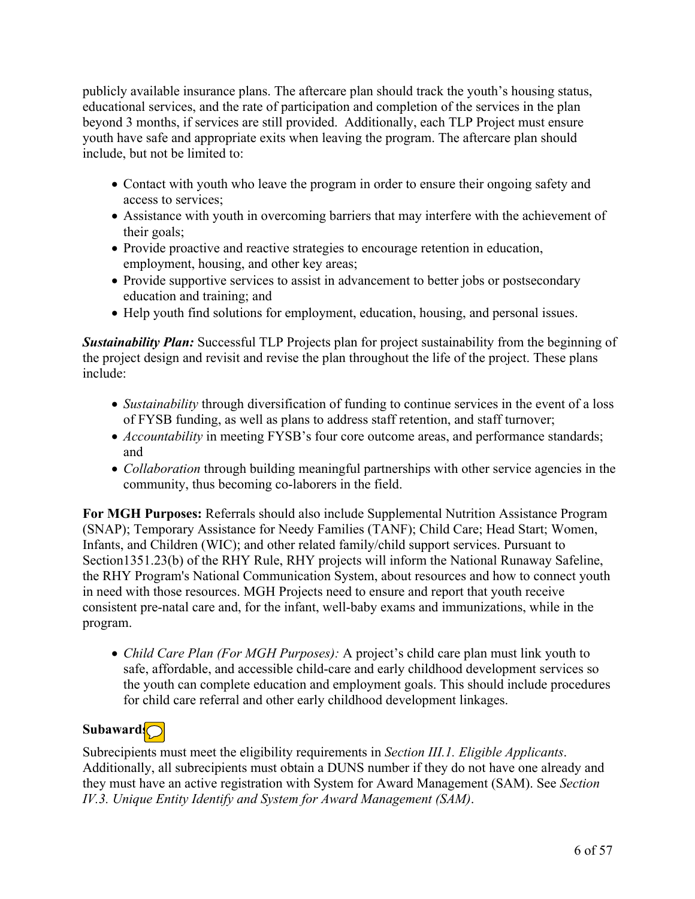publicly available insurance plans. The aftercare plan should track the youth's housing status, educational services, and the rate of participation and completion of the services in the plan beyond 3 months, if services are still provided. Additionally, each TLP Project must ensure youth have safe and appropriate exits when leaving the program. The aftercare plan should include, but not be limited to:

- Contact with youth who leave the program in order to ensure their ongoing safety and access to services;
- Assistance with youth in overcoming barriers that may interfere with the achievement of their goals;
- Provide proactive and reactive strategies to encourage retention in education, employment, housing, and other key areas;
- Provide supportive services to assist in advancement to better jobs or postsecondary education and training; and
- Help youth find solutions for employment, education, housing, and personal issues.

**Sustainability Plan:** Successful TLP Projects plan for project sustainability from the beginning of the project design and revisit and revise the plan throughout the life of the project. These plans include:

- *Sustainability* through diversification of funding to continue services in the event of a loss of FYSB funding, as well as plans to address staff retention, and staff turnover;
- *Accountability* in meeting FYSB's four core outcome areas, and performance standards; and
- *Collaboration* through building meaningful partnerships with other service agencies in the community, thus becoming co-laborers in the field.

**For MGH Purposes:** Referrals should also include Supplemental Nutrition Assistance Program (SNAP); Temporary Assistance for Needy Families (TANF); Child Care; Head Start; Women, Infants, and Children (WIC); and other related family/child support services. Pursuant to Section1351.23(b) of the RHY Rule, RHY projects will inform the National Runaway Safeline, the RHY Program's National Communication System, about resources and how to connect youth in need with those resources. MGH Projects need to ensure and report that youth receive consistent pre-natal care and, for the infant, well-baby exams and immunizations, while in the program.

 *Child Care Plan (For MGH Purposes):* A project's child care plan must link youth to safe, affordable, and accessible child-care and early childhood development services so the youth can complete education and employment goals. This should include procedures for child care referral and other early childhood development linkages.

# Subaward<sup>[</sup>

Subrecipients must meet the eligibility requirements in *Section III.1. Eligible Applicants*. Additionally, all subrecipients must obtain a DUNS number if they do not have one already and they must have an active registration with System for Award Management (SAM). See *Section IV.3. Unique Entity Identify and System for Award Management (SAM)*.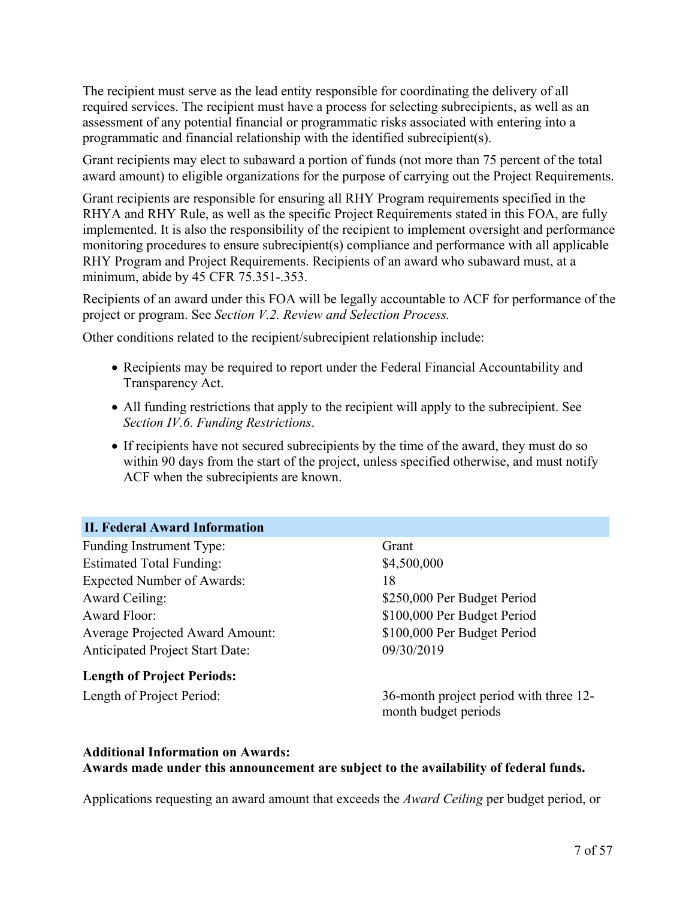The recipient must serve as the lead entity responsible for coordinating the delivery of all required services. The recipient must have a process for selecting subrecipients, as well as an assessment of any potential financial or programmatic risks associated with entering into a programmatic and financial relationship with the identified subrecipient(s).

Grant recipients may elect to subaward a portion of funds (not more than 75 percent of the total award amount) to eligible organizations for the purpose of carrying out the Project Requirements.

Grant recipients are responsible for ensuring all RHY Program requirements specified in the RHYA and RHY Rule, as well as the specific Project Requirements stated in this FOA, are fully implemented. It is also the responsibility of the recipient to implement oversight and performance monitoring procedures to ensure subrecipient(s) compliance and performance with all applicable RHY Program and Project Requirements. Recipients of an award who subaward must, at a minimum, abide by 45 CFR 75.351-.353.

Recipients of an award under this FOA will be legally accountable to ACF for performance of the project or program. See *Section V.2. Review and Selection Process.*

Other conditions related to the recipient/subrecipient relationship include:

- Recipients may be required to report under the Federal Financial Accountability and Transparency Act.
- All funding restrictions that apply to the recipient will apply to the subrecipient. See *Section IV.6. Funding Restrictions*.
- If recipients have not secured subrecipients by the time of the award, they must do so within 90 days from the start of the project, unless specified otherwise, and must notify ACF when the subrecipients are known.

#### <span id="page-8-0"></span>**II. Federal Award Information**

Funding Instrument Type: Grant Estimated Total Funding: \$4,500,000 Expected Number of Awards: 18 Award Ceiling: \$250,000 Per Budget Period Award Floor: \$100,000 Per Budget Period Average Projected Award Amount: \$100,000 Per Budget Period Anticipated Project Start Date: 09/30/2019

**Length of Project Periods:**

Length of Project Period: 36-month project period with three 12 month budget periods

#### **Additional Information on Awards: Awards made under this announcement are subject to the availability of federal funds.**

Applications requesting an award amount that exceeds the *Award Ceiling* per budget period, or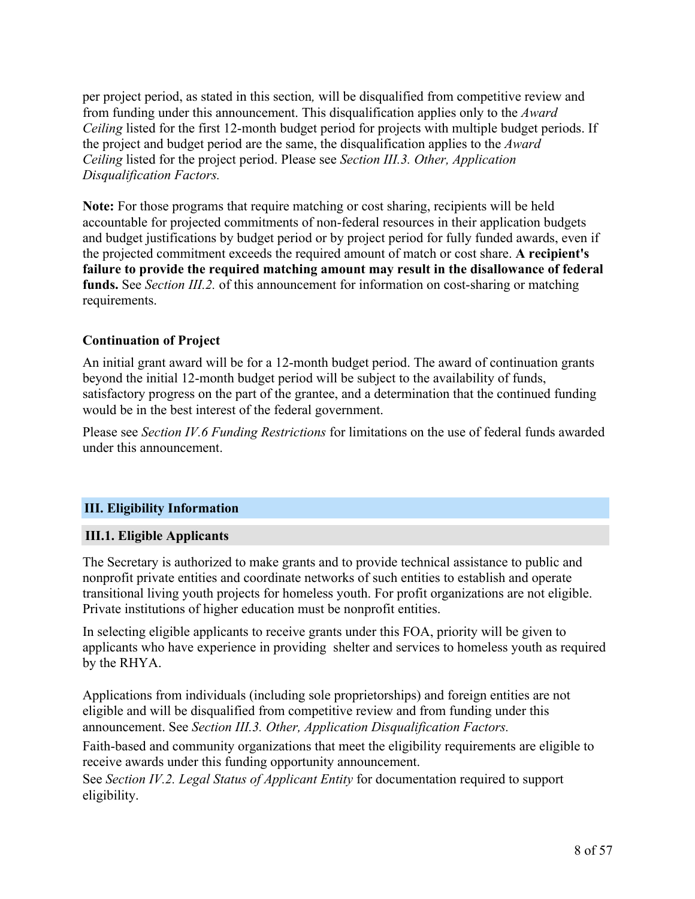per project period, as stated in this section*,* will be disqualified from competitive review and from funding under this announcement. This disqualification applies only to the *Award Ceiling* listed for the first 12-month budget period for projects with multiple budget periods. If the project and budget period are the same, the disqualification applies to the *Award Ceiling* listed for the project period. Please see *Section III.3. Other, Application Disqualification Factors.*

**Note:** For those programs that require matching or cost sharing, recipients will be held accountable for projected commitments of non-federal resources in their application budgets and budget justifications by budget period or by project period for fully funded awards, even if the projected commitment exceeds the required amount of match or cost share. **A recipient's failure to provide the required matching amount may result in the disallowance of federal funds.** See *Section III.2.* of this announcement for information on cost-sharing or matching requirements.

## **Continuation of Project**

An initial grant award will be for a 12-month budget period. The award of continuation grants beyond the initial 12-month budget period will be subject to the availability of funds, satisfactory progress on the part of the grantee, and a determination that the continued funding would be in the best interest of the federal government.

Please see *Section IV.6 Funding Restrictions* for limitations on the use of federal funds awarded under this announcement.

## **III. Eligibility Information**

#### <span id="page-9-0"></span>**III.1. Eligible Applicants**

The Secretary is authorized to make grants and to provide technical assistance to public and nonprofit private entities and coordinate networks of such entities to establish and operate transitional living youth projects for homeless youth. For profit organizations are not eligible. Private institutions of higher education must be nonprofit entities.

In selecting eligible applicants to receive grants under this FOA, priority will be given to applicants who have experience in providing shelter and services to homeless youth as required by the RHYA.

Applications from individuals (including sole proprietorships) and foreign entities are not eligible and will be disqualified from competitive review and from funding under this announcement. See *Section III.3. Other, Application Disqualification Factors.*

Faith-based and community organizations that meet the eligibility requirements are eligible to receive awards under this funding opportunity announcement.

See *Section IV.2. Legal Status of Applicant Entity* for documentation required to support eligibility.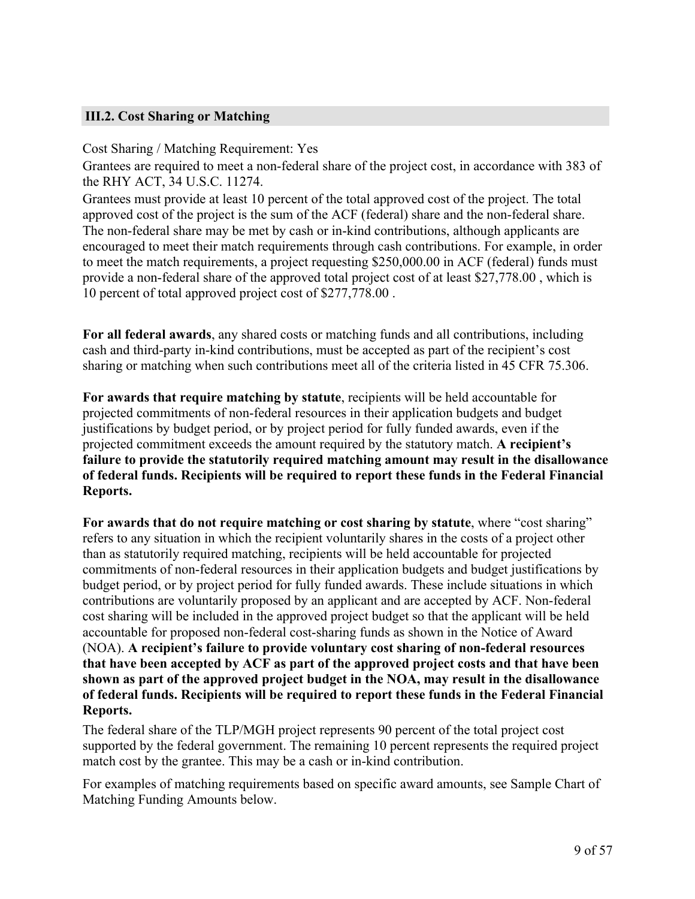## <span id="page-10-0"></span>**III.2. Cost Sharing or Matching**

Cost Sharing / Matching Requirement: Yes

Grantees are required to meet a non-federal share of the project cost, in accordance with 383 of the RHY ACT, 34 U.S.C. 11274.

Grantees must provide at least 10 percent of the total approved cost of the project. The total approved cost of the project is the sum of the ACF (federal) share and the non-federal share. The non-federal share may be met by cash or in-kind contributions, although applicants are encouraged to meet their match requirements through cash contributions. For example, in order to meet the match requirements, a project requesting \$250,000.00 in ACF (federal) funds must provide a non-federal share of the approved total project cost of at least \$27,778.00 , which is 10 percent of total approved project cost of \$277,778.00 .

**For all federal awards**, any shared costs or matching funds and all contributions, including cash and third-party in-kind contributions, must be accepted as part of the recipient's cost sharing or matching when such contributions meet all of the criteria listed in 45 CFR 75.306.

**For awards that require matching by statute**, recipients will be held accountable for projected commitments of non-federal resources in their application budgets and budget justifications by budget period, or by project period for fully funded awards, even if the projected commitment exceeds the amount required by the statutory match. **A recipient's failure to provide the statutorily required matching amount may result in the disallowance of federal funds. Recipients will be required to report these funds in the Federal Financial Reports.**

**For awards that do not require matching or cost sharing by statute**, where "cost sharing" refers to any situation in which the recipient voluntarily shares in the costs of a project other than as statutorily required matching, recipients will be held accountable for projected commitments of non-federal resources in their application budgets and budget justifications by budget period, or by project period for fully funded awards. These include situations in which contributions are voluntarily proposed by an applicant and are accepted by ACF. Non-federal cost sharing will be included in the approved project budget so that the applicant will be held accountable for proposed non-federal cost-sharing funds as shown in the Notice of Award (NOA). **A recipient's failure to provide voluntary cost sharing of non-federal resources that have been accepted by ACF as part of the approved project costs and that have been shown as part of the approved project budget in the NOA, may result in the disallowance of federal funds. Recipients will be required to report these funds in the Federal Financial Reports.**

The federal share of the TLP/MGH project represents 90 percent of the total project cost supported by the federal government. The remaining 10 percent represents the required project match cost by the grantee. This may be a cash or in-kind contribution.

For examples of matching requirements based on specific award amounts, see Sample Chart of Matching Funding Amounts below.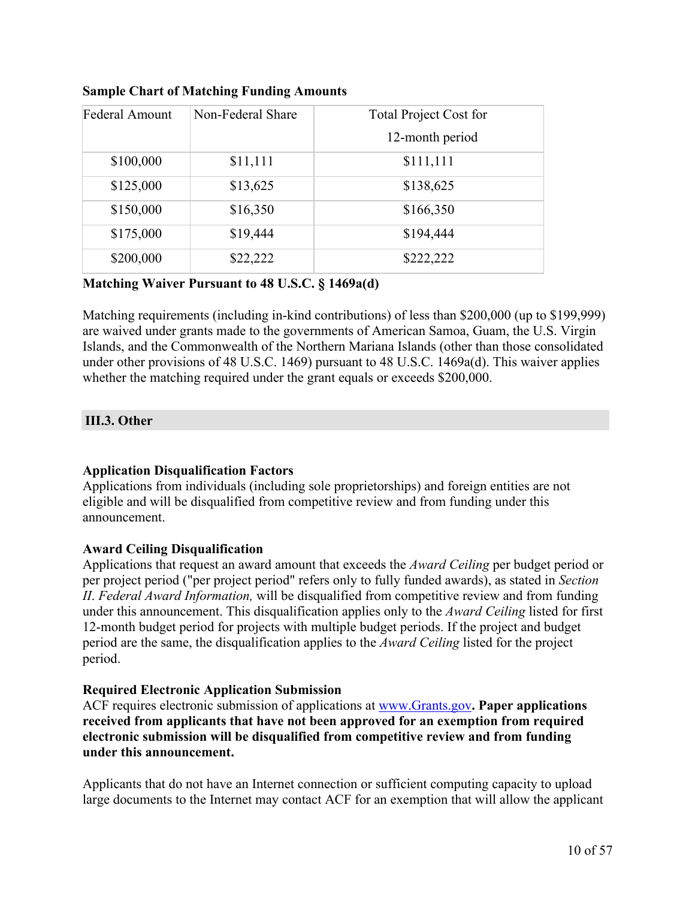| Federal Amount | Non-Federal Share | <b>Total Project Cost for</b> |
|----------------|-------------------|-------------------------------|
|                |                   | 12-month period               |
| \$100,000      | \$11,111          | \$111,111                     |
| \$125,000      | \$13,625          | \$138,625                     |
| \$150,000      | \$16,350          | \$166,350                     |
| \$175,000      | \$19,444          | \$194,444                     |
| \$200,000      | \$22,222          | \$222,222                     |

#### **Sample Chart of Matching Funding Amounts**

#### **Matching Waiver Pursuant to 48 U.S.C. § 1469a(d)**

Matching requirements (including in-kind contributions) of less than \$200,000 (up to \$199,999) are waived under grants made to the governments of American Samoa, Guam, the U.S. Virgin Islands, and the Commonwealth of the Northern Mariana Islands (other than those consolidated under other provisions of 48 U.S.C. 1469) pursuant to 48 U.S.C. 1469a(d). This waiver applies whether the matching required under the grant equals or exceeds \$200,000.

## <span id="page-11-0"></span>**III.3. Other**

## **Application Disqualification Factors**

Applications from individuals (including sole proprietorships) and foreign entities are not eligible and will be disqualified from competitive review and from funding under this announcement.

## **Award Ceiling Disqualification**

Applications that request an award amount that exceeds the *Award Ceiling* per budget period or per project period ("per project period" refers only to fully funded awards), as stated in *Section II*. *Federal Award Information,* will be disqualified from competitive review and from funding under this announcement. This disqualification applies only to the *Award Ceiling* listed for first 12-month budget period for projects with multiple budget periods. If the project and budget period are the same, the disqualification applies to the *Award Ceiling* listed for the project period.

## **Required Electronic Application Submission**

ACF requires electronic submission of applications at [www.Grants.gov](https://www.grants.gov)**. Paper applications received from applicants that have not been approved for an exemption from required electronic submission will be disqualified from competitive review and from funding under this announcement.**

Applicants that do not have an Internet connection or sufficient computing capacity to upload large documents to the Internet may contact ACF for an exemption that will allow the applicant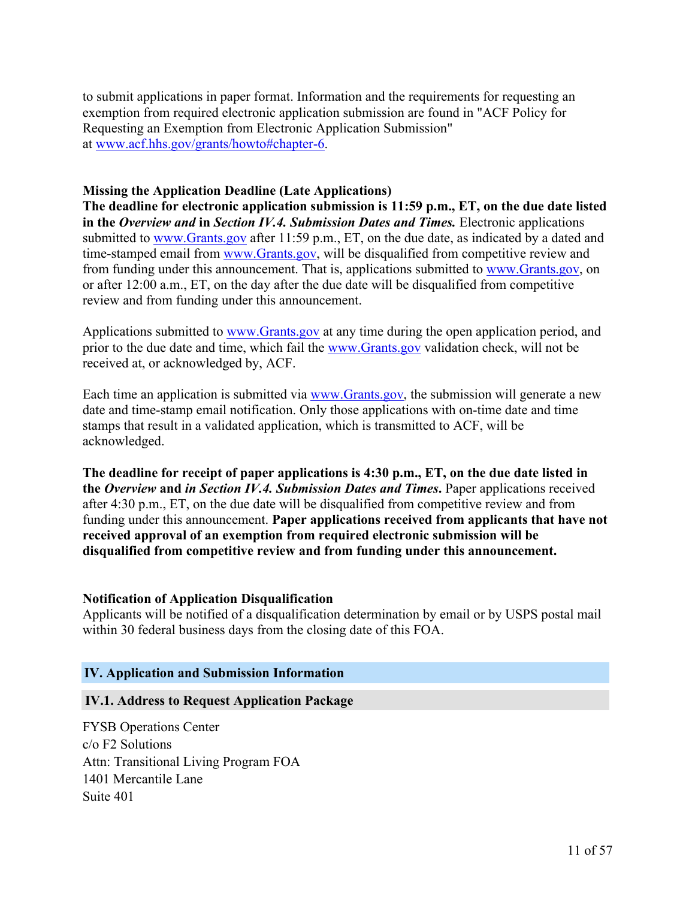to submit applications in paper format. Information and the requirements for requesting an exemption from required electronic application submission are found in "ACF Policy for Requesting an Exemption from Electronic Application Submission" at [www.acf.hhs.gov/grants/howto#chapter-6](https://www.acf.hhs.gov/grants/howto#chapter-6).

#### **Missing the Application Deadline (Late Applications)**

**The deadline for electronic application submission is 11:59 p.m., ET, on the due date listed in the** *Overview and* **in** *Section IV.4. Submission Dates and Times.* Electronic applications submitted to [www.Grants.gov](https://www.Grants.gov) after 11:59 p.m., ET, on the due date, as indicated by a dated and time-stamped email from [www.Grants.gov](https://www.Grants.gov), will be disqualified from competitive review and from funding under this announcement. That is, applications submitted to [www.Grants.gov,](https://www.Grants.gov) on or after 12:00 a.m., ET, on the day after the due date will be disqualified from competitive review and from funding under this announcement.

Applications submitted to [www.Grants.gov](https://www.Grants.gov) at any time during the open application period, and prior to the due date and time, which fail the [www.Grants.gov](https://www.Grants.gov) validation check, will not be received at, or acknowledged by, ACF.

Each time an application is submitted via [www.Grants.gov,](https://www.Grants.gov) the submission will generate a new date and time-stamp email notification. Only those applications with on-time date and time stamps that result in a validated application, which is transmitted to ACF, will be acknowledged.

**The deadline for receipt of paper applications is 4:30 p.m., ET, on the due date listed in the** *Overview* **and** *in Section IV.4. Submission Dates and Times***.** Paper applications received after 4:30 p.m., ET, on the due date will be disqualified from competitive review and from funding under this announcement. **Paper applications received from applicants that have not received approval of an exemption from required electronic submission will be disqualified from competitive review and from funding under this announcement.**

#### **Notification of Application Disqualification**

Applicants will be notified of a disqualification determination by email or by USPS postal mail within 30 federal business days from the closing date of this FOA.

#### **IV. Application and Submission Information**

#### <span id="page-12-0"></span>**IV.1. Address to Request Application Package**

FYSB Operations Center c/o F2 Solutions Attn: Transitional Living Program FOA 1401 Mercantile Lane Suite 401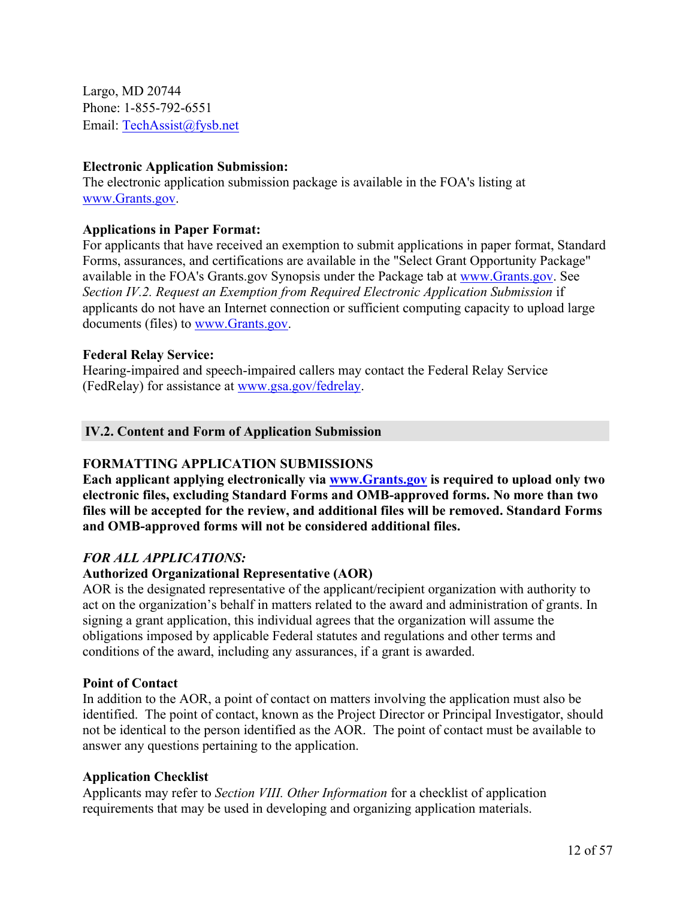Largo, MD 20744 Phone: 1-855-792-6551 Email: [TechAssist@fysb.net](mailto:TechAssist@fysb.net)

#### **Electronic Application Submission:**

The electronic application submission package is available in the FOA's listing at [www.Grants.gov.](https://www.Grants.gov)

#### **Applications in Paper Format:**

For applicants that have received an exemption to submit applications in paper format, Standard Forms, assurances, and certifications are available in the "Select Grant Opportunity Package" available in the FOA's Grants.gov Synopsis under the Package tab at [www.Grants.gov.](https://www.Grants.gov) See *Section IV.2. Request an Exemption from Required Electronic Application Submission* if applicants do not have an Internet connection or sufficient computing capacity to upload large documents (files) to [www.Grants.gov.](https://www.grants.gov)

#### **Federal Relay Service:**

Hearing-impaired and speech-impaired callers may contact the Federal Relay Service (FedRelay) for assistance at [www.gsa.gov/fedrelay.](http://www.gsa.gov/fedrelay)

#### <span id="page-13-0"></span>**IV.2. Content and Form of Application Submission**

## **FORMATTING APPLICATION SUBMISSIONS**

**Each applicant applying electronically via [www.Grants.gov](https://www.grants.gov/) is required to upload only two electronic files, excluding Standard Forms and OMB-approved forms. No more than two files will be accepted for the review, and additional files will be removed. Standard Forms and OMB-approved forms will not be considered additional files.**

## *FOR ALL APPLICATIONS:*

#### **Authorized Organizational Representative (AOR)**

AOR is the designated representative of the applicant/recipient organization with authority to act on the organization's behalf in matters related to the award and administration of grants. In signing a grant application, this individual agrees that the organization will assume the obligations imposed by applicable Federal statutes and regulations and other terms and conditions of the award, including any assurances, if a grant is awarded.

#### **Point of Contact**

In addition to the AOR, a point of contact on matters involving the application must also be identified. The point of contact, known as the Project Director or Principal Investigator, should not be identical to the person identified as the AOR. The point of contact must be available to answer any questions pertaining to the application.

#### **Application Checklist**

Applicants may refer to *Section VIII. Other Information* for a checklist of application requirements that may be used in developing and organizing application materials.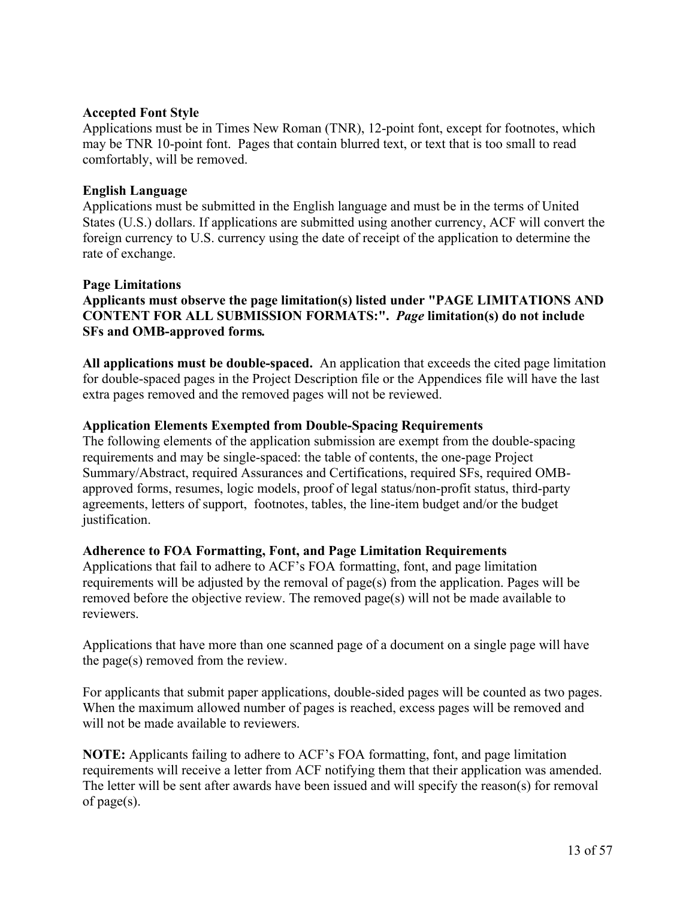#### **Accepted Font Style**

Applications must be in Times New Roman (TNR), 12-point font, except for footnotes, which may be TNR 10-point font. Pages that contain blurred text, or text that is too small to read comfortably, will be removed.

#### **English Language**

Applications must be submitted in the English language and must be in the terms of United States (U.S.) dollars. If applications are submitted using another currency, ACF will convert the foreign currency to U.S. currency using the date of receipt of the application to determine the rate of exchange.

#### **Page Limitations**

**Applicants must observe the page limitation(s) listed under "PAGE LIMITATIONS AND CONTENT FOR ALL SUBMISSION FORMATS:".** *Page* **limitation(s) do not include SFs and OMB-approved forms***.*

**All applications must be double-spaced.** An application that exceeds the cited page limitation for double-spaced pages in the Project Description file or the Appendices file will have the last extra pages removed and the removed pages will not be reviewed.

#### **Application Elements Exempted from Double-Spacing Requirements**

The following elements of the application submission are exempt from the double-spacing requirements and may be single-spaced: the table of contents, the one-page Project Summary/Abstract, required Assurances and Certifications, required SFs, required OMBapproved forms, resumes, logic models, proof of legal status/non-profit status, third-party agreements, letters of support, footnotes, tables, the line-item budget and/or the budget justification.

#### **Adherence to FOA Formatting, Font, and Page Limitation Requirements**

Applications that fail to adhere to ACF's FOA formatting, font, and page limitation requirements will be adjusted by the removal of page(s) from the application. Pages will be removed before the objective review. The removed page(s) will not be made available to reviewers.

Applications that have more than one scanned page of a document on a single page will have the page(s) removed from the review.

For applicants that submit paper applications, double-sided pages will be counted as two pages. When the maximum allowed number of pages is reached, excess pages will be removed and will not be made available to reviewers.

**NOTE:** Applicants failing to adhere to ACF's FOA formatting, font, and page limitation requirements will receive a letter from ACF notifying them that their application was amended. The letter will be sent after awards have been issued and will specify the reason(s) for removal of page(s).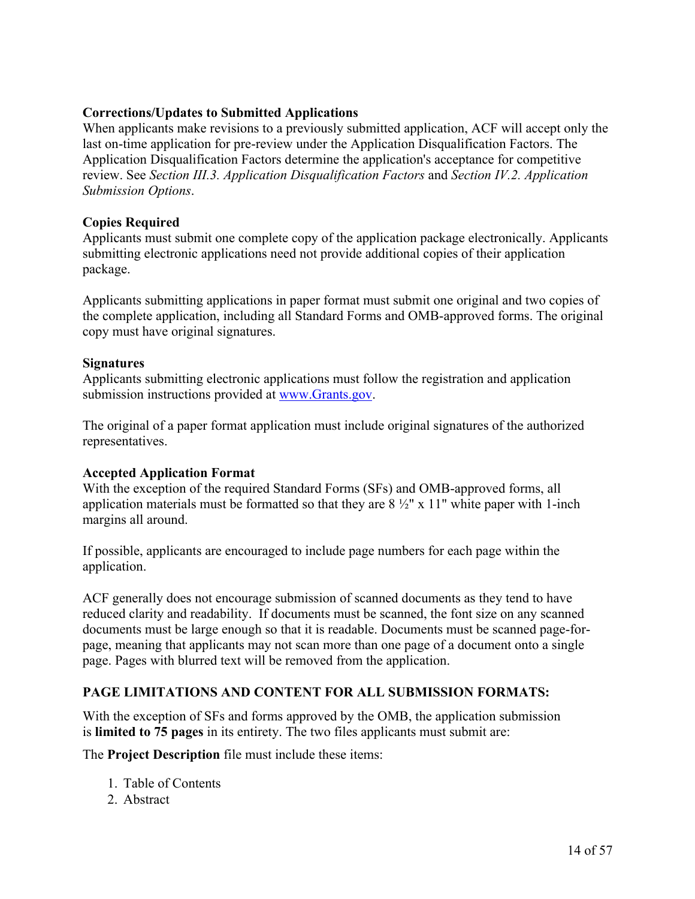## **Corrections/Updates to Submitted Applications**

When applicants make revisions to a previously submitted application, ACF will accept only the last on-time application for pre-review under the Application Disqualification Factors. The Application Disqualification Factors determine the application's acceptance for competitive review. See *Section III.3. Application Disqualification Factors* and *Section IV.2. Application Submission Options*.

## **Copies Required**

Applicants must submit one complete copy of the application package electronically. Applicants submitting electronic applications need not provide additional copies of their application package.

Applicants submitting applications in paper format must submit one original and two copies of the complete application, including all Standard Forms and OMB-approved forms. The original copy must have original signatures.

## **Signatures**

Applicants submitting electronic applications must follow the registration and application submission instructions provided at [www.Grants.gov](https://www.grants.gov/).

The original of a paper format application must include original signatures of the authorized representatives.

## **Accepted Application Format**

With the exception of the required Standard Forms (SFs) and OMB-approved forms, all application materials must be formatted so that they are  $8\frac{1}{2}$ " x 11" white paper with 1-inch margins all around.

If possible, applicants are encouraged to include page numbers for each page within the application.

ACF generally does not encourage submission of scanned documents as they tend to have reduced clarity and readability. If documents must be scanned, the font size on any scanned documents must be large enough so that it is readable. Documents must be scanned page-forpage, meaning that applicants may not scan more than one page of a document onto a single page. Pages with blurred text will be removed from the application.

## **PAGE LIMITATIONS AND CONTENT FOR ALL SUBMISSION FORMATS:**

With the exception of SFs and forms approved by the OMB, the application submission is **limited to 75 pages** in its entirety. The two files applicants must submit are:

The **Project Description** file must include these items:

- 1. Table of Contents
- 2. Abstract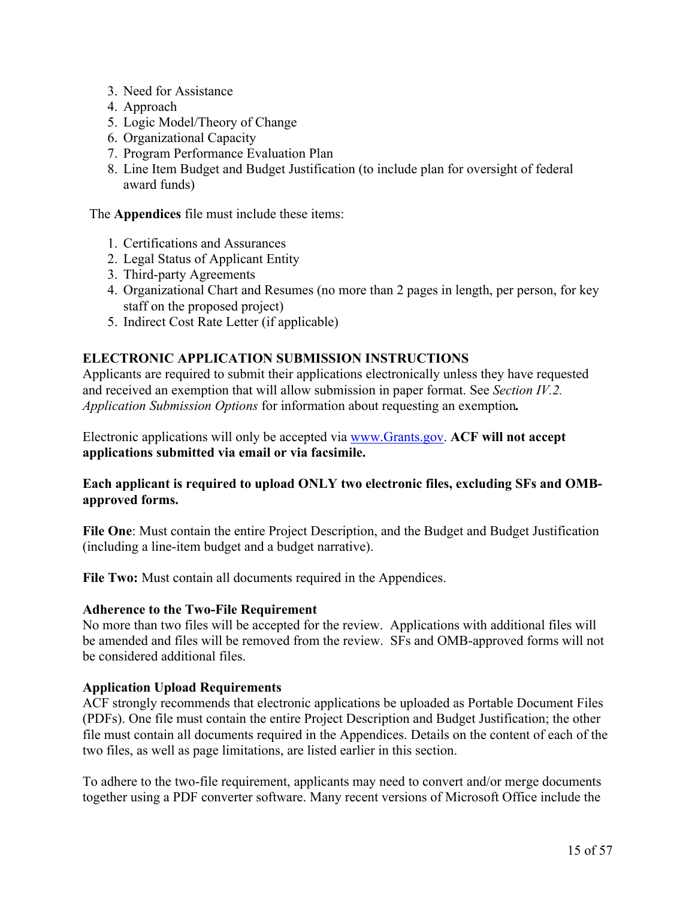- 3. Need for Assistance
- 4. Approach
- 5. Logic Model/Theory of Change
- 6. Organizational Capacity
- 7. Program Performance Evaluation Plan
- 8. Line Item Budget and Budget Justification (to include plan for oversight of federal award funds)

The **Appendices** file must include these items:

- 1. Certifications and Assurances
- 2. Legal Status of Applicant Entity
- 3. Third-party Agreements
- 4. Organizational Chart and Resumes (no more than 2 pages in length, per person, for key staff on the proposed project)
- 5. Indirect Cost Rate Letter (if applicable)

#### **ELECTRONIC APPLICATION SUBMISSION INSTRUCTIONS**

Applicants are required to submit their applications electronically unless they have requested and received an exemption that will allow submission in paper format. See *Section IV.2. Application Submission Options* for information about requesting an exemption*.*

Electronic applications will only be accepted via [www.Grants.gov.](https://www.grants.gov/) **ACF will not accept applications submitted via email or via facsimile.**

#### **Each applicant is required to upload ONLY two electronic files, excluding SFs and OMBapproved forms.**

**File One**: Must contain the entire Project Description, and the Budget and Budget Justification (including a line-item budget and a budget narrative).

**File Two:** Must contain all documents required in the Appendices.

#### **Adherence to the Two-File Requirement**

No more than two files will be accepted for the review. Applications with additional files will be amended and files will be removed from the review. SFs and OMB-approved forms will not be considered additional files.

#### **Application Upload Requirements**

ACF strongly recommends that electronic applications be uploaded as Portable Document Files (PDFs). One file must contain the entire Project Description and Budget Justification; the other file must contain all documents required in the Appendices. Details on the content of each of the two files, as well as page limitations, are listed earlier in this section.

To adhere to the two-file requirement, applicants may need to convert and/or merge documents together using a PDF converter software. Many recent versions of Microsoft Office include the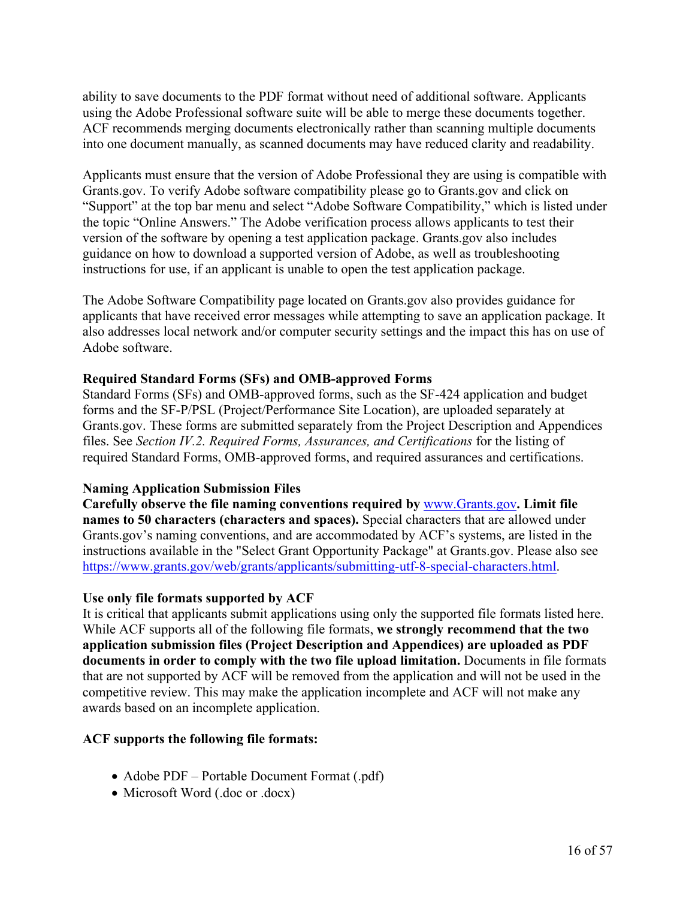ability to save documents to the PDF format without need of additional software. Applicants using the Adobe Professional software suite will be able to merge these documents together. ACF recommends merging documents electronically rather than scanning multiple documents into one document manually, as scanned documents may have reduced clarity and readability.

Applicants must ensure that the version of Adobe Professional they are using is compatible with Grants.gov. To verify Adobe software compatibility please go to Grants.gov and click on "Support" at the top bar menu and select "Adobe Software Compatibility," which is listed under the topic "Online Answers." The Adobe verification process allows applicants to test their version of the software by opening a test application package. Grants.gov also includes guidance on how to download a supported version of Adobe, as well as troubleshooting instructions for use, if an applicant is unable to open the test application package.

The Adobe Software Compatibility page located on Grants.gov also provides guidance for applicants that have received error messages while attempting to save an application package. It also addresses local network and/or computer security settings and the impact this has on use of Adobe software.

#### **Required Standard Forms (SFs) and OMB-approved Forms**

Standard Forms (SFs) and OMB-approved forms, such as the SF-424 application and budget forms and the SF-P/PSL (Project/Performance Site Location), are uploaded separately at Grants.gov. These forms are submitted separately from the Project Description and Appendices files. See *Section IV.2. Required Forms, Assurances, and Certifications* for the listing of required Standard Forms, OMB-approved forms, and required assurances and certifications.

#### **Naming Application Submission Files**

**Carefully observe the file naming conventions required by** [www.Grants.gov](https://www.grants.gov/)**. Limit file names to 50 characters (characters and spaces).** Special characters that are allowed under Grants.gov's naming conventions, and are accommodated by ACF's systems, are listed in the instructions available in the "Select Grant Opportunity Package" at Grants.gov. Please also see <https://www.grants.gov/web/grants/applicants/submitting-utf-8-special-characters.html>.

#### **Use only file formats supported by ACF**

It is critical that applicants submit applications using only the supported file formats listed here. While ACF supports all of the following file formats, **we strongly recommend that the two application submission files (Project Description and Appendices) are uploaded as PDF documents in order to comply with the two file upload limitation.** Documents in file formats that are not supported by ACF will be removed from the application and will not be used in the competitive review. This may make the application incomplete and ACF will not make any awards based on an incomplete application.

#### **ACF supports the following file formats:**

- Adobe PDF Portable Document Format (.pdf)
- Microsoft Word (.doc or .docx)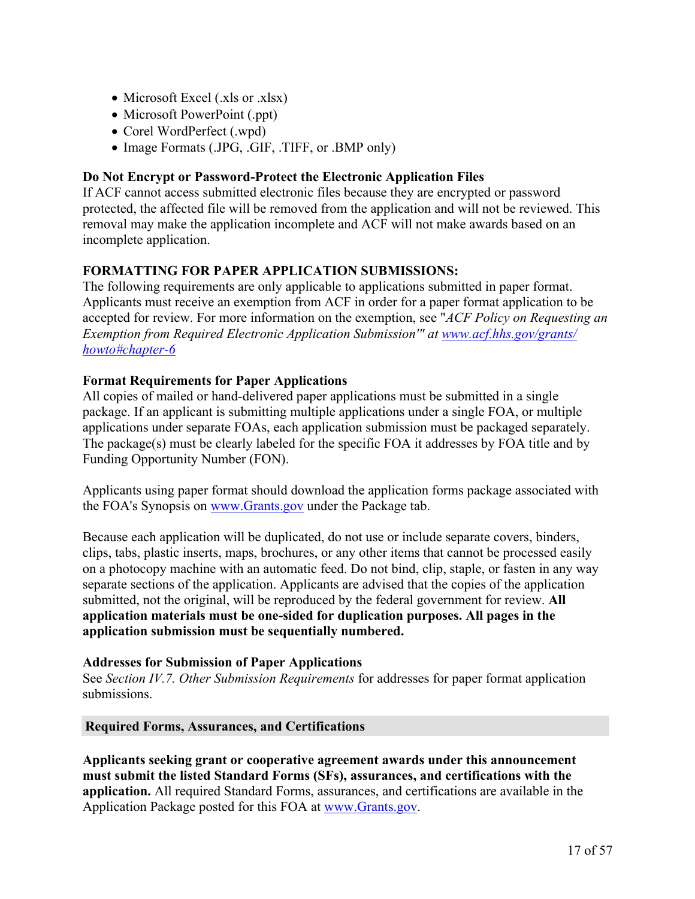- Microsoft Excel (.xls or .xlsx)
- Microsoft PowerPoint (.ppt)
- Corel WordPerfect (.wpd)
- Image Formats (.JPG, .GIF, .TIFF, or .BMP only)

## **Do Not Encrypt or Password-Protect the Electronic Application Files**

If ACF cannot access submitted electronic files because they are encrypted or password protected, the affected file will be removed from the application and will not be reviewed. This removal may make the application incomplete and ACF will not make awards based on an incomplete application.

## **FORMATTING FOR PAPER APPLICATION SUBMISSIONS:**

The following requirements are only applicable to applications submitted in paper format. Applicants must receive an exemption from ACF in order for a paper format application to be accepted for review. For more information on the exemption, see "*ACF Policy on Requesting an Exemption from Required Electronic Application Submission'" at [www.acf.hhs.gov/grants/](https://www.acf.hhs.gov/grants/howto#chapter-6) [howto#chapter-6](https://www.acf.hhs.gov/grants/howto#chapter-6)*

## **Format Requirements for Paper Applications**

All copies of mailed or hand-delivered paper applications must be submitted in a single package. If an applicant is submitting multiple applications under a single FOA, or multiple applications under separate FOAs, each application submission must be packaged separately. The package(s) must be clearly labeled for the specific FOA it addresses by FOA title and by Funding Opportunity Number (FON).

Applicants using paper format should download the application forms package associated with the FOA's Synopsis on [www.Grants.gov](https://www.Grants.gov) under the Package tab.

Because each application will be duplicated, do not use or include separate covers, binders, clips, tabs, plastic inserts, maps, brochures, or any other items that cannot be processed easily on a photocopy machine with an automatic feed. Do not bind, clip, staple, or fasten in any way separate sections of the application. Applicants are advised that the copies of the application submitted, not the original, will be reproduced by the federal government for review. **All application materials must be one-sided for duplication purposes. All pages in the application submission must be sequentially numbered.**

## **Addresses for Submission of Paper Applications**

See *Section IV.7. Other Submission Requirements* for addresses for paper format application submissions.

## **Required Forms, Assurances, and Certifications**

**Applicants seeking grant or cooperative agreement awards under this announcement must submit the listed Standard Forms (SFs), assurances, and certifications with the application.** All required Standard Forms, assurances, and certifications are available in the Application Package posted for this FOA at [www.Grants.gov.](https://www.grants.gov)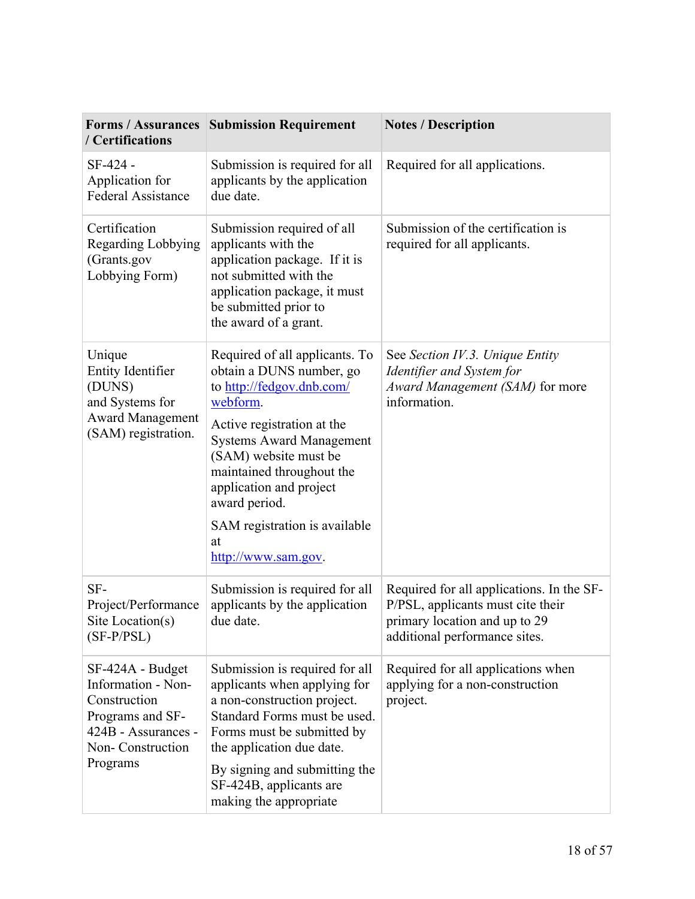| <b>Forms / Assurances</b><br>/ Certifications                                                                                     | <b>Submission Requirement</b>                                                                                                                                                                                                                                                                                                        | <b>Notes / Description</b>                                                                                                                       |
|-----------------------------------------------------------------------------------------------------------------------------------|--------------------------------------------------------------------------------------------------------------------------------------------------------------------------------------------------------------------------------------------------------------------------------------------------------------------------------------|--------------------------------------------------------------------------------------------------------------------------------------------------|
| SF-424 -<br>Application for<br><b>Federal Assistance</b>                                                                          | Submission is required for all<br>applicants by the application<br>due date.                                                                                                                                                                                                                                                         | Required for all applications.                                                                                                                   |
| Certification<br><b>Regarding Lobbying</b><br>(Grants.gov<br>Lobbying Form)                                                       | Submission required of all<br>applicants with the<br>application package. If it is<br>not submitted with the<br>application package, it must<br>be submitted prior to<br>the award of a grant.                                                                                                                                       | Submission of the certification is<br>required for all applicants.                                                                               |
| Unique<br><b>Entity Identifier</b><br>(DUNS)<br>and Systems for<br><b>Award Management</b><br>(SAM) registration.                 | Required of all applicants. To<br>obtain a DUNS number, go<br>to http://fedgov.dnb.com/<br>webform.<br>Active registration at the<br><b>Systems Award Management</b><br>(SAM) website must be<br>maintained throughout the<br>application and project<br>award period.<br>SAM registration is available<br>at<br>http://www.sam.gov. | See Section IV.3. Unique Entity<br>Identifier and System for<br>Award Management (SAM) for more<br>information.                                  |
| SF-<br>Project/Performance<br>Site Location(s)<br>$(SF-P/PSL)$                                                                    | Submission is required for all<br>applicants by the application<br>due date.                                                                                                                                                                                                                                                         | Required for all applications. In the SF-<br>P/PSL, applicants must cite their<br>primary location and up to 29<br>additional performance sites. |
| SF-424A - Budget<br>Information - Non-<br>Construction<br>Programs and SF-<br>424B - Assurances -<br>Non-Construction<br>Programs | Submission is required for all<br>applicants when applying for<br>a non-construction project.<br>Standard Forms must be used.<br>Forms must be submitted by<br>the application due date.                                                                                                                                             | Required for all applications when<br>applying for a non-construction<br>project.                                                                |
|                                                                                                                                   | By signing and submitting the<br>SF-424B, applicants are<br>making the appropriate                                                                                                                                                                                                                                                   |                                                                                                                                                  |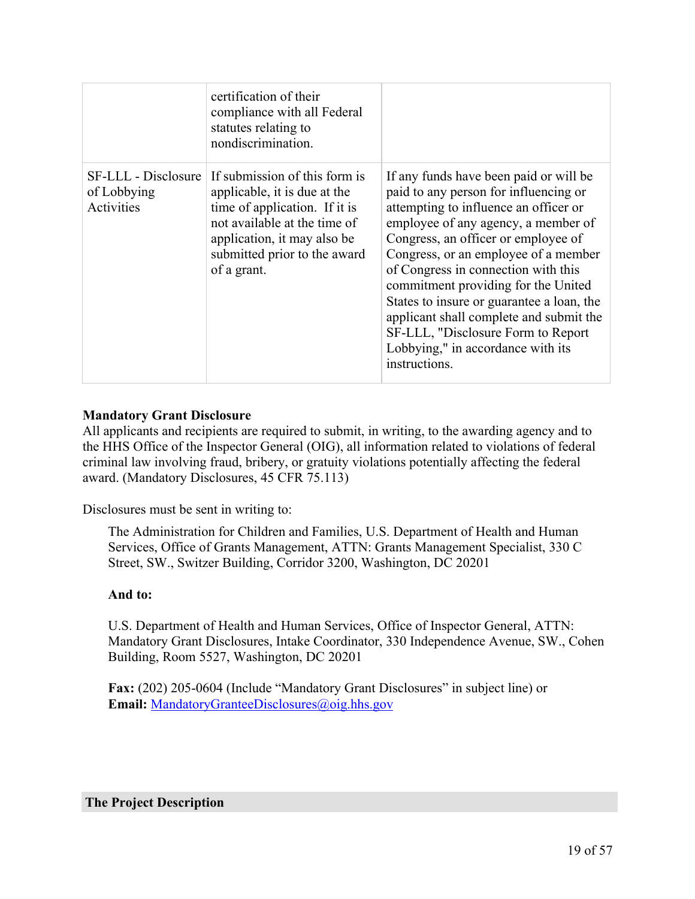|                           | certification of their<br>compliance with all Federal<br>statutes relating to<br>nondiscrimination.                                                                                                                              |                                                                                                                                                                                                                                                                                                                                                                                                                                                                                                                  |
|---------------------------|----------------------------------------------------------------------------------------------------------------------------------------------------------------------------------------------------------------------------------|------------------------------------------------------------------------------------------------------------------------------------------------------------------------------------------------------------------------------------------------------------------------------------------------------------------------------------------------------------------------------------------------------------------------------------------------------------------------------------------------------------------|
| of Lobbying<br>Activities | SF-LLL - Disclosure If submission of this form is<br>applicable, it is due at the<br>time of application. If it is<br>not available at the time of<br>application, it may also be<br>submitted prior to the award<br>of a grant. | If any funds have been paid or will be<br>paid to any person for influencing or<br>attempting to influence an officer or<br>employee of any agency, a member of<br>Congress, an officer or employee of<br>Congress, or an employee of a member<br>of Congress in connection with this<br>commitment providing for the United<br>States to insure or guarantee a loan, the<br>applicant shall complete and submit the<br>SF-LLL, "Disclosure Form to Report<br>Lobbying," in accordance with its<br>instructions. |

## **Mandatory Grant Disclosure**

All applicants and recipients are required to submit, in writing, to the awarding agency and to the HHS Office of the Inspector General (OIG), all information related to violations of federal criminal law involving fraud, bribery, or gratuity violations potentially affecting the federal award. (Mandatory Disclosures, 45 CFR 75.113)

Disclosures must be sent in writing to:

The Administration for Children and Families, U.S. Department of Health and Human Services, Office of Grants Management, ATTN: Grants Management Specialist, 330 C Street, SW., Switzer Building, Corridor 3200, Washington, DC 20201

#### **And to:**

U.S. Department of Health and Human Services, Office of Inspector General, ATTN: Mandatory Grant Disclosures, Intake Coordinator, 330 Independence Avenue, SW., Cohen Building, Room 5527, Washington, DC 20201

**Fax:** (202) 205-0604 (Include "Mandatory Grant Disclosures" in subject line) or **Email:** [MandatoryGr](mailto:MandatoryGranteeDisclosures@oig.hhs.gov)[anteeDisclosures@oig.hhs.gov](mailto:anteeDisclosures@oig.hhs.gov)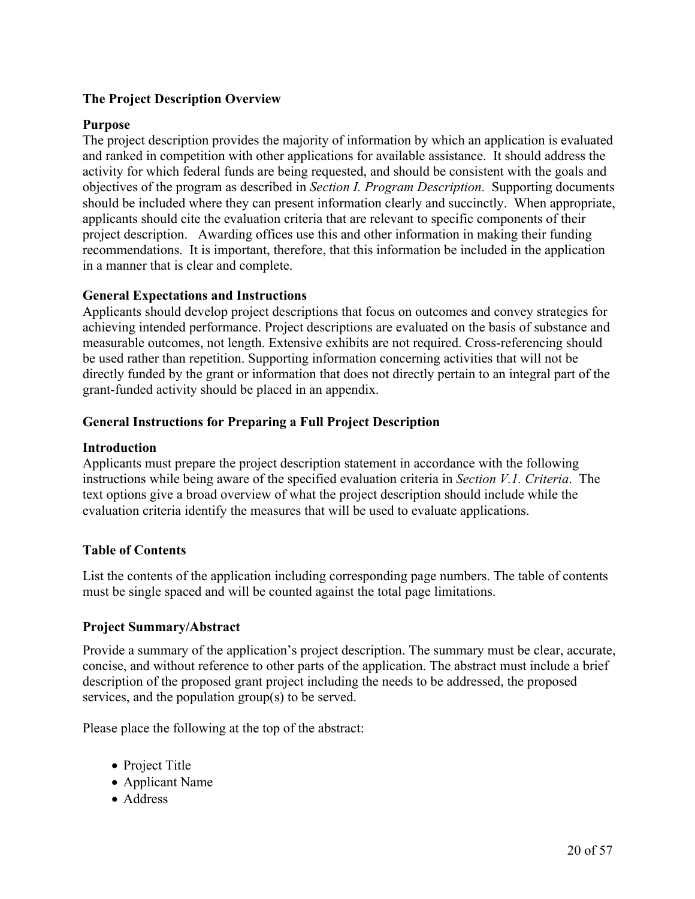## **The Project Description Overview**

#### **Purpose**

The project description provides the majority of information by which an application is evaluated and ranked in competition with other applications for available assistance. It should address the activity for which federal funds are being requested, and should be consistent with the goals and objectives of the program as described in *Section I. Program Description*. Supporting documents should be included where they can present information clearly and succinctly. When appropriate, applicants should cite the evaluation criteria that are relevant to specific components of their project description. Awarding offices use this and other information in making their funding recommendations. It is important, therefore, that this information be included in the application in a manner that is clear and complete.

## **General Expectations and Instructions**

Applicants should develop project descriptions that focus on outcomes and convey strategies for achieving intended performance. Project descriptions are evaluated on the basis of substance and measurable outcomes, not length. Extensive exhibits are not required. Cross-referencing should be used rather than repetition. Supporting information concerning activities that will not be directly funded by the grant or information that does not directly pertain to an integral part of the grant-funded activity should be placed in an appendix.

## **General Instructions for Preparing a Full Project Description**

#### **Introduction**

Applicants must prepare the project description statement in accordance with the following instructions while being aware of the specified evaluation criteria in *Section V.1. Criteria*. The text options give a broad overview of what the project description should include while the evaluation criteria identify the measures that will be used to evaluate applications.

## **Table of Contents**

List the contents of the application including corresponding page numbers. The table of contents must be single spaced and will be counted against the total page limitations.

#### **Project Summary/Abstract**

Provide a summary of the application's project description. The summary must be clear, accurate, concise, and without reference to other parts of the application. The abstract must include a brief description of the proposed grant project including the needs to be addressed, the proposed services, and the population group(s) to be served.

Please place the following at the top of the abstract:

- Project Title
- Applicant Name
- Address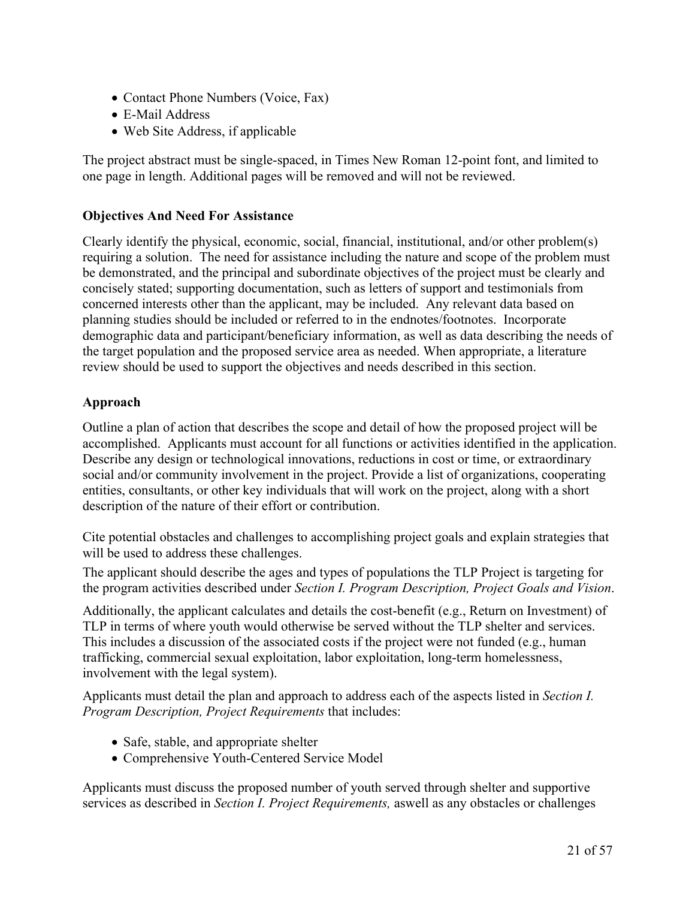- Contact Phone Numbers (Voice, Fax)
- E-Mail Address
- Web Site Address, if applicable

The project abstract must be single-spaced, in Times New Roman 12-point font, and limited to one page in length. Additional pages will be removed and will not be reviewed.

## **Objectives And Need For Assistance**

Clearly identify the physical, economic, social, financial, institutional, and/or other problem(s) requiring a solution. The need for assistance including the nature and scope of the problem must be demonstrated, and the principal and subordinate objectives of the project must be clearly and concisely stated; supporting documentation, such as letters of support and testimonials from concerned interests other than the applicant, may be included. Any relevant data based on planning studies should be included or referred to in the endnotes/footnotes. Incorporate demographic data and participant/beneficiary information, as well as data describing the needs of the target population and the proposed service area as needed. When appropriate, a literature review should be used to support the objectives and needs described in this section.

## **Approach**

Outline a plan of action that describes the scope and detail of how the proposed project will be accomplished. Applicants must account for all functions or activities identified in the application. Describe any design or technological innovations, reductions in cost or time, or extraordinary social and/or community involvement in the project. Provide a list of organizations, cooperating entities, consultants, or other key individuals that will work on the project, along with a short description of the nature of their effort or contribution.

Cite potential obstacles and challenges to accomplishing project goals and explain strategies that will be used to address these challenges.

The applicant should describe the ages and types of populations the TLP Project is targeting for the program activities described under *Section I. Program Description, Project Goals and Vision*.

Additionally, the applicant calculates and details the cost-benefit (e.g., Return on Investment) of TLP in terms of where youth would otherwise be served without the TLP shelter and services. This includes a discussion of the associated costs if the project were not funded (e.g., human trafficking, commercial sexual exploitation, labor exploitation, long-term homelessness, involvement with the legal system).

Applicants must detail the plan and approach to address each of the aspects listed in *Section I. Program Description, Project Requirements* that includes:

- Safe, stable, and appropriate shelter
- Comprehensive Youth-Centered Service Model

Applicants must discuss the proposed number of youth served through shelter and supportive services as described in *Section I. Project Requirements,* aswell as any obstacles or challenges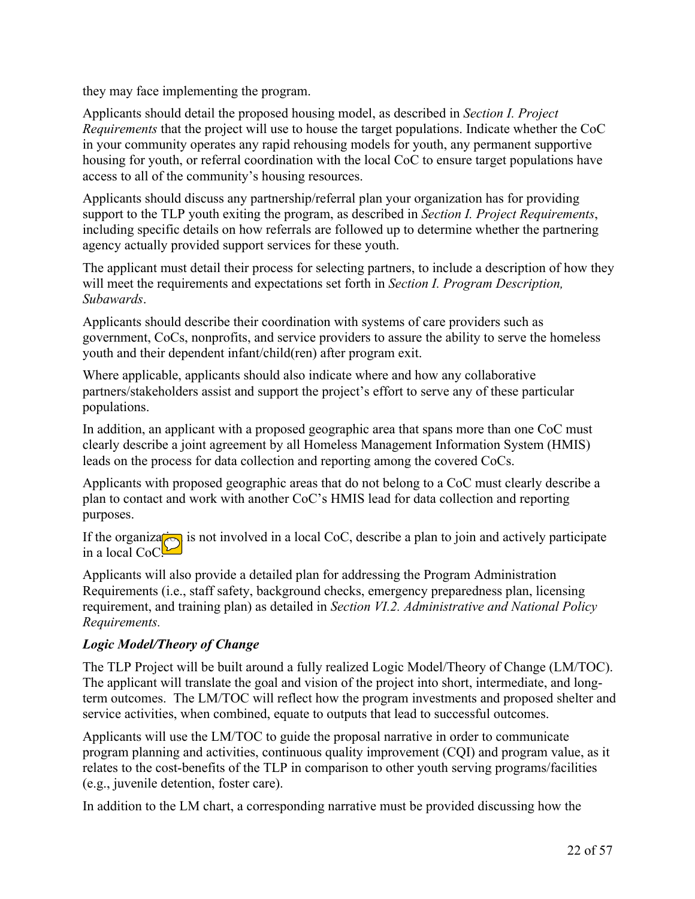they may face implementing the program.

Applicants should detail the proposed housing model, as described in *Section I. Project Requirements* that the project will use to house the target populations. Indicate whether the CoC in your community operates any rapid rehousing models for youth, any permanent supportive housing for youth, or referral coordination with the local CoC to ensure target populations have access to all of the community's housing resources.

Applicants should discuss any partnership/referral plan your organization has for providing support to the TLP youth exiting the program, as described in *Section I. Project Requirements*, including specific details on how referrals are followed up to determine whether the partnering agency actually provided support services for these youth.

The applicant must detail their process for selecting partners, to include a description of how they will meet the requirements and expectations set forth in *Section I. Program Description, Subawards*.

Applicants should describe their coordination with systems of care providers such as government, CoCs, nonprofits, and service providers to assure the ability to serve the homeless youth and their dependent infant/child(ren) after program exit.

Where applicable, applicants should also indicate where and how any collaborative partners/stakeholders assist and support the project's effort to serve any of these particular populations.

In addition, an applicant with a proposed geographic area that spans more than one CoC must clearly describe a joint agreement by all Homeless Management Information System (HMIS) leads on the process for data collection and reporting among the covered CoCs.

Applicants with proposed geographic areas that do not belong to a CoC must clearly describe a plan to contact and work with another CoC's HMIS lead for data collection and reporting purposes.

If the organization is not involved in a local CoC, describe a plan to join and actively participate in a local CoC!

Applicants will also provide a detailed plan for addressing the Program Administration Requirements (i.e., staff safety, background checks, emergency preparedness plan, licensing requirement, and training plan) as detailed in *Section VI.2. Administrative and National Policy Requirements.*

## *Logic Model/Theory of Change*

The TLP Project will be built around a fully realized Logic Model/Theory of Change (LM/TOC). The applicant will translate the goal and vision of the project into short, intermediate, and longterm outcomes. The LM/TOC will reflect how the program investments and proposed shelter and service activities, when combined, equate to outputs that lead to successful outcomes.

Applicants will use the LM/TOC to guide the proposal narrative in order to communicate program planning and activities, continuous quality improvement (CQI) and program value, as it relates to the cost-benefits of the TLP in comparison to other youth serving programs/facilities (e.g., juvenile detention, foster care).

In addition to the LM chart, a corresponding narrative must be provided discussing how the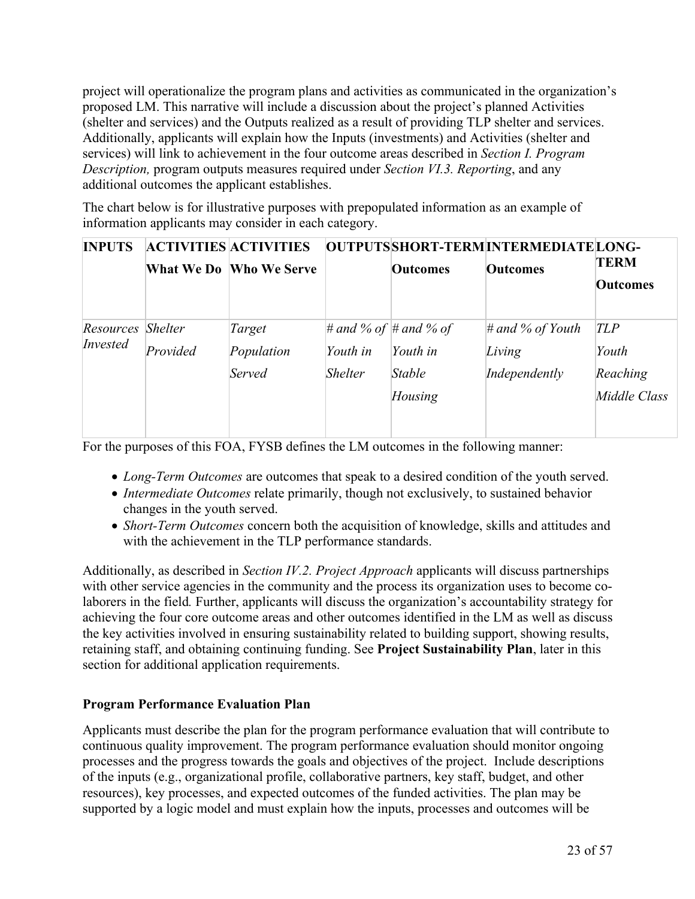project will operationalize the program plans and activities as communicated in the organization's proposed LM. This narrative will include a discussion about the project's planned Activities (shelter and services) and the Outputs realized as a result of providing TLP shelter and services. Additionally, applicants will explain how the Inputs (investments) and Activities (shelter and services) will link to achievement in the four outcome areas described in *Section I. Program Description,* program outputs measures required under *Section VI.3. Reporting*, and any additional outcomes the applicant establishes.

The chart below is for illustrative purposes with prepopulated information as an example of information applicants may consider in each category.

| <b>INPUTS</b> |                | <b>ACTIVITIES ACTIVITIES</b> |                | OUTPUTSSHORT-TERMINTERMEDIATELONG- |                     |                 |
|---------------|----------------|------------------------------|----------------|------------------------------------|---------------------|-----------------|
|               |                | What We Do Who We Serve      |                | <b>Outcomes</b>                    | <b>Outcomes</b>     | <b>TERM</b>     |
|               |                |                              |                |                                    |                     | <b>Outcomes</b> |
|               |                |                              |                |                                    |                     |                 |
| Resources     | <b>Shelter</b> | Target                       |                | # and % of # and % of              | $\#$ and % of Youth | TLP             |
| Invested      | Provided       | Population                   | Youth in       | Youth in                           | Living              | Youth           |
|               |                | Served                       | <b>Shelter</b> | <b>Stable</b>                      | Independently       | Reaching        |
|               |                |                              |                | Housing                            |                     | Middle Class    |
|               |                |                              |                |                                    |                     |                 |
|               |                |                              |                |                                    |                     |                 |

For the purposes of this FOA, FYSB defines the LM outcomes in the following manner:

- *Long-Term Outcomes* are outcomes that speak to a desired condition of the youth served.
- *Intermediate Outcomes* relate primarily, though not exclusively, to sustained behavior changes in the youth served.
- *Short-Term Outcomes* concern both the acquisition of knowledge, skills and attitudes and with the achievement in the TLP performance standards.

Additionally, as described in *Section IV.2. Project Approach* applicants will discuss partnerships with other service agencies in the community and the process its organization uses to become colaborers in the field*.* Further, applicants will discuss the organization's accountability strategy for achieving the four core outcome areas and other outcomes identified in the LM as well as discuss the key activities involved in ensuring sustainability related to building support, showing results, retaining staff, and obtaining continuing funding. See **Project Sustainability Plan**, later in this section for additional application requirements.

## **Program Performance Evaluation Plan**

Applicants must describe the plan for the program performance evaluation that will contribute to continuous quality improvement. The program performance evaluation should monitor ongoing processes and the progress towards the goals and objectives of the project. Include descriptions of the inputs (e.g., organizational profile, collaborative partners, key staff, budget, and other resources), key processes, and expected outcomes of the funded activities. The plan may be supported by a logic model and must explain how the inputs, processes and outcomes will be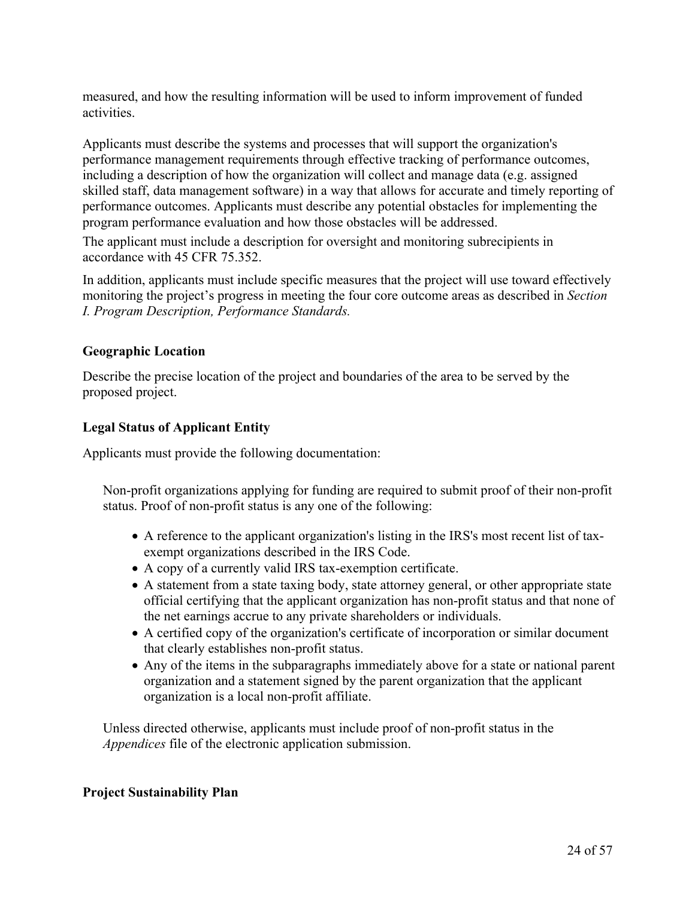measured, and how the resulting information will be used to inform improvement of funded activities.

Applicants must describe the systems and processes that will support the organization's performance management requirements through effective tracking of performance outcomes, including a description of how the organization will collect and manage data (e.g. assigned skilled staff, data management software) in a way that allows for accurate and timely reporting of performance outcomes. Applicants must describe any potential obstacles for implementing the program performance evaluation and how those obstacles will be addressed.

The applicant must include a description for oversight and monitoring subrecipients in accordance with 45 CFR 75.352.

In addition, applicants must include specific measures that the project will use toward effectively monitoring the project's progress in meeting the four core outcome areas as described in *Section I. Program Description, Performance Standards.*

## **Geographic Location**

Describe the precise location of the project and boundaries of the area to be served by the proposed project.

#### **Legal Status of Applicant Entity**

Applicants must provide the following documentation:

Non-profit organizations applying for funding are required to submit proof of their non-profit status. Proof of non-profit status is any one of the following:

- A reference to the applicant organization's listing in the IRS's most recent list of taxexempt organizations described in the IRS Code.
- A copy of a currently valid IRS tax-exemption certificate.
- A statement from a state taxing body, state attorney general, or other appropriate state official certifying that the applicant organization has non-profit status and that none of the net earnings accrue to any private shareholders or individuals.
- A certified copy of the organization's certificate of incorporation or similar document that clearly establishes non-profit status.
- Any of the items in the subparagraphs immediately above for a state or national parent organization and a statement signed by the parent organization that the applicant organization is a local non-profit affiliate.

Unless directed otherwise, applicants must include proof of non-profit status in the *Appendices* file of the electronic application submission.

#### **Project Sustainability Plan**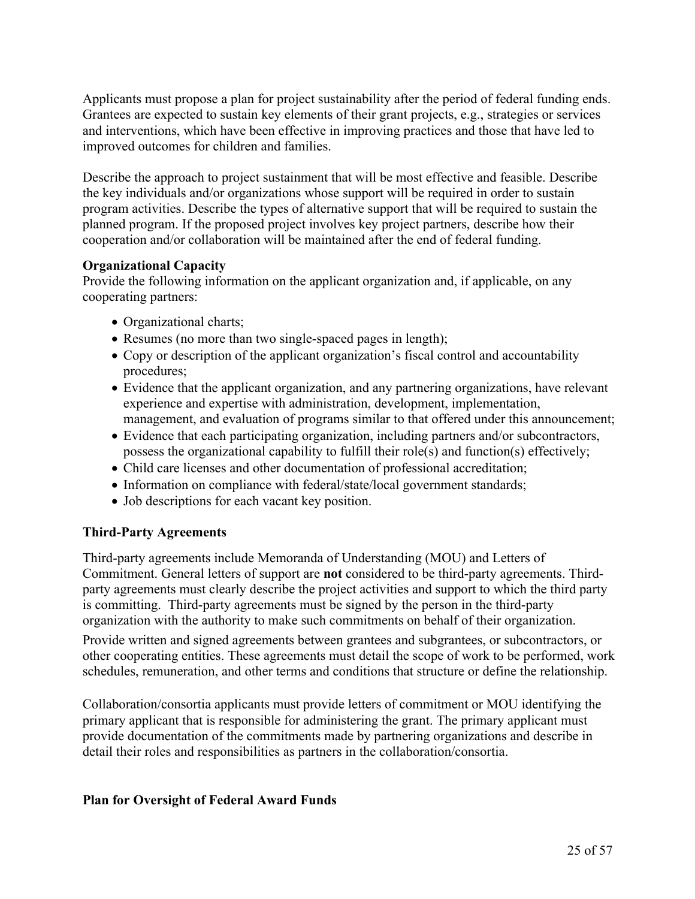Applicants must propose a plan for project sustainability after the period of federal funding ends. Grantees are expected to sustain key elements of their grant projects, e.g., strategies or services and interventions, which have been effective in improving practices and those that have led to improved outcomes for children and families.

Describe the approach to project sustainment that will be most effective and feasible. Describe the key individuals and/or organizations whose support will be required in order to sustain program activities. Describe the types of alternative support that will be required to sustain the planned program. If the proposed project involves key project partners, describe how their cooperation and/or collaboration will be maintained after the end of federal funding.

#### **Organizational Capacity**

Provide the following information on the applicant organization and, if applicable, on any cooperating partners:

- Organizational charts;
- Resumes (no more than two single-spaced pages in length);
- Copy or description of the applicant organization's fiscal control and accountability procedures;
- Evidence that the applicant organization, and any partnering organizations, have relevant experience and expertise with administration, development, implementation, management, and evaluation of programs similar to that offered under this announcement;
- Evidence that each participating organization, including partners and/or subcontractors, possess the organizational capability to fulfill their role(s) and function(s) effectively;
- Child care licenses and other documentation of professional accreditation;
- Information on compliance with federal/state/local government standards;
- Job descriptions for each vacant key position.

## **Third-Party Agreements**

Third-party agreements include Memoranda of Understanding (MOU) and Letters of Commitment. General letters of support are **not** considered to be third-party agreements. Thirdparty agreements must clearly describe the project activities and support to which the third party is committing. Third-party agreements must be signed by the person in the third-party organization with the authority to make such commitments on behalf of their organization.

Provide written and signed agreements between grantees and subgrantees, or subcontractors, or other cooperating entities. These agreements must detail the scope of work to be performed, work schedules, remuneration, and other terms and conditions that structure or define the relationship.

Collaboration/consortia applicants must provide letters of commitment or MOU identifying the primary applicant that is responsible for administering the grant. The primary applicant must provide documentation of the commitments made by partnering organizations and describe in detail their roles and responsibilities as partners in the collaboration/consortia.

## **Plan for Oversight of Federal Award Funds**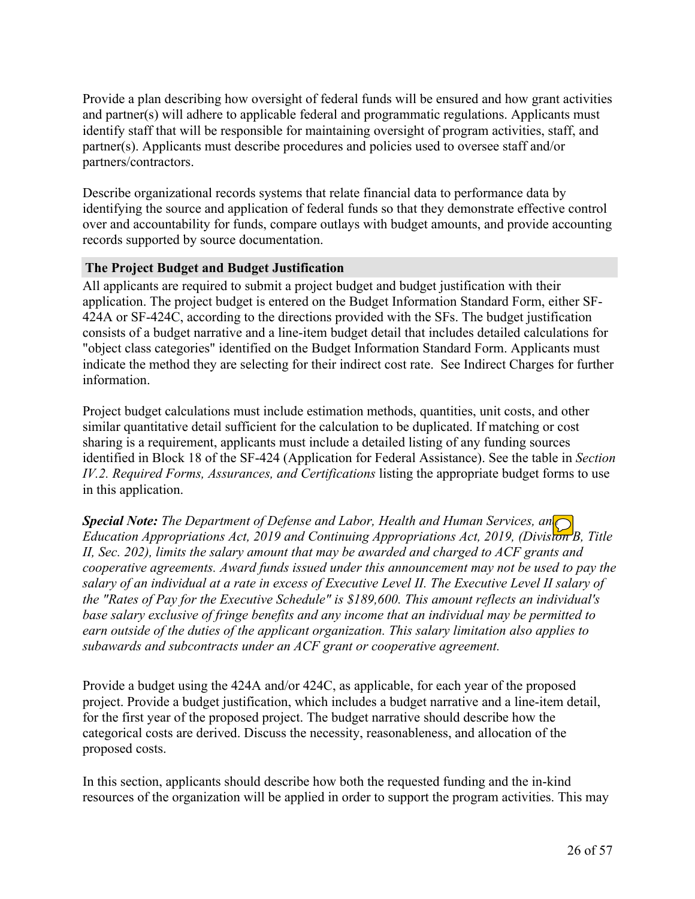Provide a plan describing how oversight of federal funds will be ensured and how grant activities and partner(s) will adhere to applicable federal and programmatic regulations. Applicants must identify staff that will be responsible for maintaining oversight of program activities, staff, and partner(s). Applicants must describe procedures and policies used to oversee staff and/or partners/contractors.

Describe organizational records systems that relate financial data to performance data by identifying the source and application of federal funds so that they demonstrate effective control over and accountability for funds, compare outlays with budget amounts, and provide accounting records supported by source documentation.

#### **The Project Budget and Budget Justification**

All applicants are required to submit a project budget and budget justification with their application. The project budget is entered on the Budget Information Standard Form, either SF-424A or SF-424C, according to the directions provided with the SFs. The budget justification consists of a budget narrative and a line-item budget detail that includes detailed calculations for "object class categories" identified on the Budget Information Standard Form. Applicants must indicate the method they are selecting for their indirect cost rate. See Indirect Charges for further information.

Project budget calculations must include estimation methods, quantities, unit costs, and other similar quantitative detail sufficient for the calculation to be duplicated. If matching or cost sharing is a requirement, applicants must include a detailed listing of any funding sources identified in Block 18 of the SF-424 (Application for Federal Assistance). See the table in *Section IV.2. Required Forms, Assurances, and Certifications* listing the appropriate budget forms to use in this application.

*Special Note: The Department of Defense and Labor, Health and Human Services, and Education Appropriations Act, 2019 and Continuing Appropriations Act, 2019, (Division B, Title II, Sec. 202), limits the salary amount that may be awarded and charged to ACF grants and cooperative agreements. Award funds issued under this announcement may not be used to pay the* salary of an individual at a rate in excess of Executive Level II. The Executive Level II salary of *the "Rates of Pay for the Executive Schedule" is \$189,600. This amount reflects an individual's base salary exclusive of fringe benefits and any income that an individual may be permitted to earn outside of the duties of the applicant organization. This salary limitation also applies to subawards and subcontracts under an ACF grant or cooperative agreement.*

Provide a budget using the 424A and/or 424C, as applicable, for each year of the proposed project. Provide a budget justification, which includes a budget narrative and a line-item detail, for the first year of the proposed project. The budget narrative should describe how the categorical costs are derived. Discuss the necessity, reasonableness, and allocation of the proposed costs.

In this section, applicants should describe how both the requested funding and the in-kind resources of the organization will be applied in order to support the program activities. This may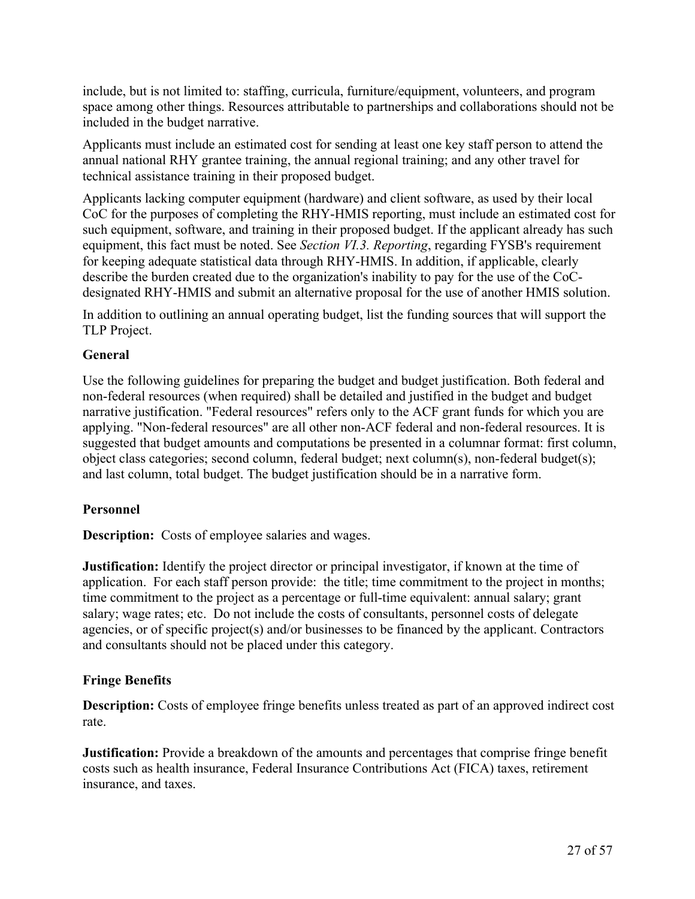include, but is not limited to: staffing, curricula, furniture/equipment, volunteers, and program space among other things. Resources attributable to partnerships and collaborations should not be included in the budget narrative.

Applicants must include an estimated cost for sending at least one key staff person to attend the annual national RHY grantee training, the annual regional training; and any other travel for technical assistance training in their proposed budget.

Applicants lacking computer equipment (hardware) and client software, as used by their local CoC for the purposes of completing the RHY-HMIS reporting, must include an estimated cost for such equipment, software, and training in their proposed budget. If the applicant already has such equipment, this fact must be noted. See *Section VI.3. Reporting*, regarding FYSB's requirement for keeping adequate statistical data through RHY-HMIS. In addition, if applicable, clearly describe the burden created due to the organization's inability to pay for the use of the CoCdesignated RHY-HMIS and submit an alternative proposal for the use of another HMIS solution.

In addition to outlining an annual operating budget, list the funding sources that will support the TLP Project.

## **General**

Use the following guidelines for preparing the budget and budget justification. Both federal and non-federal resources (when required) shall be detailed and justified in the budget and budget narrative justification. "Federal resources" refers only to the ACF grant funds for which you are applying. "Non-federal resources" are all other non-ACF federal and non-federal resources. It is suggested that budget amounts and computations be presented in a columnar format: first column, object class categories; second column, federal budget; next column(s), non-federal budget(s); and last column, total budget. The budget justification should be in a narrative form.

## **Personnel**

**Description:** Costs of employee salaries and wages.

**Justification:** Identify the project director or principal investigator, if known at the time of application. For each staff person provide: the title; time commitment to the project in months; time commitment to the project as a percentage or full-time equivalent: annual salary; grant salary; wage rates; etc. Do not include the costs of consultants, personnel costs of delegate agencies, or of specific project(s) and/or businesses to be financed by the applicant. Contractors and consultants should not be placed under this category.

## **Fringe Benefits**

**Description:** Costs of employee fringe benefits unless treated as part of an approved indirect cost rate.

**Justification:** Provide a breakdown of the amounts and percentages that comprise fringe benefit costs such as health insurance, Federal Insurance Contributions Act (FICA) taxes, retirement insurance, and taxes.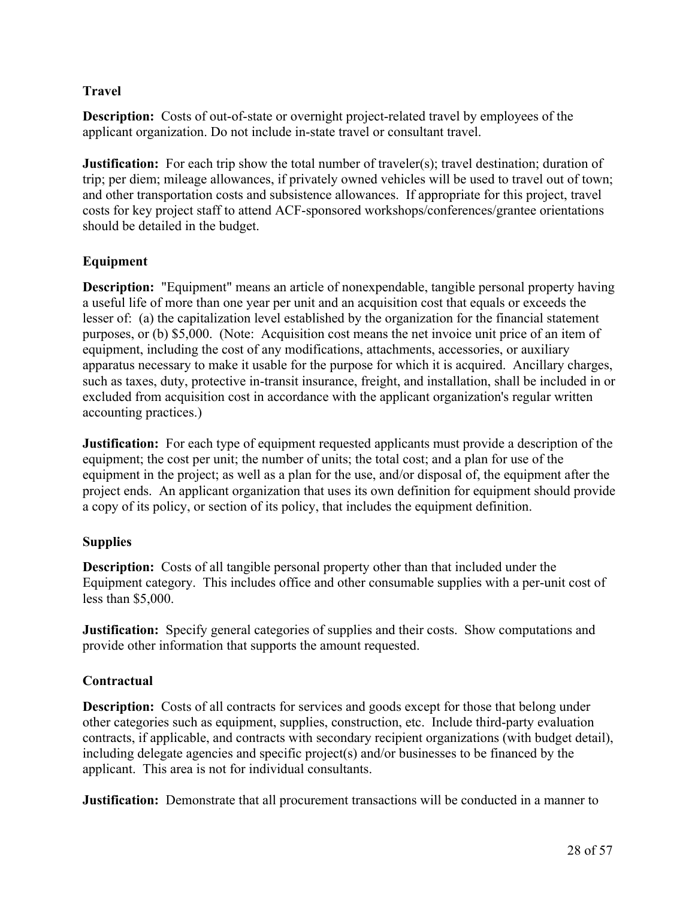## **Travel**

**Description:** Costs of out-of-state or overnight project-related travel by employees of the applicant organization. Do not include in-state travel or consultant travel.

**Justification:** For each trip show the total number of traveler(s); travel destination; duration of trip; per diem; mileage allowances, if privately owned vehicles will be used to travel out of town; and other transportation costs and subsistence allowances. If appropriate for this project, travel costs for key project staff to attend ACF-sponsored workshops/conferences/grantee orientations should be detailed in the budget.

## **Equipment**

**Description:** "Equipment" means an article of nonexpendable, tangible personal property having a useful life of more than one year per unit and an acquisition cost that equals or exceeds the lesser of: (a) the capitalization level established by the organization for the financial statement purposes, or (b) \$5,000. (Note: Acquisition cost means the net invoice unit price of an item of equipment, including the cost of any modifications, attachments, accessories, or auxiliary apparatus necessary to make it usable for the purpose for which it is acquired. Ancillary charges, such as taxes, duty, protective in-transit insurance, freight, and installation, shall be included in or excluded from acquisition cost in accordance with the applicant organization's regular written accounting practices.)

**Justification:** For each type of equipment requested applicants must provide a description of the equipment; the cost per unit; the number of units; the total cost; and a plan for use of the equipment in the project; as well as a plan for the use, and/or disposal of, the equipment after the project ends. An applicant organization that uses its own definition for equipment should provide a copy of its policy, or section of its policy, that includes the equipment definition.

## **Supplies**

**Description:** Costs of all tangible personal property other than that included under the Equipment category. This includes office and other consumable supplies with a per-unit cost of less than \$5,000.

**Justification:** Specify general categories of supplies and their costs. Show computations and provide other information that supports the amount requested.

## **Contractual**

**Description:** Costs of all contracts for services and goods except for those that belong under other categories such as equipment, supplies, construction, etc. Include third-party evaluation contracts, if applicable, and contracts with secondary recipient organizations (with budget detail), including delegate agencies and specific project(s) and/or businesses to be financed by the applicant. This area is not for individual consultants.

**Justification:** Demonstrate that all procurement transactions will be conducted in a manner to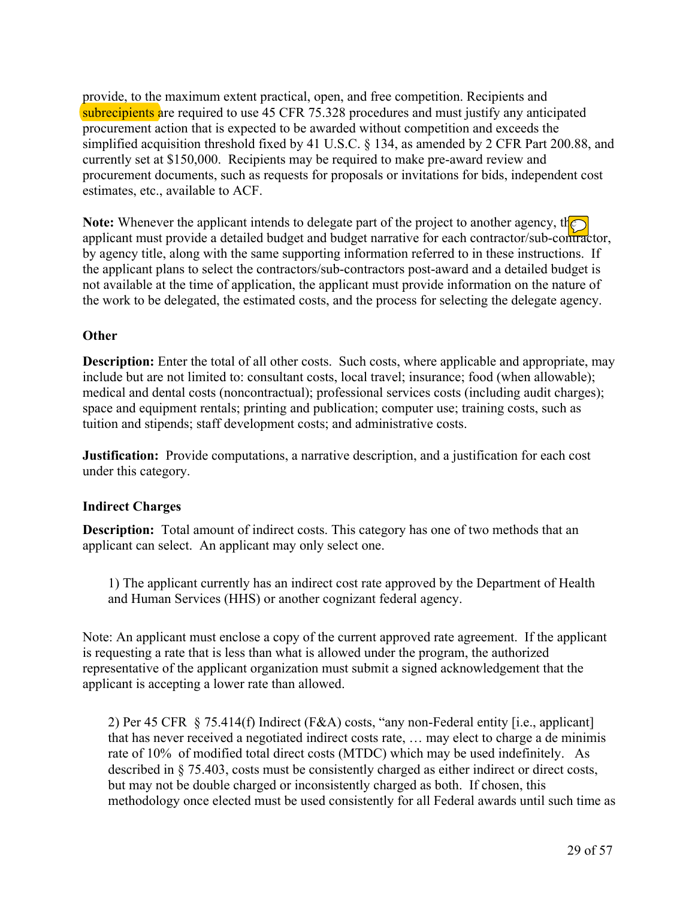provide, to the maximum extent practical, open, and free competition. Recipients and subrecipients are required to use 45 CFR 75.328 procedures and must justify any anticipated procurement action that is expected to be awarded without competition and exceeds the simplified acquisition threshold fixed by 41 U.S.C. § 134, as amended by 2 CFR Part 200.88, and currently set at \$150,000. Recipients may be required to make pre-award review and procurement documents, such as requests for proposals or invitations for bids, independent cost estimates, etc., available to ACF.

**Note:** Whenever the applicant intends to delegate part of the project to another agency, the applicant must provide a detailed budget and budget narrative for each contractor/sub-contractor, by agency title, along with the same supporting information referred to in these instructions. If the applicant plans to select the contractors/sub-contractors post-award and a detailed budget is not available at the time of application, the applicant must provide information on the nature of the work to be delegated, the estimated costs, and the process for selecting the delegate agency.

## **Other**

**Description:** Enter the total of all other costs. Such costs, where applicable and appropriate, may include but are not limited to: consultant costs, local travel; insurance; food (when allowable); medical and dental costs (noncontractual); professional services costs (including audit charges); space and equipment rentals; printing and publication; computer use; training costs, such as tuition and stipends; staff development costs; and administrative costs.

**Justification:** Provide computations, a narrative description, and a justification for each cost under this category.

## **Indirect Charges**

**Description:** Total amount of indirect costs. This category has one of two methods that an applicant can select. An applicant may only select one.

1) The applicant currently has an indirect cost rate approved by the Department of Health and Human Services (HHS) or another cognizant federal agency.

Note: An applicant must enclose a copy of the current approved rate agreement. If the applicant is requesting a rate that is less than what is allowed under the program, the authorized representative of the applicant organization must submit a signed acknowledgement that the applicant is accepting a lower rate than allowed.

2) Per 45 CFR § 75.414(f) Indirect (F&A) costs, "any non-Federal entity [i.e., applicant] that has never received a negotiated indirect costs rate, … may elect to charge a de minimis rate of 10% of modified total direct costs (MTDC) which may be used indefinitely. As described in § 75.403, costs must be consistently charged as either indirect or direct costs, but may not be double charged or inconsistently charged as both. If chosen, this methodology once elected must be used consistently for all Federal awards until such time as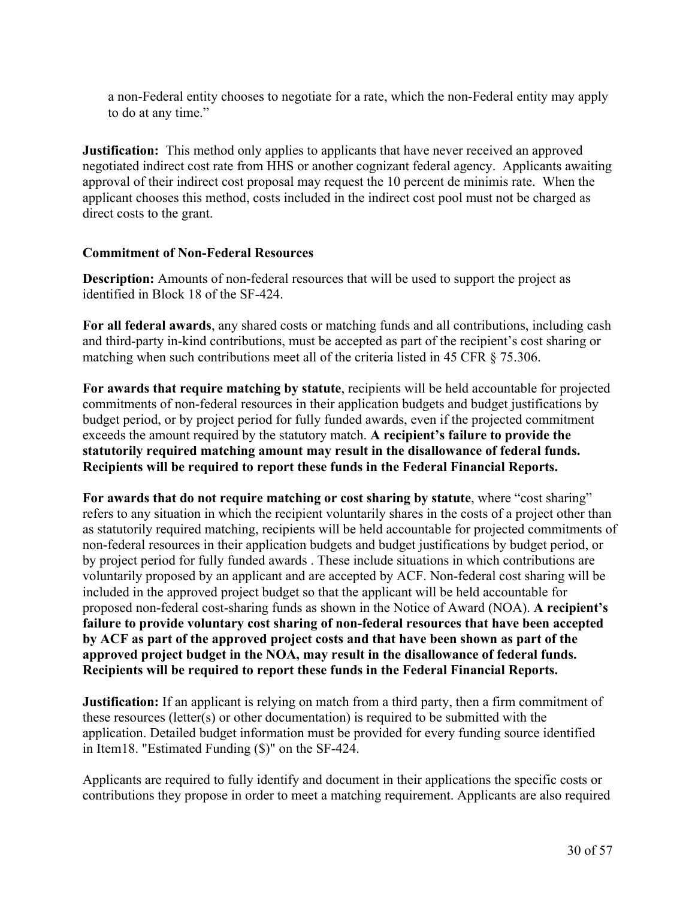a non-Federal entity chooses to negotiate for a rate, which the non-Federal entity may apply to do at any time."

**Justification:** This method only applies to applicants that have never received an approved negotiated indirect cost rate from HHS or another cognizant federal agency. Applicants awaiting approval of their indirect cost proposal may request the 10 percent de minimis rate. When the applicant chooses this method, costs included in the indirect cost pool must not be charged as direct costs to the grant.

#### **Commitment of Non-Federal Resources**

**Description:** Amounts of non-federal resources that will be used to support the project as identified in Block 18 of the SF-424.

**For all federal awards**, any shared costs or matching funds and all contributions, including cash and third-party in-kind contributions, must be accepted as part of the recipient's cost sharing or matching when such contributions meet all of the criteria listed in 45 CFR § 75.306.

**For awards that require matching by statute**, recipients will be held accountable for projected commitments of non-federal resources in their application budgets and budget justifications by budget period, or by project period for fully funded awards, even if the projected commitment exceeds the amount required by the statutory match. **A recipient's failure to provide the statutorily required matching amount may result in the disallowance of federal funds. Recipients will be required to report these funds in the Federal Financial Reports.**

**For awards that do not require matching or cost sharing by statute**, where "cost sharing" refers to any situation in which the recipient voluntarily shares in the costs of a project other than as statutorily required matching, recipients will be held accountable for projected commitments of non-federal resources in their application budgets and budget justifications by budget period, or by project period for fully funded awards . These include situations in which contributions are voluntarily proposed by an applicant and are accepted by ACF. Non-federal cost sharing will be included in the approved project budget so that the applicant will be held accountable for proposed non-federal cost-sharing funds as shown in the Notice of Award (NOA). **A recipient's failure to provide voluntary cost sharing of non-federal resources that have been accepted by ACF as part of the approved project costs and that have been shown as part of the approved project budget in the NOA, may result in the disallowance of federal funds. Recipients will be required to report these funds in the Federal Financial Reports.**

**Justification:** If an applicant is relying on match from a third party, then a firm commitment of these resources (letter(s) or other documentation) is required to be submitted with the application. Detailed budget information must be provided for every funding source identified in Item18. "Estimated Funding (\$)" on the SF-424.

Applicants are required to fully identify and document in their applications the specific costs or contributions they propose in order to meet a matching requirement. Applicants are also required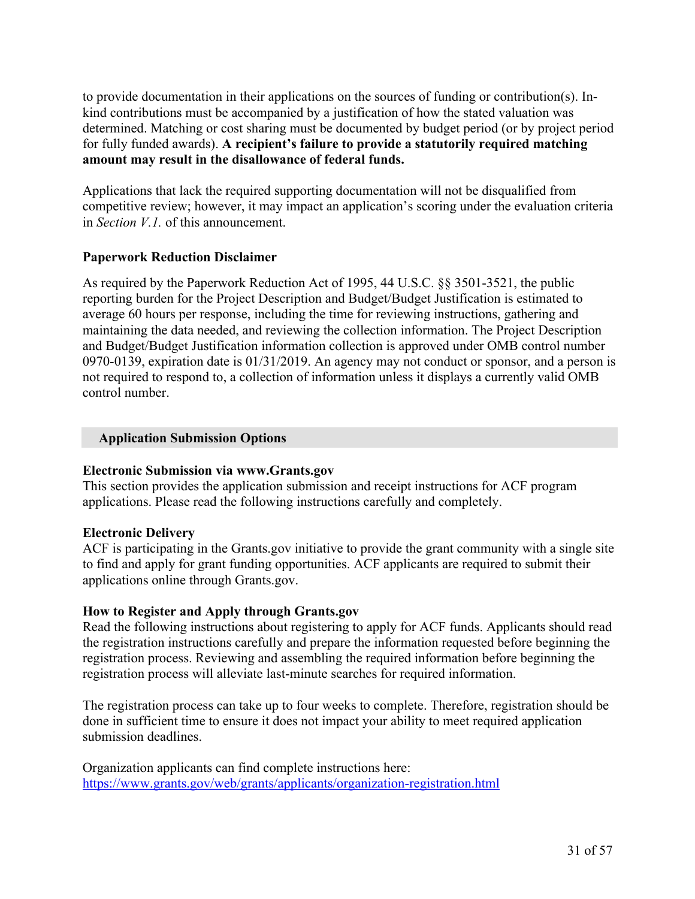to provide documentation in their applications on the sources of funding or contribution(s). Inkind contributions must be accompanied by a justification of how the stated valuation was determined. Matching or cost sharing must be documented by budget period (or by project period for fully funded awards). **A recipient's failure to provide a statutorily required matching amount may result in the disallowance of federal funds.**

Applications that lack the required supporting documentation will not be disqualified from competitive review; however, it may impact an application's scoring under the evaluation criteria in *Section V.1.* of this announcement.

## **Paperwork Reduction Disclaimer**

As required by the Paperwork Reduction Act of 1995, 44 U.S.C. §§ 3501-3521, the public reporting burden for the Project Description and Budget/Budget Justification is estimated to average 60 hours per response, including the time for reviewing instructions, gathering and maintaining the data needed, and reviewing the collection information. The Project Description and Budget/Budget Justification information collection is approved under OMB control number 0970-0139, expiration date is 01/31/2019. An agency may not conduct or sponsor, and a person is not required to respond to, a collection of information unless it displays a currently valid OMB control number.

#### **Application Submission Options**

## **Electronic Submission via www.Grants.gov**

This section provides the application submission and receipt instructions for ACF program applications. Please read the following instructions carefully and completely.

## **Electronic Delivery**

ACF is participating in the Grants.gov initiative to provide the grant community with a single site to find and apply for grant funding opportunities. ACF applicants are required to submit their applications online through Grants.gov.

## **How to Register and Apply through Grants.gov**

Read the following instructions about registering to apply for ACF funds. Applicants should read the registration instructions carefully and prepare the information requested before beginning the registration process. Reviewing and assembling the required information before beginning the registration process will alleviate last-minute searches for required information.

The registration process can take up to four weeks to complete. Therefore, registration should be done in sufficient time to ensure it does not impact your ability to meet required application submission deadlines.

Organization applicants can find complete instructions here: <https://www.grants.gov/web/grants/applicants/organization-registration.html>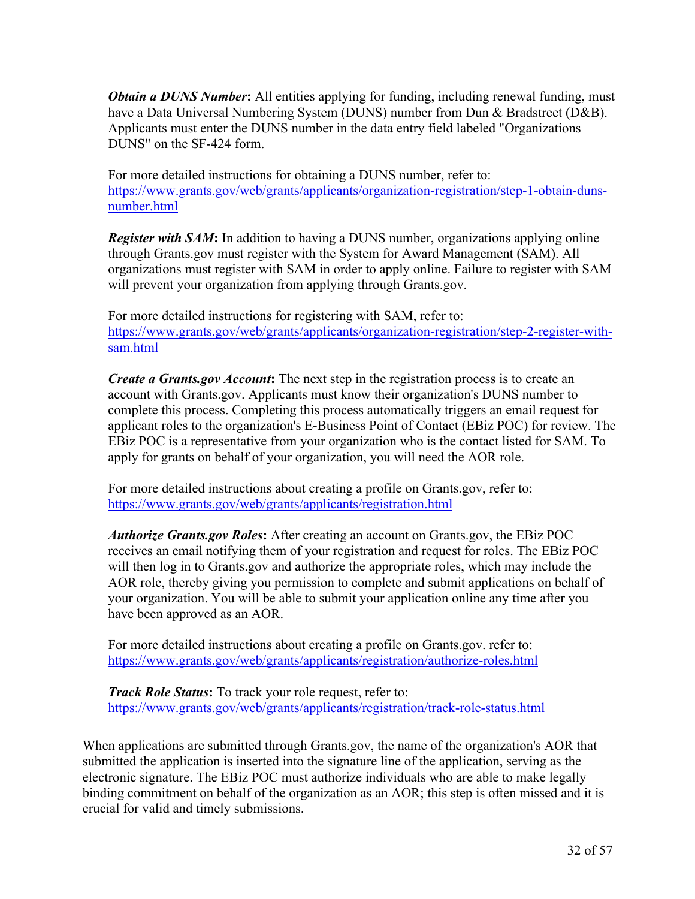*Obtain a DUNS Number***:** All entities applying for funding, including renewal funding, must have a Data Universal Numbering System (DUNS) number from Dun & Bradstreet (D&B). Applicants must enter the DUNS number in the data entry field labeled "Organizations DUNS" on the SF-424 form.

For more detailed instructions for obtaining a DUNS number, refer to: [https://www.grants.gov/web/grants/applicants/organization-registration/step-1-obtain-duns](https://www.grants.gov/web/grants/applicants/organization-registration/step-1-obtain-duns-number.html)[number.html](https://www.grants.gov/web/grants/applicants/organization-registration/step-1-obtain-duns-number.html)

*Register with SAM***:** In addition to having a DUNS number, organizations applying online through Grants.gov must register with the System for Award Management (SAM). All organizations must register with SAM in order to apply online. Failure to register with SAM will prevent your organization from applying through Grants.gov.

For more detailed instructions for registering with SAM, refer to: [https://www.grants.gov/web/grants/applicants/organization-registration/step-2-register-with](https://www.grants.gov/web/grants/applicants/organization-registration/step-2-register-with-sam.html)[sam.html](https://www.grants.gov/web/grants/applicants/organization-registration/step-2-register-with-sam.html)

*Create a Grants.gov Account***:** The next step in the registration process is to create an account with Grants.gov. Applicants must know their organization's DUNS number to complete this process. Completing this process automatically triggers an email request for applicant roles to the organization's E-Business Point of Contact (EBiz POC) for review. The EBiz POC is a representative from your organization who is the contact listed for SAM. To apply for grants on behalf of your organization, you will need the AOR role.

For more detailed instructions about creating a profile on Grants.gov, refer to: <https://www.grants.gov/web/grants/applicants/registration.html>

*Authorize Grants.gov Roles***:** After creating an account on Grants.gov, the EBiz POC receives an email notifying them of your registration and request for roles. The EBiz POC will then log in to Grants.gov and authorize the appropriate roles, which may include the AOR role, thereby giving you permission to complete and submit applications on behalf of your organization. You will be able to submit your application online any time after you have been approved as an AOR.

For more detailed instructions about creating a profile on Grants.gov. refer to: <https://www.grants.gov/web/grants/applicants/registration/authorize-roles.html>

*Track Role Status***:** To track your role request, refer to: <https://www.grants.gov/web/grants/applicants/registration/track-role-status.html>

When applications are submitted through Grants.gov, the name of the organization's AOR that submitted the application is inserted into the signature line of the application, serving as the electronic signature. The EBiz POC must authorize individuals who are able to make legally binding commitment on behalf of the organization as an AOR; this step is often missed and it is crucial for valid and timely submissions.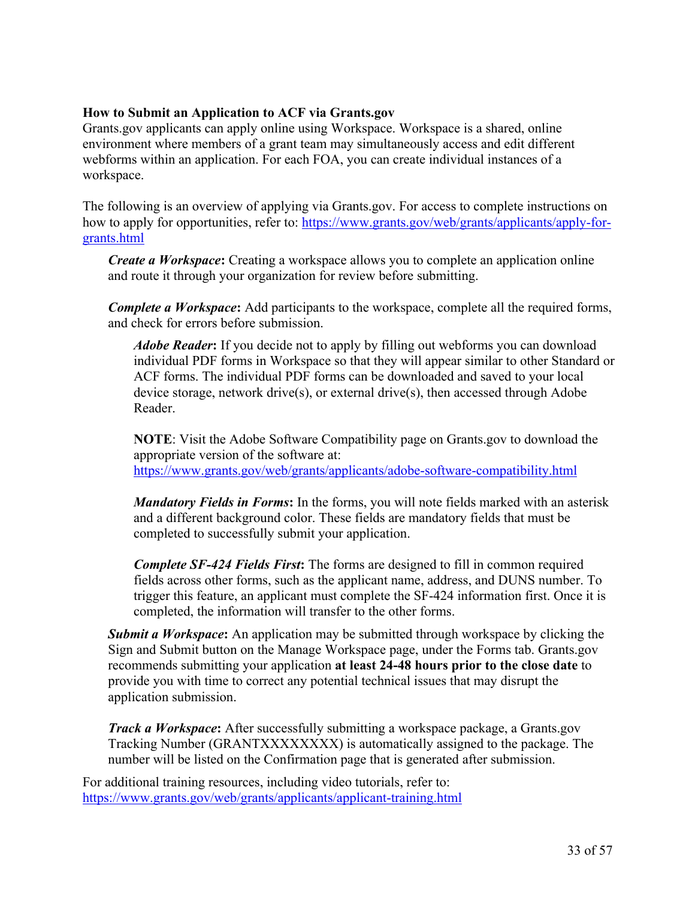## **How to Submit an Application to ACF via Grants.gov**

Grants.gov applicants can apply online using Workspace. Workspace is a shared, online environment where members of a grant team may simultaneously access and edit different webforms within an application. For each FOA, you can create individual instances of a workspace.

The following is an overview of applying via Grants.gov. For access to complete instructions on how to apply for opportunities, refer to: [https://www.grants.gov/web/grants/applicants/apply-for](https://www.grants.gov/web/grants/applicants/apply-for-grants.html)[grants.html](https://www.grants.gov/web/grants/applicants/apply-for-grants.html)

*Create a Workspace***:** Creating a workspace allows you to complete an application online and route it through your organization for review before submitting.

*Complete a Workspace***:** Add participants to the workspace, complete all the required forms, and check for errors before submission.

*Adobe Reader***:** If you decide not to apply by filling out webforms you can download individual PDF forms in Workspace so that they will appear similar to other Standard or ACF forms. The individual PDF forms can be downloaded and saved to your local device storage, network drive(s), or external drive(s), then accessed through Adobe Reader.

**NOTE**: Visit the Adobe Software Compatibility page on Grants.gov to download the appropriate version of the software at: <https://www.grants.gov/web/grants/applicants/adobe-software-compatibility.html>

*Mandatory Fields in Forms***:** In the forms, you will note fields marked with an asterisk and a different background color. These fields are mandatory fields that must be completed to successfully submit your application.

*Complete SF-424 Fields First***:** The forms are designed to fill in common required fields across other forms, such as the applicant name, address, and DUNS number. To trigger this feature, an applicant must complete the SF-424 information first. Once it is completed, the information will transfer to the other forms.

*Submit a Workspace***:** An application may be submitted through workspace by clicking the Sign and Submit button on the Manage Workspace page, under the Forms tab. Grants.gov recommends submitting your application **at least 24-48 hours prior to the close date** to provide you with time to correct any potential technical issues that may disrupt the application submission.

*Track a Workspace***:** After successfully submitting a workspace package, a Grants.gov Tracking Number (GRANTXXXXXXXX) is automatically assigned to the package. The number will be listed on the Confirmation page that is generated after submission.

For additional training resources, including video tutorials, refer to: <https://www.grants.gov/web/grants/applicants/applicant-training.html>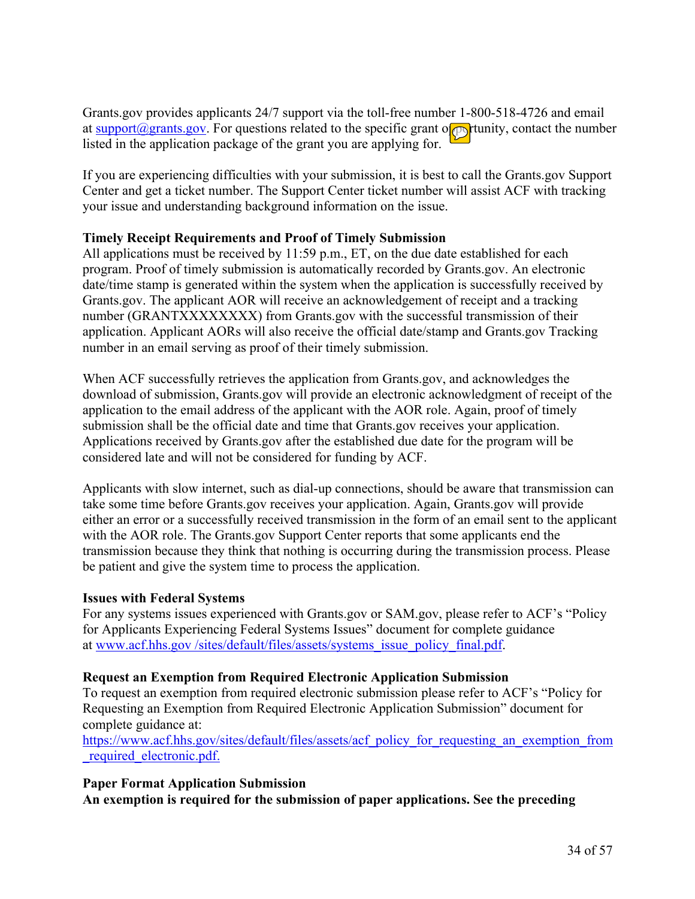Grants.gov provides applicants 24/7 support via the toll-free number 1-800-518-4726 and email at [support@grants.gov.](mailto:support@grants.gov) For questions related to the specific grant opportunity, contact the number listed in the application package of the grant you are applying for.

If you are experiencing difficulties with your submission, it is best to call the Grants.gov Support Center and get a ticket number. The Support Center ticket number will assist ACF with tracking your issue and understanding background information on the issue.

## **Timely Receipt Requirements and Proof of Timely Submission**

All applications must be received by 11:59 p.m., ET, on the due date established for each program. Proof of timely submission is automatically recorded by Grants.gov. An electronic date/time stamp is generated within the system when the application is successfully received by Grants.gov. The applicant AOR will receive an acknowledgement of receipt and a tracking number (GRANTXXXXXXXX) from Grants.gov with the successful transmission of their application. Applicant AORs will also receive the official date/stamp and Grants.gov Tracking number in an email serving as proof of their timely submission.

When ACF successfully retrieves the application from Grants.gov, and acknowledges the download of submission, Grants.gov will provide an electronic acknowledgment of receipt of the application to the email address of the applicant with the AOR role. Again, proof of timely submission shall be the official date and time that Grants.gov receives your application. Applications received by Grants.gov after the established due date for the program will be considered late and will not be considered for funding by ACF.

Applicants with slow internet, such as dial-up connections, should be aware that transmission can take some time before Grants.gov receives your application. Again, Grants.gov will provide either an error or a successfully received transmission in the form of an email sent to the applicant with the AOR role. The Grants.gov Support Center reports that some applicants end the transmission because they think that nothing is occurring during the transmission process. Please be patient and give the system time to process the application.

## **Issues with Federal Systems**

For any systems issues experienced with Grants.gov or SAM.gov, please refer to ACF's "Policy for Applicants Experiencing Federal Systems Issues" document for complete guidance at www.acf.hhs.gov [/sites/default/files/assets/systems\\_issue\\_policy\\_final.pdf.](https://www.acf.hhs.gov/sites/default/files/assets/systems_issue_policy_final.pdf)

## **Request an Exemption from Required Electronic Application Submission**

To request an exemption from required electronic submission please refer to ACF's "Policy for Requesting an Exemption from Required Electronic Application Submission" document for complete guidance at:

[https://www.acf.hhs.gov/sites/default/files/assets/acf\\_policy\\_for\\_requesting\\_an\\_exemption\\_from](https://www.acf.hhs.gov/sites/default/files/assets/acf_policy_for_requesting_an_exemption_from_required_electronic.pdf) [\\_required\\_electronic.pdf.](https://www.acf.hhs.gov/sites/default/files/assets/acf_policy_for_requesting_an_exemption_from_required_electronic.pdf)

#### **Paper Format Application Submission An exemption is required for the submission of paper applications. See the preceding**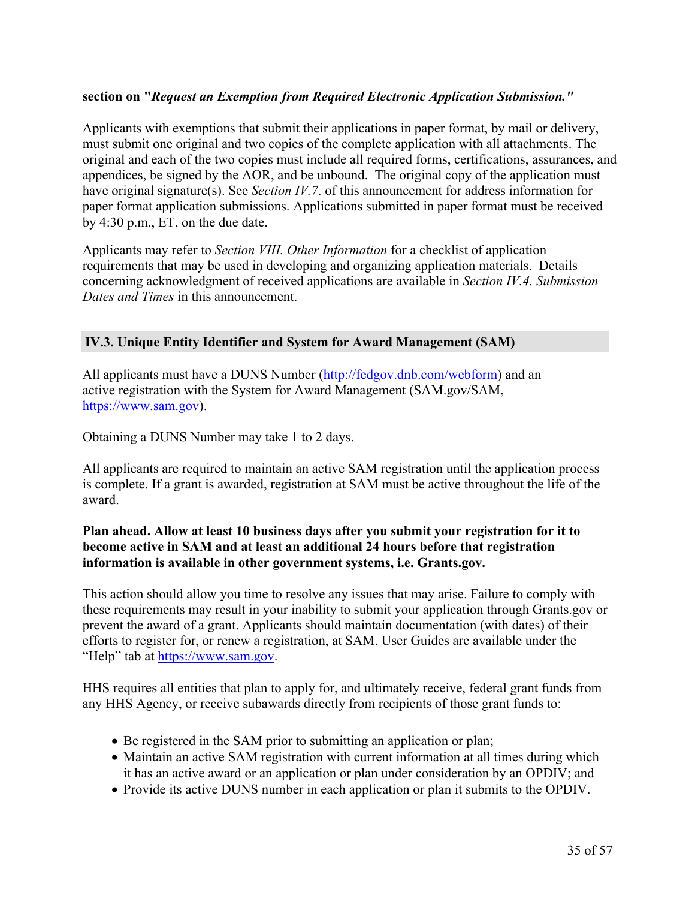## **section on "***Request an Exemption from Required Electronic Application Submission."*

Applicants with exemptions that submit their applications in paper format, by mail or delivery, must submit one original and two copies of the complete application with all attachments. The original and each of the two copies must include all required forms, certifications, assurances, and appendices, be signed by the AOR, and be unbound. The original copy of the application must have original signature(s). See *Section IV.7*. of this announcement for address information for paper format application submissions. Applications submitted in paper format must be received by 4:30 p.m., ET, on the due date.

Applicants may refer to *Section VIII. Other Information* for a checklist of application requirements that may be used in developing and organizing application materials. Details concerning acknowledgment of received applications are available in *Section IV.4. Submission Dates and Times* in this announcement.

#### <span id="page-36-0"></span>**IV.3. Unique Entity Identifier and System for Award Management (SAM)**

All applicants must have a DUNS Number [\(http://fedgov.dnb.com/webform](http://fedgov.dnb.com/webform)) and an active registration with the System for Award Management (SAM.gov/SAM, <https://www.sam.gov>).

Obtaining a DUNS Number may take 1 to 2 days.

All applicants are required to maintain an active SAM registration until the application process is complete. If a grant is awarded, registration at SAM must be active throughout the life of the award.

#### **Plan ahead. Allow at least 10 business days after you submit your registration for it to become active in SAM and at least an additional 24 hours before that registration information is available in other government systems, i.e. Grants.gov.**

This action should allow you time to resolve any issues that may arise. Failure to comply with these requirements may result in your inability to submit your application through Grants.gov or prevent the award of a grant. Applicants should maintain documentation (with dates) of their efforts to register for, or renew a registration, at SAM. User Guides are available under the "Help" tab at [https://www.sam.gov.](https://www.sam.gov)

HHS requires all entities that plan to apply for, and ultimately receive, federal grant funds from any HHS Agency, or receive subawards directly from recipients of those grant funds to:

- Be registered in the SAM prior to submitting an application or plan;
- Maintain an active SAM registration with current information at all times during which it has an active award or an application or plan under consideration by an OPDIV; and
- Provide its active DUNS number in each application or plan it submits to the OPDIV.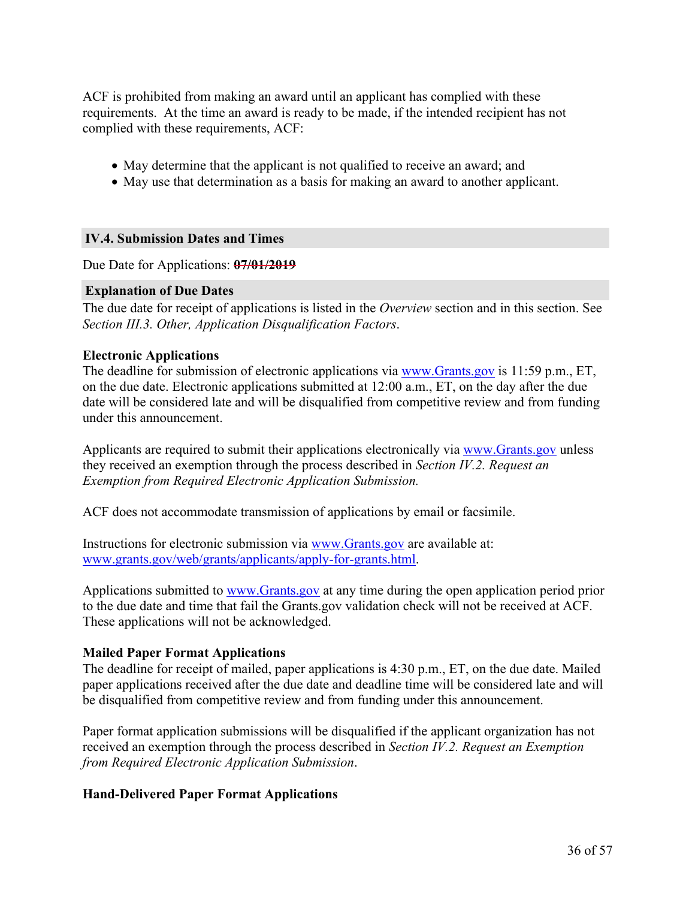ACF is prohibited from making an award until an applicant has complied with these requirements. At the time an award is ready to be made, if the intended recipient has not complied with these requirements, ACF:

- May determine that the applicant is not qualified to receive an award; and
- May use that determination as a basis for making an award to another applicant.

#### <span id="page-37-0"></span>**IV.4. Submission Dates and Times**

Due Date for Applications: **07/01/2019**

#### **Explanation of Due Dates**

The due date for receipt of applications is listed in the *Overview* section and in this section. See *Section III.3. Other, Application Disqualification Factors*.

#### **Electronic Applications**

The deadline for submission of electronic applications via [www.Grants.gov](https://www.Grants.gov) is 11:59 p.m., ET, on the due date. Electronic applications submitted at 12:00 a.m., ET, on the day after the due date will be considered late and will be disqualified from competitive review and from funding under this announcement.

Applicants are required to submit their applications electronically via [www.Grants.gov](https://www.Grants.gov) unless they received an exemption through the process described in *Section IV.2. Request an Exemption from Required Electronic Application Submission.*

ACF does not accommodate transmission of applications by email or facsimile.

Instructions for electronic submission via [www.Grants.gov](https://www.Grants.gov) are available at: [www.grants.gov/web/grants/applicants/apply-for-grants.html](https://www.grants.gov/web/grants/applicants/apply-for-grants.html).

Applications submitted to [www.Grants.gov](https://www.Grants.gov) at any time during the open application period prior to the due date and time that fail the Grants.gov validation check will not be received at ACF. These applications will not be acknowledged.

#### **Mailed Paper Format Applications**

The deadline for receipt of mailed, paper applications is 4:30 p.m., ET, on the due date. Mailed paper applications received after the due date and deadline time will be considered late and will be disqualified from competitive review and from funding under this announcement.

Paper format application submissions will be disqualified if the applicant organization has not received an exemption through the process described in *Section IV.2. Request an Exemption from Required Electronic Application Submission*.

#### **Hand-Delivered Paper Format Applications**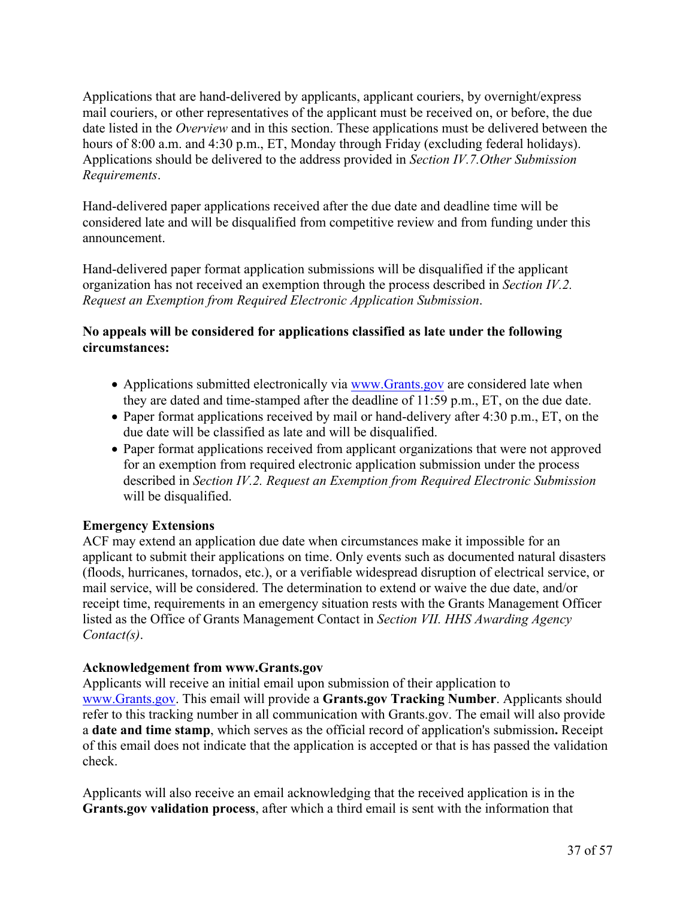Applications that are hand-delivered by applicants, applicant couriers, by overnight/express mail couriers, or other representatives of the applicant must be received on, or before, the due date listed in the *Overview* and in this section. These applications must be delivered between the hours of 8:00 a.m. and 4:30 p.m., ET, Monday through Friday (excluding federal holidays). Applications should be delivered to the address provided in *Section IV.7.Other Submission Requirements*.

Hand-delivered paper applications received after the due date and deadline time will be considered late and will be disqualified from competitive review and from funding under this announcement.

Hand-delivered paper format application submissions will be disqualified if the applicant organization has not received an exemption through the process described in *Section IV.2. Request an Exemption from Required Electronic Application Submission*.

## **No appeals will be considered for applications classified as late under the following circumstances:**

- Applications submitted electronically via [www.Grants.gov](https://www.Grants.gov) are considered late when they are dated and time-stamped after the deadline of 11:59 p.m., ET, on the due date.
- Paper format applications received by mail or hand-delivery after 4:30 p.m., ET, on the due date will be classified as late and will be disqualified.
- Paper format applications received from applicant organizations that were not approved for an exemption from required electronic application submission under the process described in *Section IV.2. Request an Exemption from Required Electronic Submission* will be disqualified.

## **Emergency Extensions**

ACF may extend an application due date when circumstances make it impossible for an applicant to submit their applications on time. Only events such as documented natural disasters (floods, hurricanes, tornados, etc.), or a verifiable widespread disruption of electrical service, or mail service, will be considered. The determination to extend or waive the due date, and/or receipt time, requirements in an emergency situation rests with the Grants Management Officer listed as the Office of Grants Management Contact in *Section VII. HHS Awarding Agency Contact(s)*.

## **Acknowledgement from www.Grants.gov**

Applicants will receive an initial email upon submission of their application to [www.Grants.gov.](https://www.grants.gov/) This email will provide a **Grants.gov Tracking Number**. Applicants should refer to this tracking number in all communication with Grants.gov. The email will also provide a **date and time stamp**, which serves as the official record of application's submission**.** Receipt of this email does not indicate that the application is accepted or that is has passed the validation check.

Applicants will also receive an email acknowledging that the received application is in the **Grants.gov validation process**, after which a third email is sent with the information that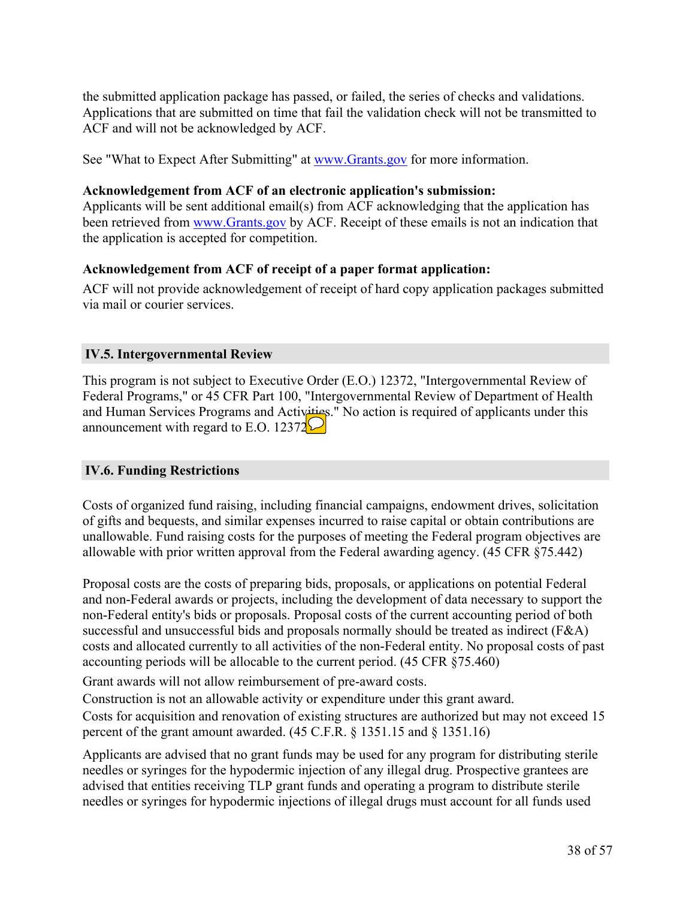the submitted application package has passed, or failed, the series of checks and validations. Applications that are submitted on time that fail the validation check will not be transmitted to ACF and will not be acknowledged by ACF.

See "What to Expect After Submitting" at [www.Grants.gov](https://www.Grants.gov) for more information.

#### **Acknowledgement from ACF of an electronic application's submission:**

Applicants will be sent additional email(s) from ACF acknowledging that the application has been retrieved from [www.Grants.gov](https://www.Grants.gov) by ACF. Receipt of these emails is not an indication that the application is accepted for competition.

#### **Acknowledgement from ACF of receipt of a paper format application:**

ACF will not provide acknowledgement of receipt of hard copy application packages submitted via mail or courier services.

#### <span id="page-39-0"></span>**IV.5. Intergovernmental Review**

This program is not subject to Executive Order (E.O.) 12372, "Intergovernmental Review of Federal Programs," or 45 CFR Part 100, "Intergovernmental Review of Department of Health and Human Services Programs and Activities." No action is required of applicants under this announcement with regard to E.O. 12372 $\Box$ 

## <span id="page-39-1"></span>**IV.6. Funding Restrictions**

Costs of organized fund raising, including financial campaigns, endowment drives, solicitation of gifts and bequests, and similar expenses incurred to raise capital or obtain contributions are unallowable. Fund raising costs for the purposes of meeting the Federal program objectives are allowable with prior written approval from the Federal awarding agency. (45 CFR §75.442)

Proposal costs are the costs of preparing bids, proposals, or applications on potential Federal and non-Federal awards or projects, including the development of data necessary to support the non-Federal entity's bids or proposals. Proposal costs of the current accounting period of both successful and unsuccessful bids and proposals normally should be treated as indirect (F&A) costs and allocated currently to all activities of the non-Federal entity. No proposal costs of past accounting periods will be allocable to the current period. (45 CFR §75.460)

Grant awards will not allow reimbursement of pre-award costs.

Construction is not an allowable activity or expenditure under this grant award.

Costs for acquisition and renovation of existing structures are authorized but may not exceed 15 percent of the grant amount awarded. (45 C.F.R. § 1351.15 and § 1351.16)

Applicants are advised that no grant funds may be used for any program for distributing sterile needles or syringes for the hypodermic injection of any illegal drug. Prospective grantees are advised that entities receiving TLP grant funds and operating a program to distribute sterile needles or syringes for hypodermic injections of illegal drugs must account for all funds used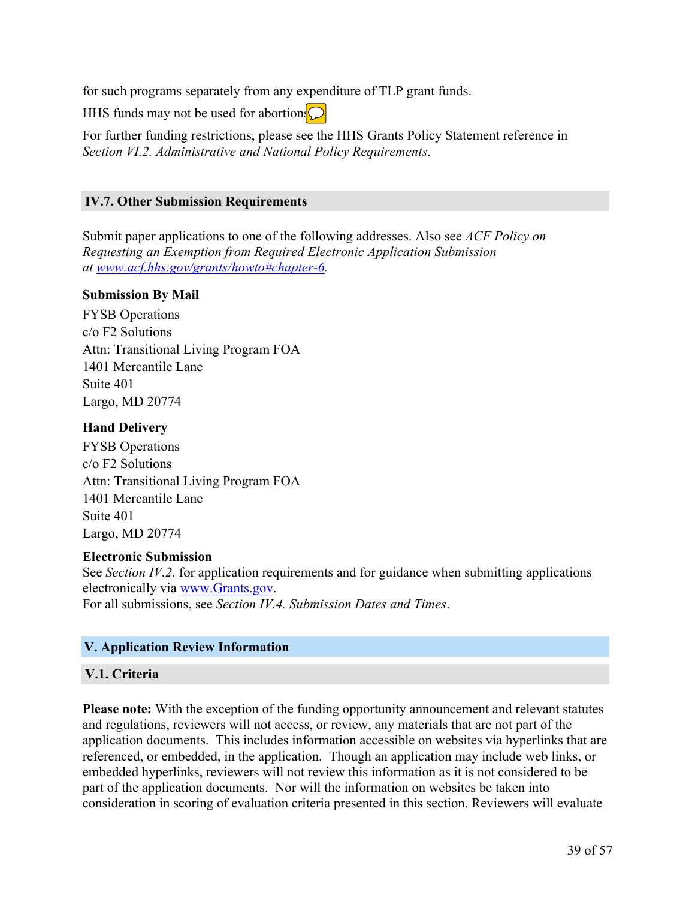for such programs separately from any expenditure of TLP grant funds.

HHS funds may not be used for abortion.  $\bigcirc$ 

For further funding restrictions, please see the HHS Grants Policy Statement reference in *Section VI.2. Administrative and National Policy Requirements*.

#### <span id="page-40-0"></span>**IV.7. Other Submission Requirements**

Submit paper applications to one of the following addresses. Also see *ACF Policy on Requesting an Exemption from Required Electronic Application Submission at [www.acf.hhs.gov/grants/howto#chapter-6](https://www.acf.hhs.gov/grants/howto#chapter-6).*

#### **Submission By Mail**

FYSB Operations c/o F2 Solutions Attn: Transitional Living Program FOA 1401 Mercantile Lane Suite 401 Largo, MD 20774

## **Hand Delivery**

FYSB Operations c/o F2 Solutions Attn: Transitional Living Program FOA 1401 Mercantile Lane Suite 401 Largo, MD 20774

## **Electronic Submission**

See *Section IV.2.* for application requirements and for guidance when submitting applications electronically via [www.Grants.gov.](https://www.grants.gov/)

For all submissions, see *Section IV.4. Submission Dates and Times*.

## **V. Application Review Information**

## <span id="page-40-1"></span>**V.1. Criteria**

**Please note:** With the exception of the funding opportunity announcement and relevant statutes and regulations, reviewers will not access, or review, any materials that are not part of the application documents. This includes information accessible on websites via hyperlinks that are referenced, or embedded, in the application. Though an application may include web links, or embedded hyperlinks, reviewers will not review this information as it is not considered to be part of the application documents. Nor will the information on websites be taken into consideration in scoring of evaluation criteria presented in this section. Reviewers will evaluate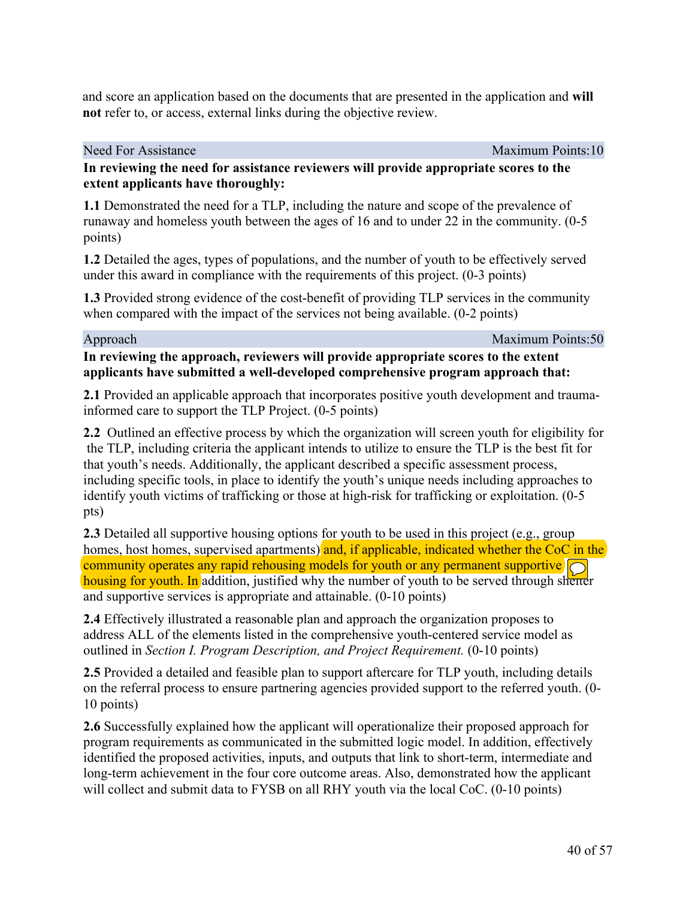and score an application based on the documents that are presented in the application and **will not** refer to, or access, external links during the objective review.

Need For Assistance Maximum Points:10

#### **In reviewing the need for assistance reviewers will provide appropriate scores to the extent applicants have thoroughly:**

**1.1** Demonstrated the need for a TLP, including the nature and scope of the prevalence of runaway and homeless youth between the ages of 16 and to under 22 in the community. (0-5 points)

**1.2** Detailed the ages, types of populations, and the number of youth to be effectively served under this award in compliance with the requirements of this project. (0-3 points)

**1.3** Provided strong evidence of the cost-benefit of providing TLP services in the community when compared with the impact of the services not being available. (0-2 points)

Approach Maximum Points:50

## **In reviewing the approach, reviewers will provide appropriate scores to the extent applicants have submitted a well-developed comprehensive program approach that:**

**2.1** Provided an applicable approach that incorporates positive youth development and traumainformed care to support the TLP Project. (0-5 points)

**2.2** Outlined an effective process by which the organization will screen youth for eligibility for the TLP, including criteria the applicant intends to utilize to ensure the TLP is the best fit for that youth's needs. Additionally, the applicant described a specific assessment process, including specific tools, in place to identify the youth's unique needs including approaches to identify youth victims of trafficking or those at high-risk for trafficking or exploitation. (0-5 pts)

**2.3** Detailed all supportive housing options for youth to be used in this project (e.g., group homes, host homes, supervised apartments) and, if applicable, indicated whether the CoC in the community operates any rapid rehousing models for youth or any permanent supportive housing for youth. In addition, justified why the number of youth to be served through shelter and supportive services is appropriate and attainable. (0-10 points)

**2.4** Effectively illustrated a reasonable plan and approach the organization proposes to address ALL of the elements listed in the comprehensive youth-centered service model as outlined in *Section I. Program Description, and Project Requirement.* (0-10 points)

**2.5** Provided a detailed and feasible plan to support aftercare for TLP youth, including details on the referral process to ensure partnering agencies provided support to the referred youth. (0- 10 points)

**2.6** Successfully explained how the applicant will operationalize their proposed approach for program requirements as communicated in the submitted logic model. In addition, effectively identified the proposed activities, inputs, and outputs that link to short-term, intermediate and long-term achievement in the four core outcome areas. Also, demonstrated how the applicant will collect and submit data to FYSB on all RHY youth via the local CoC. (0-10 points)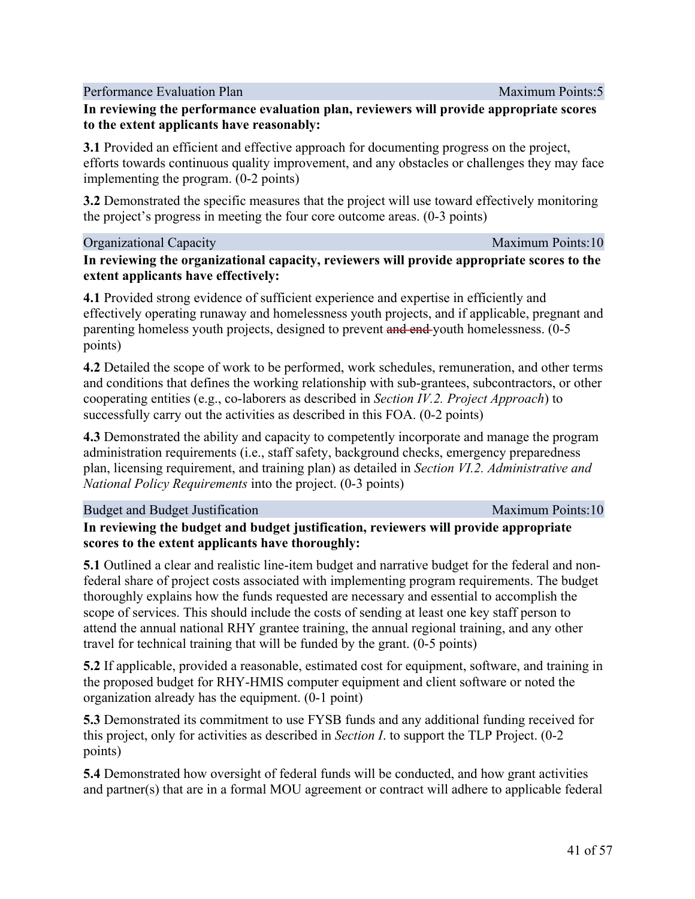Performance Evaluation Plan Maximum Points:5

## **In reviewing the performance evaluation plan, reviewers will provide appropriate scores to the extent applicants have reasonably:**

**3.1** Provided an efficient and effective approach for documenting progress on the project, efforts towards continuous quality improvement, and any obstacles or challenges they may face implementing the program. (0-2 points)

**3.2** Demonstrated the specific measures that the project will use toward effectively monitoring the project's progress in meeting the four core outcome areas. (0-3 points)

## Organizational Capacity **Maximum Points:10**

**In reviewing the organizational capacity, reviewers will provide appropriate scores to the extent applicants have effectively:**

**4.1** Provided strong evidence of sufficient experience and expertise in efficiently and effectively operating runaway and homelessness youth projects, and if applicable, pregnant and parenting homeless youth projects, designed to prevent and end-youth homelessness. (0-5 points)

**4.2** Detailed the scope of work to be performed, work schedules, remuneration, and other terms and conditions that defines the working relationship with sub-grantees, subcontractors, or other cooperating entities (e.g., co-laborers as described in *Section IV.2. Project Approach*) to successfully carry out the activities as described in this FOA. (0-2 points)

**4.3** Demonstrated the ability and capacity to competently incorporate and manage the program administration requirements (i.e., staff safety, background checks, emergency preparedness plan, licensing requirement, and training plan) as detailed in *Section VI.2. Administrative and National Policy Requirements* into the project. (0-3 points)

## Budget and Budget Justification Maximum Points:10

## **In reviewing the budget and budget justification, reviewers will provide appropriate scores to the extent applicants have thoroughly:**

**5.1** Outlined a clear and realistic line-item budget and narrative budget for the federal and nonfederal share of project costs associated with implementing program requirements. The budget thoroughly explains how the funds requested are necessary and essential to accomplish the scope of services. This should include the costs of sending at least one key staff person to attend the annual national RHY grantee training, the annual regional training, and any other travel for technical training that will be funded by the grant. (0-5 points)

**5.2** If applicable, provided a reasonable, estimated cost for equipment, software, and training in the proposed budget for RHY-HMIS computer equipment and client software or noted the organization already has the equipment. (0-1 point)

**5.3** Demonstrated its commitment to use FYSB funds and any additional funding received for this project, only for activities as described in *Section I*. to support the TLP Project. (0-2 points)

**5.4** Demonstrated how oversight of federal funds will be conducted, and how grant activities and partner(s) that are in a formal MOU agreement or contract will adhere to applicable federal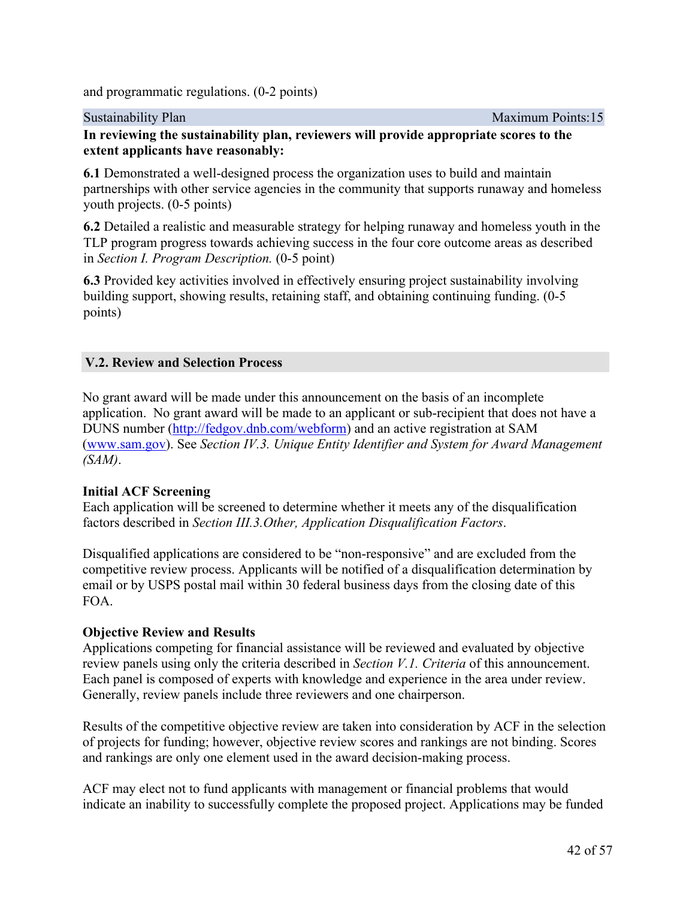and programmatic regulations. (0-2 points)

Sustainability Plan Maximum Points:15

## **In reviewing the sustainability plan, reviewers will provide appropriate scores to the extent applicants have reasonably:**

**6.1** Demonstrated a well-designed process the organization uses to build and maintain partnerships with other service agencies in the community that supports runaway and homeless youth projects. (0-5 points)

**6.2** Detailed a realistic and measurable strategy for helping runaway and homeless youth in the TLP program progress towards achieving success in the four core outcome areas as described in *Section I. Program Description.* (0-5 point)

**6.3** Provided key activities involved in effectively ensuring project sustainability involving building support, showing results, retaining staff, and obtaining continuing funding. (0-5 points)

## <span id="page-43-0"></span>**V.2. Review and Selection Process**

No grant award will be made under this announcement on the basis of an incomplete application. No grant award will be made to an applicant or sub-recipient that does not have a DUNS number [\(http://fedgov.dnb.com/webform](http://fedgov.dnb.com/webform)) and an active registration at SAM ([www.sam.gov](https://www.sam.gov/)). See *Section IV.3. Unique Entity Identifier and System for Award Management (SAM)*.

## **Initial ACF Screening**

Each application will be screened to determine whether it meets any of the disqualification factors described in *Section III.3.Other, Application Disqualification Factors*.

Disqualified applications are considered to be "non-responsive" and are excluded from the competitive review process. Applicants will be notified of a disqualification determination by email or by USPS postal mail within 30 federal business days from the closing date of this FOA.

## **Objective Review and Results**

Applications competing for financial assistance will be reviewed and evaluated by objective review panels using only the criteria described in *Section V.1. Criteria* of this announcement. Each panel is composed of experts with knowledge and experience in the area under review. Generally, review panels include three reviewers and one chairperson.

Results of the competitive objective review are taken into consideration by ACF in the selection of projects for funding; however, objective review scores and rankings are not binding. Scores and rankings are only one element used in the award decision-making process.

ACF may elect not to fund applicants with management or financial problems that would indicate an inability to successfully complete the proposed project. Applications may be funded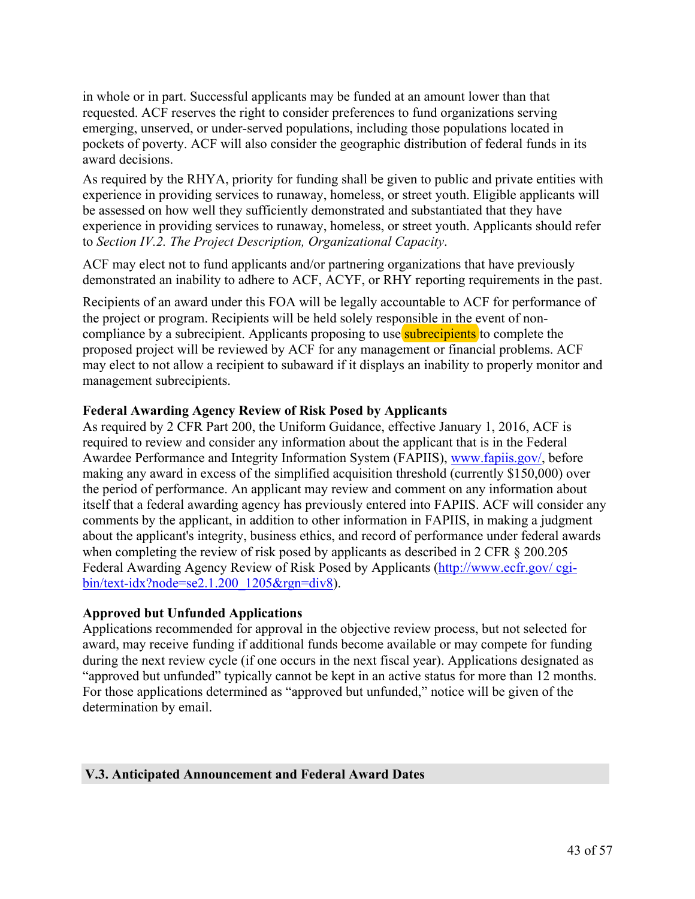in whole or in part. Successful applicants may be funded at an amount lower than that requested. ACF reserves the right to consider preferences to fund organizations serving emerging, unserved, or under-served populations, including those populations located in pockets of poverty. ACF will also consider the geographic distribution of federal funds in its award decisions.

As required by the RHYA, priority for funding shall be given to public and private entities with experience in providing services to runaway, homeless, or street youth. Eligible applicants will be assessed on how well they sufficiently demonstrated and substantiated that they have experience in providing services to runaway, homeless, or street youth. Applicants should refer to *Section IV.2. The Project Description, Organizational Capacity*.

ACF may elect not to fund applicants and/or partnering organizations that have previously demonstrated an inability to adhere to ACF, ACYF, or RHY reporting requirements in the past.

Recipients of an award under this FOA will be legally accountable to ACF for performance of the project or program. Recipients will be held solely responsible in the event of noncompliance by a subrecipient. Applicants proposing to use subrecipients to complete the proposed project will be reviewed by ACF for any management or financial problems. ACF may elect to not allow a recipient to subaward if it displays an inability to properly monitor and management subrecipients.

#### **Federal Awarding Agency Review of Risk Posed by Applicants**

As required by 2 CFR Part 200, the Uniform Guidance, effective January 1, 2016, ACF is required to review and consider any information about the applicant that is in the Federal Awardee Performance and Integrity Information System (FAPIIS), [www.fapiis.gov/](https://www.fapiis.gov), before making any award in excess of the simplified acquisition threshold (currently \$150,000) over the period of performance. An applicant may review and comment on any information about itself that a federal awarding agency has previously entered into FAPIIS. ACF will consider any comments by the applicant, in addition to other information in FAPIIS, in making a judgment about the applicant's integrity, business ethics, and record of performance under federal awards when completing the review of risk posed by applicants as described in 2 CFR  $\S$  200.205 Federal Awarding Agency Review of Risk Posed by Applicants [\(http://www.ecfr.gov/](http://www.ecfr.gov/cgi-bin/text-idx?node=se2.1.200_1205&rgn=div8) cgi[bin/text-idx?node=se2.1.200\\_1205&rgn=div8\)](http://www.ecfr.gov/cgi-bin/text-idx?node=se2.1.200_1205&rgn=div8).

#### **Approved but Unfunded Applications**

Applications recommended for approval in the objective review process, but not selected for award, may receive funding if additional funds become available or may compete for funding during the next review cycle (if one occurs in the next fiscal year). Applications designated as "approved but unfunded" typically cannot be kept in an active status for more than 12 months. For those applications determined as "approved but unfunded," notice will be given of the determination by email.

#### <span id="page-44-0"></span>**V.3. Anticipated Announcement and Federal Award Dates**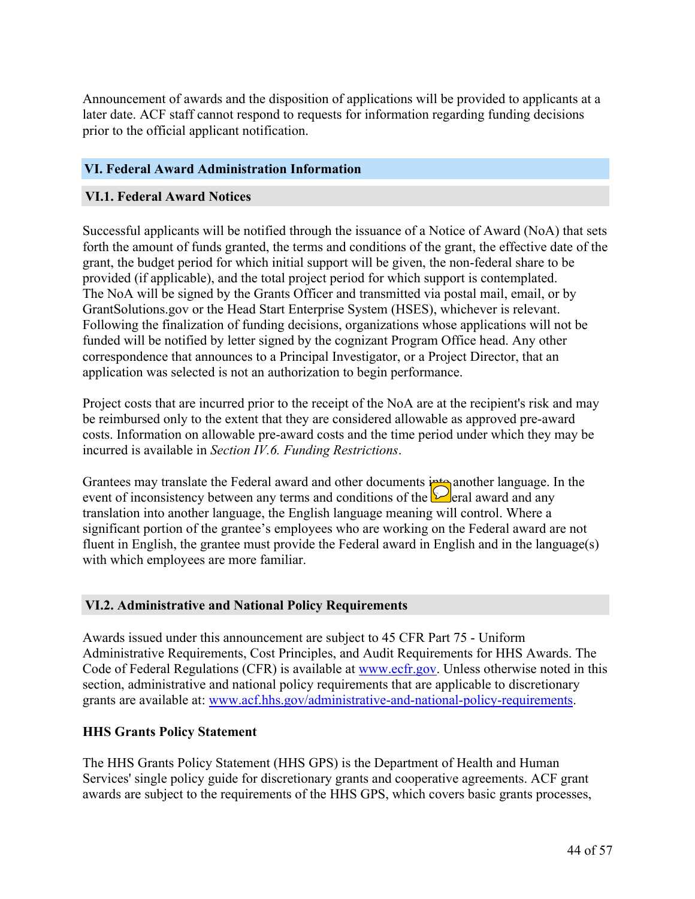Announcement of awards and the disposition of applications will be provided to applicants at a later date. ACF staff cannot respond to requests for information regarding funding decisions prior to the official applicant notification.

#### **VI. Federal Award Administration Information**

#### <span id="page-45-0"></span>**VI.1. Federal Award Notices**

Successful applicants will be notified through the issuance of a Notice of Award (NoA) that sets forth the amount of funds granted, the terms and conditions of the grant, the effective date of the grant, the budget period for which initial support will be given, the non-federal share to be provided (if applicable), and the total project period for which support is contemplated. The NoA will be signed by the Grants Officer and transmitted via postal mail, email, or by GrantSolutions.gov or the Head Start Enterprise System (HSES), whichever is relevant. Following the finalization of funding decisions, organizations whose applications will not be funded will be notified by letter signed by the cognizant Program Office head. Any other correspondence that announces to a Principal Investigator, or a Project Director, that an application was selected is not an authorization to begin performance.

Project costs that are incurred prior to the receipt of the NoA are at the recipient's risk and may be reimbursed only to the extent that they are considered allowable as approved pre-award costs. Information on allowable pre-award costs and the time period under which they may be incurred is available in *Section IV.6. Funding Restrictions*.

Grantees may translate the Federal award and other documents into another language. In the event of inconsistency between any terms and conditions of the  $\Box$  eral award and any translation into another language, the English language meaning will control. Where a significant portion of the grantee's employees who are working on the Federal award are not fluent in English, the grantee must provide the Federal award in English and in the language(s) with which employees are more familiar.

#### <span id="page-45-1"></span>**VI.2. Administrative and National Policy Requirements**

Awards issued under this announcement are subject to 45 CFR Part 75 - Uniform Administrative Requirements, Cost Principles, and Audit Requirements for HHS Awards. The Code of Federal Regulations (CFR) is available at [www.ecfr.gov.](http://www.ecfr.gov) Unless otherwise noted in this section, administrative and national policy requirements that are applicable to discretionary grants are available at: [www.acf.hhs.gov/administrative-and-national-policy-requirements.](https://www.acf.hhs.gov/administrative-and-national-policy-requirements)

#### **HHS Grants Policy Statement**

The HHS Grants Policy Statement (HHS GPS) is the Department of Health and Human Services' single policy guide for discretionary grants and cooperative agreements. ACF grant awards are subject to the requirements of the HHS GPS, which covers basic grants processes,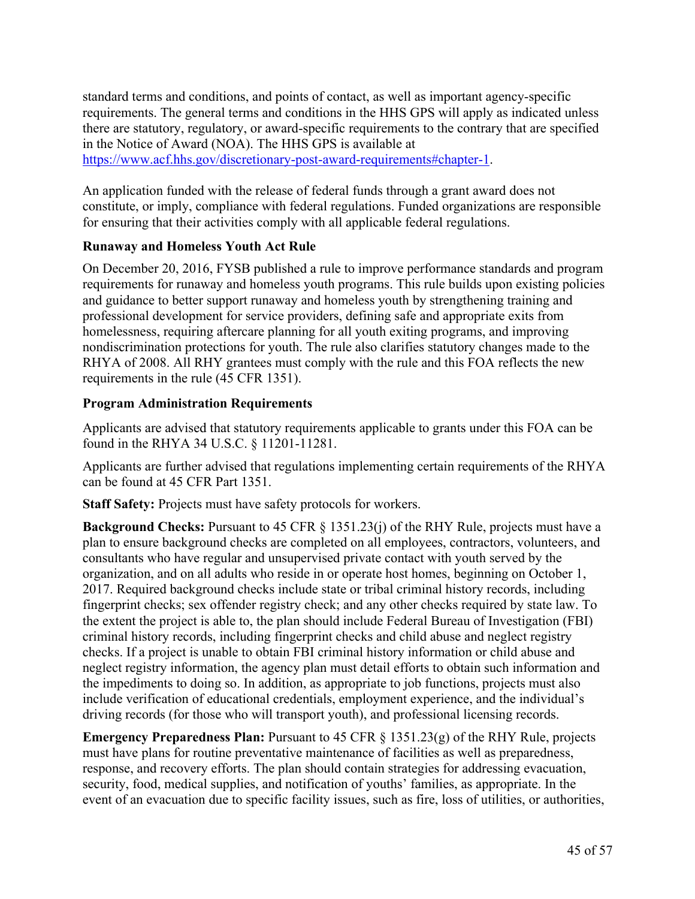standard terms and conditions, and points of contact, as well as important agency-specific requirements. The general terms and conditions in the HHS GPS will apply as indicated unless there are statutory, regulatory, or award-specific requirements to the contrary that are specified in the Notice of Award (NOA). The HHS GPS is available at [https://www.acf.hhs.gov/discretionary-post-award-requirements#chapter-1.](https://www.acf.hhs.gov/discretionary-post-award-requirements#chapter-1)

An application funded with the release of federal funds through a grant award does not constitute, or imply, compliance with federal regulations. Funded organizations are responsible for ensuring that their activities comply with all applicable federal regulations.

## **Runaway and Homeless Youth Act Rule**

On December 20, 2016, FYSB published a rule to improve performance standards and program requirements for runaway and homeless youth programs. This rule builds upon existing policies and guidance to better support runaway and homeless youth by strengthening training and professional development for service providers, defining safe and appropriate exits from homelessness, requiring aftercare planning for all youth exiting programs, and improving nondiscrimination protections for youth. The rule also clarifies statutory changes made to the RHYA of 2008. All RHY grantees must comply with the rule and this FOA reflects the new requirements in the rule (45 CFR 1351).

## **Program Administration Requirements**

Applicants are advised that statutory requirements applicable to grants under this FOA can be found in the RHYA 34 U.S.C. § 11201-11281.

Applicants are further advised that regulations implementing certain requirements of the RHYA can be found at 45 CFR Part 1351.

**Staff Safety:** Projects must have safety protocols for workers.

**Background Checks:** Pursuant to 45 CFR § 1351.23(j) of the RHY Rule, projects must have a plan to ensure background checks are completed on all employees, contractors, volunteers, and consultants who have regular and unsupervised private contact with youth served by the organization, and on all adults who reside in or operate host homes, beginning on October 1, 2017. Required background checks include state or tribal criminal history records, including fingerprint checks; sex offender registry check; and any other checks required by state law. To the extent the project is able to, the plan should include Federal Bureau of Investigation (FBI) criminal history records, including fingerprint checks and child abuse and neglect registry checks. If a project is unable to obtain FBI criminal history information or child abuse and neglect registry information, the agency plan must detail efforts to obtain such information and the impediments to doing so. In addition, as appropriate to job functions, projects must also include verification of educational credentials, employment experience, and the individual's driving records (for those who will transport youth), and professional licensing records.

**Emergency Preparedness Plan:** Pursuant to 45 CFR § 1351.23(g) of the RHY Rule, projects must have plans for routine preventative maintenance of facilities as well as preparedness, response, and recovery efforts. The plan should contain strategies for addressing evacuation, security, food, medical supplies, and notification of youths' families, as appropriate. In the event of an evacuation due to specific facility issues, such as fire, loss of utilities, or authorities,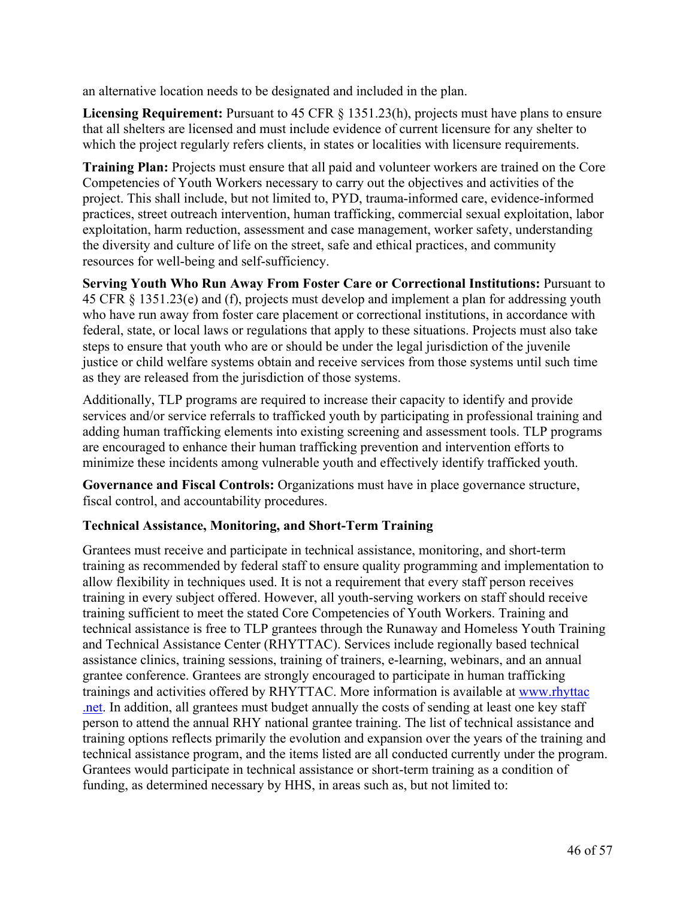an alternative location needs to be designated and included in the plan.

**Licensing Requirement:** Pursuant to 45 CFR § 1351.23(h), projects must have plans to ensure that all shelters are licensed and must include evidence of current licensure for any shelter to which the project regularly refers clients, in states or localities with licensure requirements.

**Training Plan:** Projects must ensure that all paid and volunteer workers are trained on the Core Competencies of Youth Workers necessary to carry out the objectives and activities of the project. This shall include, but not limited to, PYD, trauma-informed care, evidence-informed practices, street outreach intervention, human trafficking, commercial sexual exploitation, labor exploitation, harm reduction, assessment and case management, worker safety, understanding the diversity and culture of life on the street, safe and ethical practices, and community resources for well-being and self-sufficiency.

**Serving Youth Who Run Away From Foster Care or Correctional Institutions:** Pursuant to 45 CFR § 1351.23(e) and (f), projects must develop and implement a plan for addressing youth who have run away from foster care placement or correctional institutions, in accordance with federal, state, or local laws or regulations that apply to these situations. Projects must also take steps to ensure that youth who are or should be under the legal jurisdiction of the juvenile justice or child welfare systems obtain and receive services from those systems until such time as they are released from the jurisdiction of those systems.

Additionally, TLP programs are required to increase their capacity to identify and provide services and/or service referrals to trafficked youth by participating in professional training and adding human trafficking elements into existing screening and assessment tools. TLP programs are encouraged to enhance their human trafficking prevention and intervention efforts to minimize these incidents among vulnerable youth and effectively identify trafficked youth.

**Governance and Fiscal Controls:** Organizations must have in place governance structure, fiscal control, and accountability procedures.

## **Technical Assistance, Monitoring, and Short-Term Training**

Grantees must receive and participate in technical assistance, monitoring, and short-term training as recommended by federal staff to ensure quality programming and implementation to allow flexibility in techniques used. It is not a requirement that every staff person receives training in every subject offered. However, all youth-serving workers on staff should receive training sufficient to meet the stated Core Competencies of Youth Workers. Training and technical assistance is free to TLP grantees through the Runaway and Homeless Youth Training and Technical Assistance Center (RHYTTAC). Services include regionally based technical assistance clinics, training sessions, training of trainers, e-learning, webinars, and an annual grantee conference. Grantees are strongly encouraged to participate in human trafficking trainings and activities offered by RHYTTAC. More information is available at [www.rhyttac](https://www.rhyttac.net/) [.net](http://www.rhyttac.net/). In addition, all grantees must budget annually the costs of sending at least one key staff person to attend the annual RHY national grantee training. The list of technical assistance and training options reflects primarily the evolution and expansion over the years of the training and technical assistance program, and the items listed are all conducted currently under the program. Grantees would participate in technical assistance or short-term training as a condition of funding, as determined necessary by HHS, in areas such as, but not limited to: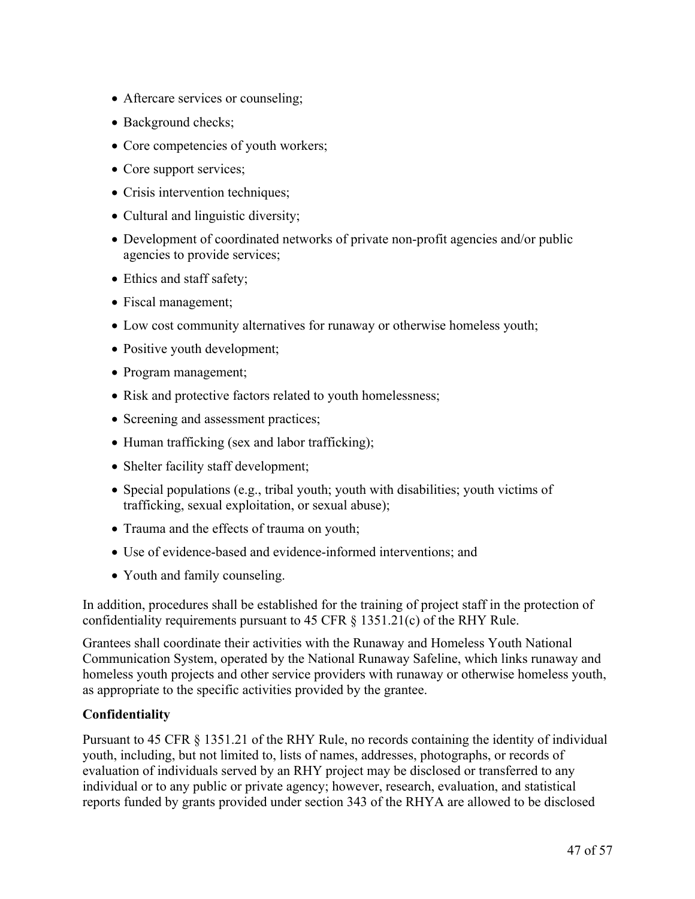- Aftercare services or counseling;
- Background checks;
- Core competencies of youth workers;
- Core support services;
- Crisis intervention techniques;
- Cultural and linguistic diversity;
- Development of coordinated networks of private non-profit agencies and/or public agencies to provide services;
- Ethics and staff safety;
- Fiscal management;
- Low cost community alternatives for runaway or otherwise homeless youth;
- Positive youth development;
- Program management;
- Risk and protective factors related to youth homelessness;
- Screening and assessment practices;
- Human trafficking (sex and labor trafficking);
- Shelter facility staff development;
- $\bullet$  Special populations (e.g., tribal youth; youth with disabilities; youth victims of trafficking, sexual exploitation, or sexual abuse);
- Trauma and the effects of trauma on youth;
- Use of evidence-based and evidence-informed interventions; and
- Youth and family counseling.

In addition, procedures shall be established for the training of project staff in the protection of confidentiality requirements pursuant to 45 CFR § 1351.21(c) of the RHY Rule.

Grantees shall coordinate their activities with the Runaway and Homeless Youth National Communication System, operated by the National Runaway Safeline, which links runaway and homeless youth projects and other service providers with runaway or otherwise homeless youth, as appropriate to the specific activities provided by the grantee.

## **Confidentiality**

Pursuant to 45 CFR § 1351.21 of the RHY Rule, no records containing the identity of individual youth, including, but not limited to, lists of names, addresses, photographs, or records of evaluation of individuals served by an RHY project may be disclosed or transferred to any individual or to any public or private agency; however, research, evaluation, and statistical reports funded by grants provided under section 343 of the RHYA are allowed to be disclosed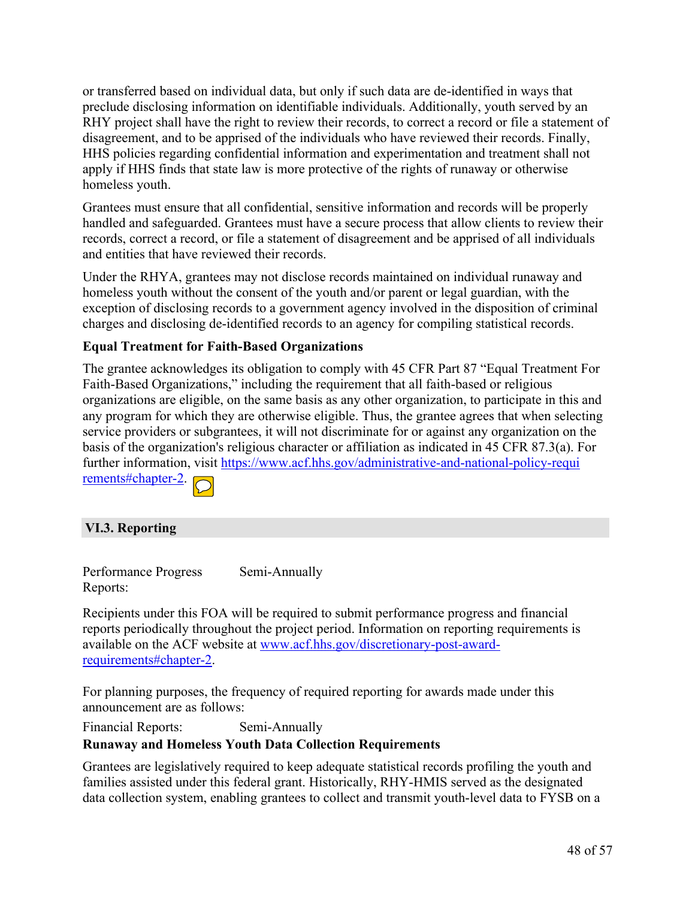or transferred based on individual data, but only if such data are de-identified in ways that preclude disclosing information on identifiable individuals. Additionally, youth served by an RHY project shall have the right to review their records, to correct a record or file a statement of disagreement, and to be apprised of the individuals who have reviewed their records. Finally, HHS policies regarding confidential information and experimentation and treatment shall not apply if HHS finds that state law is more protective of the rights of runaway or otherwise homeless youth.

Grantees must ensure that all confidential, sensitive information and records will be properly handled and safeguarded. Grantees must have a secure process that allow clients to review their records, correct a record, or file a statement of disagreement and be apprised of all individuals and entities that have reviewed their records.

Under the RHYA, grantees may not disclose records maintained on individual runaway and homeless youth without the consent of the youth and/or parent or legal guardian, with the exception of disclosing records to a government agency involved in the disposition of criminal charges and disclosing de-identified records to an agency for compiling statistical records.

#### **Equal Treatment for Faith-Based Organizations**

The grantee acknowledges its obligation to comply with 45 CFR Part 87 "Equal Treatment For Faith-Based Organizations," including the requirement that all faith-based or religious organizations are eligible, on the same basis as any other organization, to participate in this and any program for which they are otherwise eligible. Thus, the grantee agrees that when selecting service providers or subgrantees, it will not discriminate for or against any organization on the basis of the organization's religious character or affiliation as indicated in 45 CFR 87.3(a). For further information, visit [https://www.acf.hhs.gov/administrative-and-national-policy-requi](https://www.acf.hhs.gov/administrative-and-national-policy-requirements#chapter-2) [rements#chapter-2](https://www.acf.hhs.gov/administrative-and-national-policy-requirements#chapter-2).



## <span id="page-49-0"></span>**VI.3. Reporting**

Performance Progress Reports: Semi-Annually

Recipients under this FOA will be required to submit performance progress and financial reports periodically throughout the project period. Information on reporting requirements is available on the ACF website at [www.acf.hhs.gov/discretionary-post-award](https://www.acf.hhs.gov/discretionary-post-award-requirements#chapter-2)[requirements#chapter-2.](https://www.acf.hhs.gov/discretionary-post-award-requirements#chapter-2)

For planning purposes, the frequency of required reporting for awards made under this announcement are as follows:

Financial Reports: Semi-Annually

#### **Runaway and Homeless Youth Data Collection Requirements**

Grantees are legislatively required to keep adequate statistical records profiling the youth and families assisted under this federal grant. Historically, RHY-HMIS served as the designated data collection system, enabling grantees to collect and transmit youth-level data to FYSB on a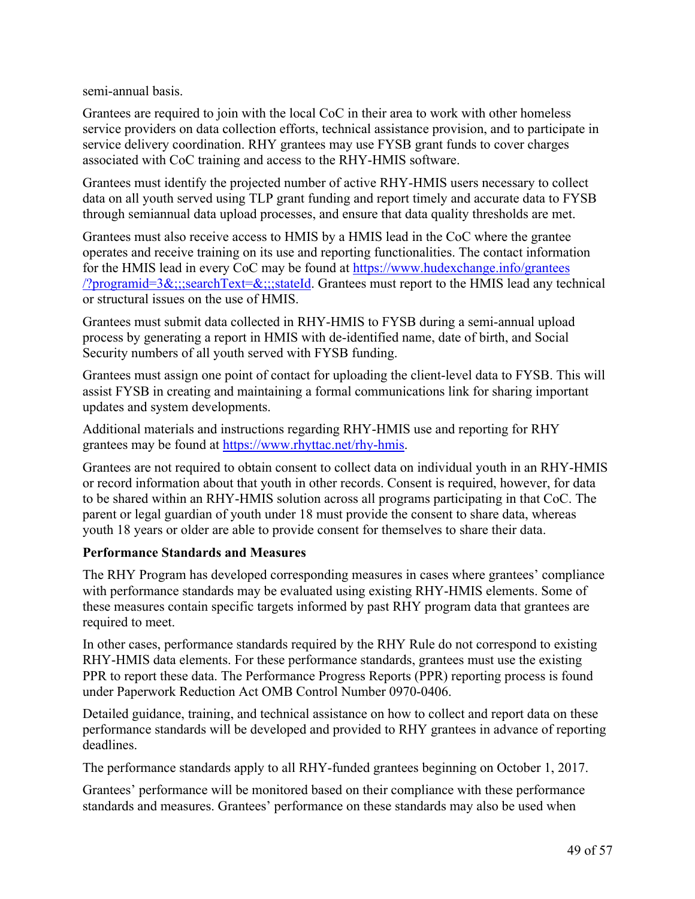semi-annual basis.

Grantees are required to join with the local CoC in their area to work with other homeless service providers on data collection efforts, technical assistance provision, and to participate in service delivery coordination. RHY grantees may use FYSB grant funds to cover charges associated with CoC training and access to the RHY-HMIS software.

Grantees must identify the projected number of active RHY-HMIS users necessary to collect data on all youth served using TLP grant funding and report timely and accurate data to FYSB through semiannual data upload processes, and ensure that data quality thresholds are met.

Grantees must also receive access to HMIS by a HMIS lead in the CoC where the grantee operates and receive training on its use and reporting functionalities. The contact information for the HMIS lead in every CoC may be found at [https://www.hudexchange.info/grantees](https://www.hudexchange.info/grantees/?programid=3&searchText&stateId) [/?programid=3&;;;searchText=&;;;stateId](https://www.hudexchange.info/grantees/?programid=3&searchText&stateId). Grantees must report to the HMIS lead any technical or structural issues on the use of HMIS.

Grantees must submit data collected in RHY-HMIS to FYSB during a semi-annual upload process by generating a report in HMIS with de-identified name, date of birth, and Social Security numbers of all youth served with FYSB funding.

Grantees must assign one point of contact for uploading the client-level data to FYSB. This will assist FYSB in creating and maintaining a formal communications link for sharing important updates and system developments.

Additional materials and instructions regarding RHY-HMIS use and reporting for RHY grantees may be found at <https://www.rhyttac.net/rhy-hmis>.

Grantees are not required to obtain consent to collect data on individual youth in an RHY-HMIS or record information about that youth in other records. Consent is required, however, for data to be shared within an RHY-HMIS solution across all programs participating in that CoC. The parent or legal guardian of youth under 18 must provide the consent to share data, whereas youth 18 years or older are able to provide consent for themselves to share their data.

## **Performance Standards and Measures**

The RHY Program has developed corresponding measures in cases where grantees' compliance with performance standards may be evaluated using existing RHY-HMIS elements. Some of these measures contain specific targets informed by past RHY program data that grantees are required to meet.

In other cases, performance standards required by the RHY Rule do not correspond to existing RHY-HMIS data elements. For these performance standards, grantees must use the existing PPR to report these data. The Performance Progress Reports (PPR) reporting process is found under Paperwork Reduction Act OMB Control Number 0970-0406.

Detailed guidance, training, and technical assistance on how to collect and report data on these performance standards will be developed and provided to RHY grantees in advance of reporting deadlines.

The performance standards apply to all RHY-funded grantees beginning on October 1, 2017.

Grantees' performance will be monitored based on their compliance with these performance standards and measures. Grantees' performance on these standards may also be used when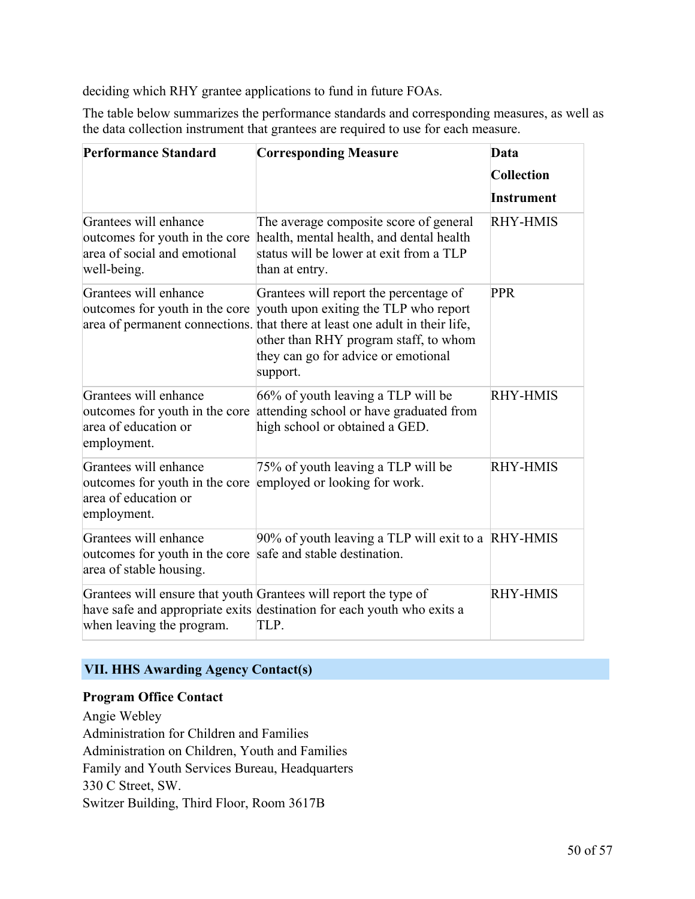deciding which RHY grantee applications to fund in future FOAs.

The table below summarizes the performance standards and corresponding measures, as well as the data collection instrument that grantees are required to use for each measure.

| <b>Performance Standard</b>                                                                                                  | <b>Corresponding Measure</b>                                                                                                                                                                                                                                                              | Data              |
|------------------------------------------------------------------------------------------------------------------------------|-------------------------------------------------------------------------------------------------------------------------------------------------------------------------------------------------------------------------------------------------------------------------------------------|-------------------|
|                                                                                                                              |                                                                                                                                                                                                                                                                                           | <b>Collection</b> |
|                                                                                                                              |                                                                                                                                                                                                                                                                                           | <b>Instrument</b> |
| Grantees will enhance<br>outcomes for youth in the core<br>area of social and emotional<br>well-being.                       | The average composite score of general<br>health, mental health, and dental health<br>status will be lower at exit from a TLP<br>than at entry.                                                                                                                                           | <b>RHY-HMIS</b>   |
| Grantees will enhance                                                                                                        | Grantees will report the percentage of<br>outcomes for youth in the core youth upon exiting the TLP who report<br>area of permanent connections. that there at least one adult in their life,<br>other than RHY program staff, to whom<br>they can go for advice or emotional<br>support. | <b>PPR</b>        |
| Grantees will enhance<br>outcomes for youth in the core<br>area of education or<br>employment.                               | 66% of youth leaving a TLP will be<br>attending school or have graduated from<br>high school or obtained a GED.                                                                                                                                                                           | <b>RHY-HMIS</b>   |
| Grantees will enhance<br>outcomes for youth in the core employed or looking for work.<br>area of education or<br>employment. | 75% of youth leaving a TLP will be                                                                                                                                                                                                                                                        | <b>RHY-HMIS</b>   |
| Grantees will enhance<br>outcomes for youth in the core safe and stable destination.<br>area of stable housing.              | 90% of youth leaving a TLP will exit to a RHY-HMIS                                                                                                                                                                                                                                        |                   |
| when leaving the program.                                                                                                    | Grantees will ensure that youth Grantees will report the type of<br>have safe and appropriate exits destination for each youth who exits a<br>TLP.                                                                                                                                        | <b>RHY-HMIS</b>   |

# <span id="page-51-0"></span>**VII. HHS Awarding Agency Contact(s)**

## **Program Office Contact**

Angie Webley Administration for Children and Families Administration on Children, Youth and Families Family and Youth Services Bureau, Headquarters 330 C Street, SW. Switzer Building, Third Floor, Room 3617B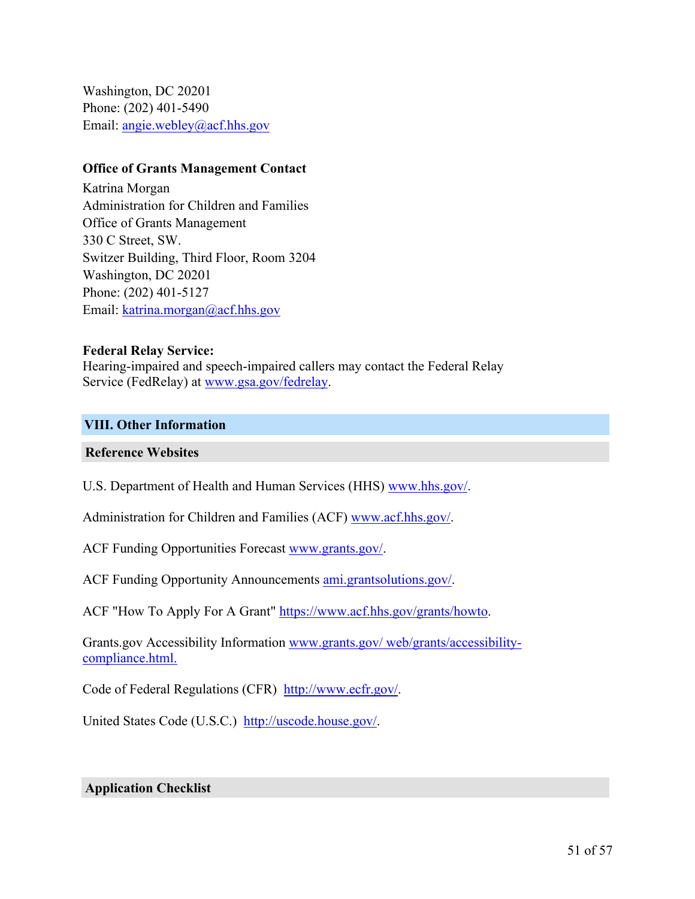Washington, DC 20201 Phone: (202) 401-5490 Email: [angie.webley@acf.hhs.gov](mailto:angie.webley@acf.hhs.gov)

#### **Office of Grants Management Contact**

Katrina Morgan Administration for Children and Families Office of Grants Management 330 C Street, SW. Switzer Building, Third Floor, Room 3204 Washington, DC 20201 Phone: (202) 401-5127 Email: [katrina.morgan@acf.hhs.gov](mailto:katrina.morgan@acf.hhs.gov)

#### **Federal Relay Service:**

Hearing-impaired and speech-impaired callers may contact the Federal Relay Service (FedRelay) at [www.gsa.gov/fedrelay](http://www.gsa.gov/fedrelay).

#### <span id="page-52-0"></span>**VIII. Other Information**

#### **Reference Websites**

U.S. Department of Health and Human Services (HHS) [www.hhs.gov/](http://www.hhs.gov/).

Administration for Children and Families (ACF) [www.acf.hhs.gov/](https://www.acf.hhs.gov/).

ACF Funding Opportunities Forecast [www.grants.gov/](https://www.grants.gov/).

ACF Funding Opportunity Announcements [ami.grantsolutions.gov/](https://ami.grantsolutions.gov/).

ACF "How To Apply For A Grant" [https://www.acf.hhs.gov/grants/howto.](https://www.acf.hhs.gov/grants/howto)

Grants.gov Accessibility Information www.grants.gov/ [web/grants/accessibility](https://www.grants.gov/web/grants/accessibility-compliance.html)[compliance.html.](https://www.grants.gov/web/grants/accessibility-compliance.html)

Code of Federal Regulations (CFR) [http://www.ecfr.gov/.](http://www.ecfr.gov/)

United States Code (U.S.C.) <http://uscode.house.gov/>.

#### **Application Checklist**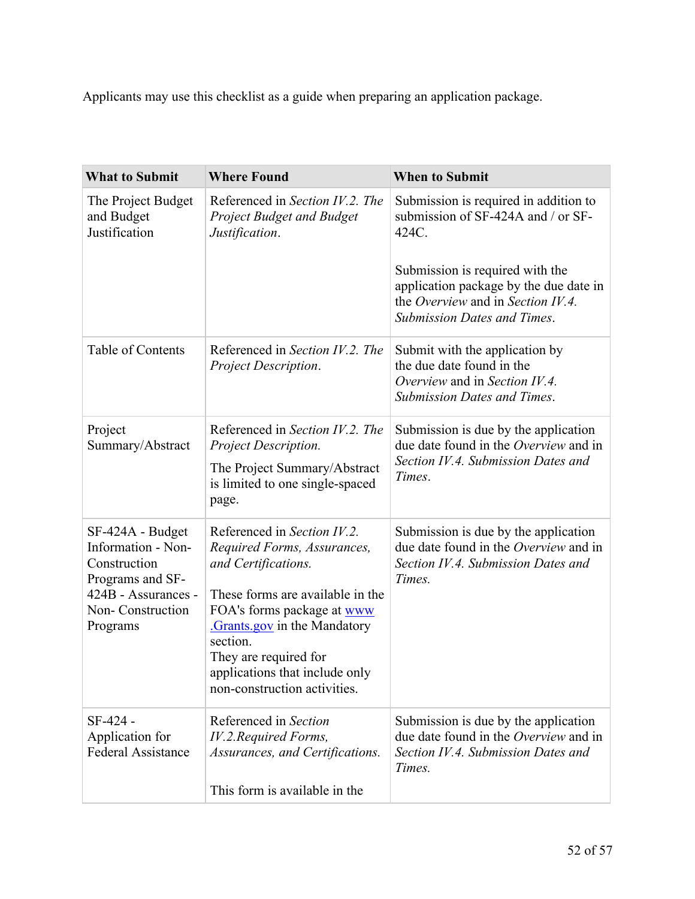Applicants may use this checklist as a guide when preparing an application package.

| <b>What to Submit</b>                                                                                                             | <b>Where Found</b>                                                                                                                                                                                                                                                                        | <b>When to Submit</b>                                                                                                                                |
|-----------------------------------------------------------------------------------------------------------------------------------|-------------------------------------------------------------------------------------------------------------------------------------------------------------------------------------------------------------------------------------------------------------------------------------------|------------------------------------------------------------------------------------------------------------------------------------------------------|
| The Project Budget<br>and Budget<br>Justification                                                                                 | Referenced in Section IV.2. The<br><b>Project Budget and Budget</b><br>Justification.                                                                                                                                                                                                     | Submission is required in addition to<br>submission of SF-424A and / or SF-<br>424C.                                                                 |
|                                                                                                                                   |                                                                                                                                                                                                                                                                                           | Submission is required with the<br>application package by the due date in<br>the Overview and in Section IV.4.<br><b>Submission Dates and Times.</b> |
| Table of Contents                                                                                                                 | Referenced in Section IV.2. The<br>Project Description.                                                                                                                                                                                                                                   | Submit with the application by<br>the due date found in the<br>Overview and in Section IV.4.<br><b>Submission Dates and Times.</b>                   |
| Project<br>Summary/Abstract                                                                                                       | Referenced in Section IV.2. The<br>Project Description.<br>The Project Summary/Abstract<br>is limited to one single-spaced<br>page.                                                                                                                                                       | Submission is due by the application<br>due date found in the Overview and in<br>Section IV.4. Submission Dates and<br>Times.                        |
| SF-424A - Budget<br>Information - Non-<br>Construction<br>Programs and SF-<br>424B - Assurances -<br>Non-Construction<br>Programs | Referenced in Section IV.2.<br>Required Forms, Assurances,<br>and Certifications.<br>These forms are available in the<br>FOA's forms package at www<br>Grants.gov in the Mandatory<br>section.<br>They are required for<br>applications that include only<br>non-construction activities. | Submission is due by the application<br>due date found in the Overview and in<br>Section IV.4. Submission Dates and<br>Times.                        |
| SF-424 -<br>Application for<br><b>Federal Assistance</b>                                                                          | Referenced in Section<br>IV.2.Required Forms,<br>Assurances, and Certifications.<br>This form is available in the                                                                                                                                                                         | Submission is due by the application<br>due date found in the Overview and in<br>Section IV.4. Submission Dates and<br>Times.                        |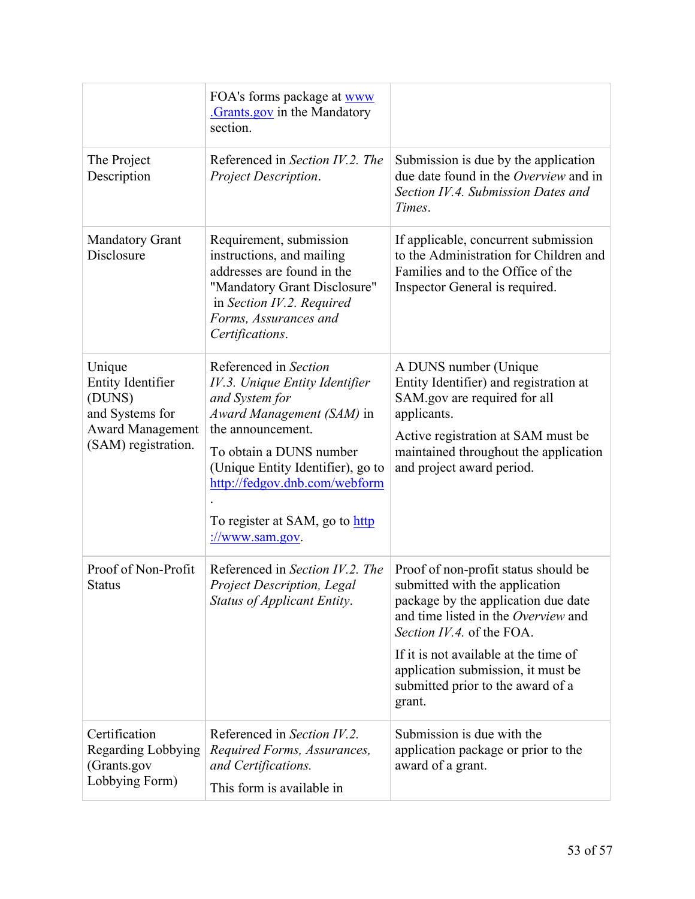|                                                                                                                   | FOA's forms package at www<br>Grants.gov in the Mandatory<br>section.                                                                                                                                                                                                                         |                                                                                                                                                                                                                                                                                                                 |
|-------------------------------------------------------------------------------------------------------------------|-----------------------------------------------------------------------------------------------------------------------------------------------------------------------------------------------------------------------------------------------------------------------------------------------|-----------------------------------------------------------------------------------------------------------------------------------------------------------------------------------------------------------------------------------------------------------------------------------------------------------------|
| The Project<br>Description                                                                                        | Referenced in Section IV.2. The<br>Project Description.                                                                                                                                                                                                                                       | Submission is due by the application<br>due date found in the Overview and in<br>Section IV.4. Submission Dates and<br>Times.                                                                                                                                                                                   |
| <b>Mandatory Grant</b><br>Disclosure                                                                              | Requirement, submission<br>instructions, and mailing<br>addresses are found in the<br>"Mandatory Grant Disclosure"<br>in Section IV.2. Required<br>Forms, Assurances and<br>Certifications.                                                                                                   | If applicable, concurrent submission<br>to the Administration for Children and<br>Families and to the Office of the<br>Inspector General is required.                                                                                                                                                           |
| Unique<br><b>Entity Identifier</b><br>(DUNS)<br>and Systems for<br><b>Award Management</b><br>(SAM) registration. | Referenced in Section<br>IV.3. Unique Entity Identifier<br>and System for<br>Award Management (SAM) in<br>the announcement.<br>To obtain a DUNS number<br>(Unique Entity Identifier), go to<br>http://fedgov.dnb.com/webform<br>To register at SAM, go to http<br>$\frac{1}{2}$ /www.sam.gov. | A DUNS number (Unique<br>Entity Identifier) and registration at<br>SAM.gov are required for all<br>applicants.<br>Active registration at SAM must be<br>maintained throughout the application<br>and project award period.                                                                                      |
| Proof of Non-Profit<br><b>Status</b>                                                                              | Referenced in Section IV.2. The<br>Project Description, Legal<br>Status of Applicant Entity.                                                                                                                                                                                                  | Proof of non-profit status should be<br>submitted with the application<br>package by the application due date<br>and time listed in the Overview and<br>Section IV.4. of the FOA.<br>If it is not available at the time of<br>application submission, it must be<br>submitted prior to the award of a<br>grant. |
| Certification<br><b>Regarding Lobbying</b><br>(Grants.gov<br>Lobbying Form)                                       | Referenced in Section IV.2.<br>Required Forms, Assurances,<br>and Certifications.<br>This form is available in                                                                                                                                                                                | Submission is due with the<br>application package or prior to the<br>award of a grant.                                                                                                                                                                                                                          |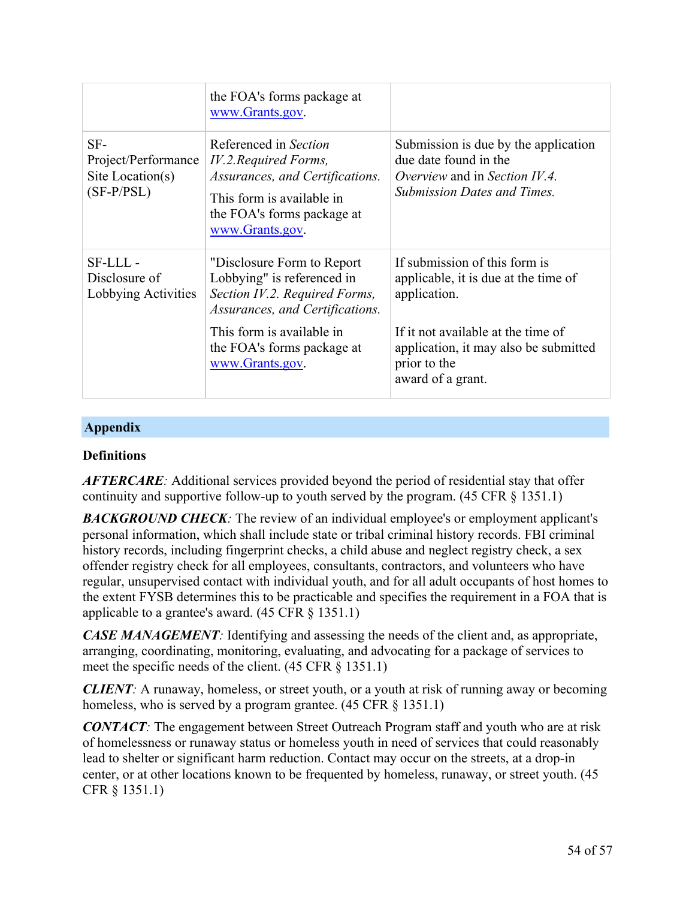|                                                                | the FOA's forms package at<br>www.Grants.gov.                                                                                                                   |                                                                                                                                      |
|----------------------------------------------------------------|-----------------------------------------------------------------------------------------------------------------------------------------------------------------|--------------------------------------------------------------------------------------------------------------------------------------|
| SF-<br>Project/Performance<br>Site Location(s)<br>$(SF-P/PSL)$ | Referenced in Section<br>IV.2. Required Forms,<br>Assurances, and Certifications.<br>This form is available in<br>the FOA's forms package at<br>www.Grants.gov. | Submission is due by the application<br>due date found in the<br>Overview and in Section IV.4.<br><b>Submission Dates and Times.</b> |
| SF-LLL-<br>Disclosure of<br>Lobbying Activities                | "Disclosure Form to Report"<br>Lobbying" is referenced in<br>Section IV.2. Required Forms,<br>Assurances, and Certifications.                                   | If submission of this form is<br>applicable, it is due at the time of<br>application.                                                |
|                                                                | This form is available in<br>the FOA's forms package at<br>www.Grants.gov.                                                                                      | If it not available at the time of<br>application, it may also be submitted<br>prior to the<br>award of a grant.                     |

## **Appendix**

#### **Definitions**

*AFTERCARE:* Additional services provided beyond the period of residential stay that offer continuity and supportive follow-up to youth served by the program. (45 CFR § 1351.1)

**BACKGROUND CHECK**: The review of an individual employee's or employment applicant's personal information, which shall include state or tribal criminal history records. FBI criminal history records, including fingerprint checks, a child abuse and neglect registry check, a sex offender registry check for all employees, consultants, contractors, and volunteers who have regular, unsupervised contact with individual youth, and for all adult occupants of host homes to the extent FYSB determines this to be practicable and specifies the requirement in a FOA that is applicable to a grantee's award. (45 CFR § 1351.1)

*CASE MANAGEMENT*: Identifying and assessing the needs of the client and, as appropriate, arranging, coordinating, monitoring, evaluating, and advocating for a package of services to meet the specific needs of the client. (45 CFR § 1351.1)

*CLIENT:* A runaway, homeless, or street youth, or a youth at risk of running away or becoming homeless, who is served by a program grantee. (45 CFR § 1351.1)

*CONTACT*: The engagement between Street Outreach Program staff and youth who are at risk of homelessness or runaway status or homeless youth in need of services that could reasonably lead to shelter or significant harm reduction. Contact may occur on the streets, at a drop-in center, or at other locations known to be frequented by homeless, runaway, or street youth. (45 CFR § 1351.1)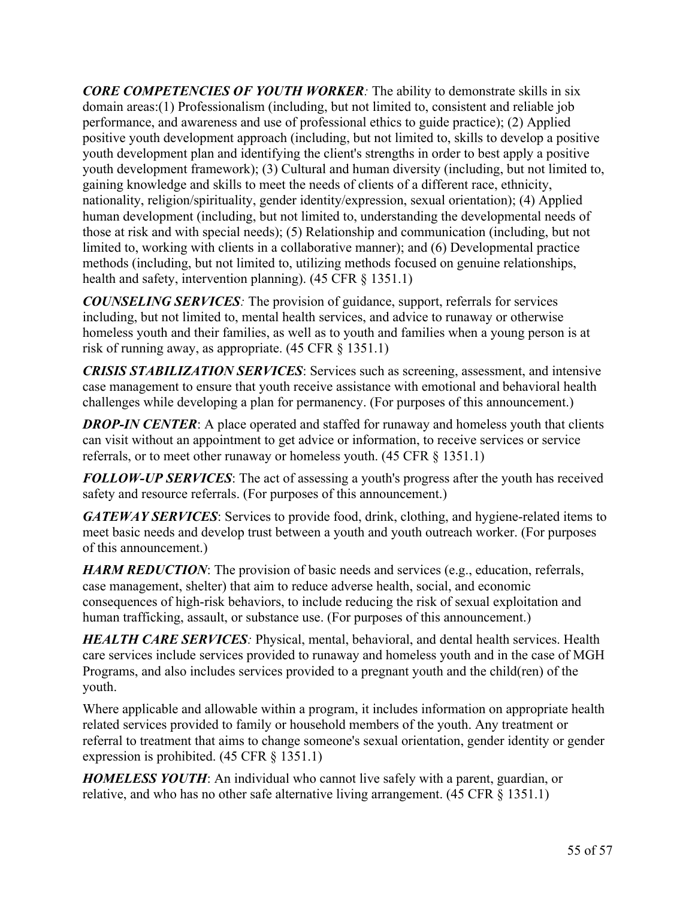*CORE COMPETENCIES OF YOUTH WORKER:* The ability to demonstrate skills in six domain areas:(1) Professionalism (including, but not limited to, consistent and reliable job performance, and awareness and use of professional ethics to guide practice); (2) Applied positive youth development approach (including, but not limited to, skills to develop a positive youth development plan and identifying the client's strengths in order to best apply a positive youth development framework); (3) Cultural and human diversity (including, but not limited to, gaining knowledge and skills to meet the needs of clients of a different race, ethnicity, nationality, religion/spirituality, gender identity/expression, sexual orientation); (4) Applied human development (including, but not limited to, understanding the developmental needs of those at risk and with special needs); (5) Relationship and communication (including, but not limited to, working with clients in a collaborative manner); and (6) Developmental practice methods (including, but not limited to, utilizing methods focused on genuine relationships, health and safety, intervention planning). (45 CFR § 1351.1)

*COUNSELING SERVICES:* The provision of guidance, support, referrals for services including, but not limited to, mental health services, and advice to runaway or otherwise homeless youth and their families, as well as to youth and families when a young person is at risk of running away, as appropriate. (45 CFR § 1351.1)

*CRISIS STABILIZATION SERVICES*: Services such as screening, assessment, and intensive case management to ensure that youth receive assistance with emotional and behavioral health challenges while developing a plan for permanency. (For purposes of this announcement.)

*DROP-IN CENTER*: A place operated and staffed for runaway and homeless youth that clients can visit without an appointment to get advice or information, to receive services or service referrals, or to meet other runaway or homeless youth. (45 CFR § 1351.1)

*FOLLOW-UP SERVICES*: The act of assessing a youth's progress after the youth has received safety and resource referrals. (For purposes of this announcement.)

*GATEWAY SERVICES*: Services to provide food, drink, clothing, and hygiene-related items to meet basic needs and develop trust between a youth and youth outreach worker. (For purposes of this announcement.)

*HARM REDUCTION*: The provision of basic needs and services (e.g., education, referrals, case management, shelter) that aim to reduce adverse health, social, and economic consequences of high-risk behaviors, to include reducing the risk of sexual exploitation and human trafficking, assault, or substance use. (For purposes of this announcement.)

*HEALTH CARE SERVICES:* Physical, mental, behavioral, and dental health services. Health care services include services provided to runaway and homeless youth and in the case of MGH Programs, and also includes services provided to a pregnant youth and the child(ren) of the youth.

Where applicable and allowable within a program, it includes information on appropriate health related services provided to family or household members of the youth. Any treatment or referral to treatment that aims to change someone's sexual orientation, gender identity or gender expression is prohibited. (45 CFR § 1351.1)

*HOMELESS YOUTH*: An individual who cannot live safely with a parent, guardian, or relative, and who has no other safe alternative living arrangement. (45 CFR § 1351.1)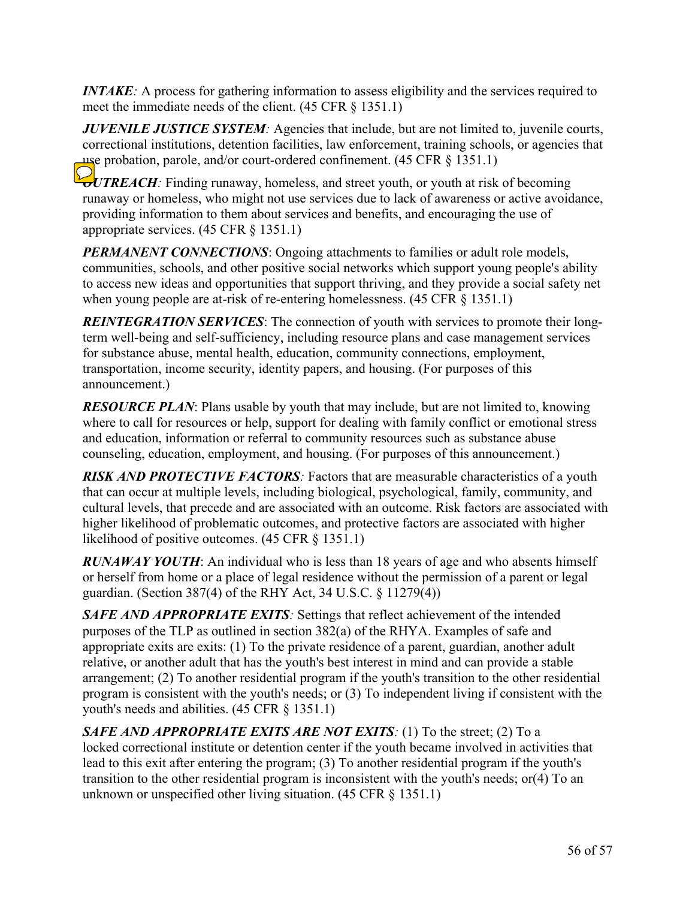*INTAKE*: A process for gathering information to assess eligibility and the services required to meet the immediate needs of the client. (45 CFR § 1351.1)

*JUVENILE JUSTICE SYSTEM:* Agencies that include, but are not limited to, juvenile courts, correctional institutions, detention facilities, law enforcement, training schools, or agencies that use probation, parole, and/or court-ordered confinement. (45 CFR § 1351.1)

*OUTREACH*: Finding runaway, homeless, and street youth, or youth at risk of becoming runaway or homeless, who might not use services due to lack of awareness or active avoidance, providing information to them about services and benefits, and encouraging the use of appropriate services. (45 CFR § 1351.1)

*PERMANENT CONNECTIONS*: Ongoing attachments to families or adult role models, communities, schools, and other positive social networks which support young people's ability to access new ideas and opportunities that support thriving, and they provide a social safety net when young people are at-risk of re-entering homelessness. (45 CFR § 1351.1)

*REINTEGRATION SERVICES*: The connection of youth with services to promote their longterm well-being and self-sufficiency, including resource plans and case management services for substance abuse, mental health, education, community connections, employment, transportation, income security, identity papers, and housing. (For purposes of this announcement.)

*RESOURCE PLAN*: Plans usable by youth that may include, but are not limited to, knowing where to call for resources or help, support for dealing with family conflict or emotional stress and education, information or referral to community resources such as substance abuse counseling, education, employment, and housing. (For purposes of this announcement.)

*RISK AND PROTECTIVE FACTORS:* Factors that are measurable characteristics of a youth that can occur at multiple levels, including biological, psychological, family, community, and cultural levels, that precede and are associated with an outcome. Risk factors are associated with higher likelihood of problematic outcomes, and protective factors are associated with higher likelihood of positive outcomes. (45 CFR § 1351.1)

*RUNAWAY YOUTH*: An individual who is less than 18 years of age and who absents himself or herself from home or a place of legal residence without the permission of a parent or legal guardian. (Section 387(4) of the RHY Act, 34 U.S.C. § 11279(4))

*SAFE AND APPROPRIATE EXITS:* Settings that reflect achievement of the intended purposes of the TLP as outlined in section 382(a) of the RHYA. Examples of safe and appropriate exits are exits: (1) To the private residence of a parent, guardian, another adult relative, or another adult that has the youth's best interest in mind and can provide a stable arrangement; (2) To another residential program if the youth's transition to the other residential program is consistent with the youth's needs; or (3) To independent living if consistent with the youth's needs and abilities. (45 CFR § 1351.1)

*SAFE AND APPROPRIATE EXITS ARE NOT EXITS:* (1) To the street; (2) To a locked correctional institute or detention center if the youth became involved in activities that lead to this exit after entering the program; (3) To another residential program if the youth's transition to the other residential program is inconsistent with the youth's needs; or(4) To an unknown or unspecified other living situation. (45 CFR § 1351.1)